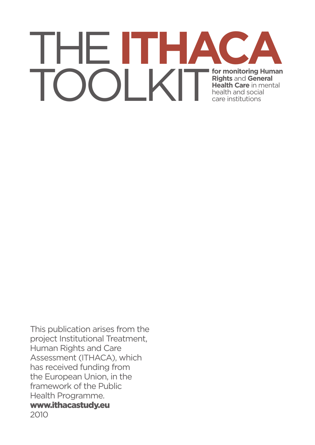## **for monitoring Human Rights** and **General Health Care** in mental health and social care institutions THE**ITHACA** TOOLKIT

This publication arises from the project Institutional Treatment, Human Rights and Care Assessment (ITHACA), which has received funding from the European Union, in the framework of the Public Health Programme. **www.ithacastudy.eu** 2010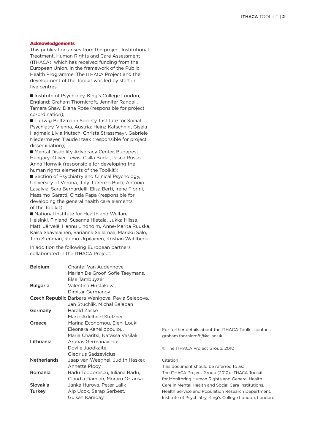#### **Acknowledgements**

This publication arises from the project Institutional Treatment, Human Rights and Care Assessment (ITHACA), which has received funding from the European Union, in the framework of the Public Health Programme. The ITHACA Project and the development of the Toolkit was led by staff in five centres:

■ Institute of Psychiatry, King's College London, England: Graham Thornicroft, Jennifer Randall, Tamara Shaw, Diana Rose (responsible for project co-ordination);

■ Ludwig Boltzmann Society, Institute for Social Psychiatry, Vienna, Austria: Heinz Katschnig, Gisela Hagmair, Livia Mutsch, Christa Strassmayr, Gabriele Niedermayer, Traude Izaak (responsible for project dissemination);

■ Mental Disability Advocacy Center, Budapest, Hungary: Oliver Lewis, Csilla Budai, Jasna Russo, Anna Hornyik (responsible for developing the human rights elements of the Toolkit);

■ Section of Psychiatry and Clinical Psychology, University of Verona, Italy: Lorenzo Burti, Antonio Lasalvia, Sara Bernardelli, Elisa Berti, Irene Fiorini, Massimo Garatti, Cinzia Papa (responsible for developing the general health care elements of the Toolkit);

■ National Institute for Health and Welfare, Helsinki, Finland: Susanna Hietala, Jukka Hiissa, Matti Järvelä, Hannu Lindholm, Anne-Marita Ruuska, Kaisa Saavalainen, Sarianna Sallamaa, Markku Salo, Tom Stenman, Raimo Urpilainen, Kristian Wahlbeck.

In addition the following European partners collaborated in the ITHACA Project:

| <b>Belgium</b>     | Chantal Van Audenhove,                           |                                                         |
|--------------------|--------------------------------------------------|---------------------------------------------------------|
|                    | Marian De Groof, Sofie Taeymans,                 |                                                         |
|                    | Else Tambuyzer                                   |                                                         |
| <b>Bulgaria</b>    | Valentina Hristakeva,                            |                                                         |
|                    | Dimitar Germanov                                 |                                                         |
|                    | Czech Republic Barbara Wenigova, Pavla Selepova, |                                                         |
|                    | Jan Stuchlik, Michal Balaban                     |                                                         |
| Germany            | Harald Zaske                                     |                                                         |
|                    | Maria-Adelheid Stelzner                          |                                                         |
| Greece             | Marina Economou, Eleni Louki,                    |                                                         |
|                    | Eleonara Kanellopoulou,                          | For further details about the ITHACA Toolkit contact:   |
|                    | Maria Charitsi, Natassa Vasilaki                 | graham.thornicroft@kcl.ac.uk                            |
| Lithuania          | Arunas Germanavicius,                            |                                                         |
|                    | Dovile Juodkaite,                                | © The ITHACA Project Group, 2010                        |
|                    | Giedrius Sadzevicius                             |                                                         |
| <b>Netherlands</b> | Jaap van Weeghel, Judith Hasker,                 | Citation                                                |
|                    | Annette Plooy                                    | This document should be referred to as:                 |
| Romania            | Radu Teodorescu, Iuliana Radu,                   | The ITHACA Project Group (2010). ITHACA Toolkit         |
|                    | Claudia Damian, Moraru Ortansa                   | for Monitoring Human Rights and General Health          |
| <b>Slovakia</b>    | Janka Hurova, Peter Lalik                        | Care in Mental Health and Social Care Institutions.     |
| Turkey             | Alp Ucok, Serap Serbest,                         | Health Service and Population Research Department,      |
|                    | Gulsah Karaday                                   | Institute of Psychiatry, King's College London, London. |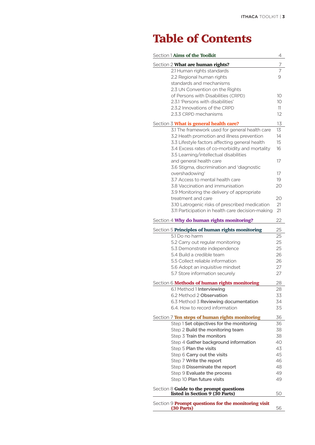# **Table of Contents**

| Section 1 Aims of the Toolkit                                                            | 4        |
|------------------------------------------------------------------------------------------|----------|
| Section 2 <b>What are human rights?</b>                                                  | 7        |
| 2.1 Human rights standards                                                               | 7        |
| 2.2 Regional human rights                                                                | 9        |
| standards and mechanisms                                                                 |          |
| 2.3 UN Convention on the Rights<br>of Persons with Disabilities (CRPD)                   | 10       |
| 2.3.1 'Persons with disabilities'                                                        | 10       |
| 2.3.2 Innovations of the CRPD                                                            | 11       |
| 2.3.3 CRPD mechanisms                                                                    | 12       |
| Section 3 What is general health care?                                                   | 13       |
| 3.1 The framework used for general health care                                           | 13       |
| 3.2 Heath promotion and illness prevention                                               | 14       |
| 3.3 Lifestyle factors affecting general health                                           | 15       |
| 3.4 Excess rates of co-morbidity and mortality<br>3.5 Learning/intellectual disabilities | 16       |
| and general health care                                                                  | 17       |
| 3.6 Stigma, discrimination and 'diagnostic                                               |          |
| overshadowing'                                                                           | 17       |
| 3.7 Access to mental health care                                                         | 19       |
| 3.8 Vaccination and immunisation                                                         | 20       |
| 3.9 Monitoring the delivery of appropriate                                               |          |
| treatment and care<br>3.10 Latrogenic risks of prescribed medication                     | 20<br>21 |
| 3.11 Participation in health care decision-making                                        | 21       |
| Section 4 Why do human rights monitoring?                                                | 22       |
|                                                                                          |          |
| Section 5 Principles of human rights monitoring<br>5.1 Do no harm                        | 25<br>25 |
| 5.2 Carry out regular monitoring                                                         | 25       |
| 5.3 Demonstrate independence                                                             | 25       |
| 5.4 Build a credible team                                                                | 26       |
| 5.5 Collect reliable information                                                         | 26       |
| 5.6 Adopt an inquisitive mindset<br>5.7 Store information securely                       | 27<br>27 |
|                                                                                          |          |
| Section 6 Methods of human rights monitoring                                             | 28       |
| 6.1 Method 1 Interviewing<br>6.2 Method 2 Observation                                    | 28<br>33 |
| 6.3 Method 3 Reviewing documentation                                                     | 34       |
| 6.4. How to record information                                                           | 35       |
| Section 7 Ten steps of human rights monitoring                                           | 36       |
| Step 1 Set objectives for the monitoring                                                 | 36       |
| Step 2 Build the monitoring team                                                         | 38       |
| Step 3 Train the monitors                                                                | 38       |
| Step 4 Gather background information                                                     | 40       |
| Step 5 Plan the visits                                                                   | 43       |
| Step 6 Carry out the visits<br>Step 7 Write the report                                   | 45<br>46 |
| Step 8 Disseminate the report                                                            | 48       |
| Step 9 Evaluate the process                                                              | 49       |
| Step 10 Plan future visits                                                               | 49       |
| Section 8 Guide to the prompt questions<br>listed in Section 9 (30 Parts)                | 50       |
| Section 9 Prompt questions for the monitoring visit                                      |          |
| $(30$ Parts)                                                                             | 56       |
|                                                                                          |          |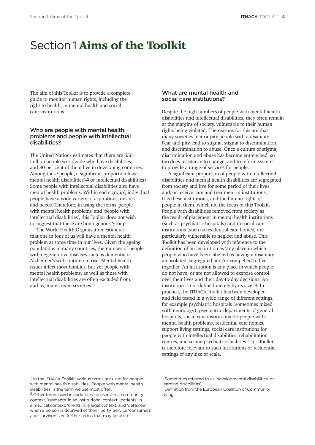## Section 1 **Aims of the Toolkit**

The aim of this Toolkit is to provide a complete guide to monitor human rights, including the right to health, in mental health and social care institutions.

#### **Who are people with mental health problems and people with intellectual disabilities?**

The United Nations estimates that there are 650 million people worldwide who have disabilities, and 80 per cent of them live in developing countries. Among these people, a significant proportion have mental health disabilities<sup>1,2</sup> or intellectual disabilities<sup>3</sup>. Some people with intellectual disabilities also have mental health problems. Within each 'group', individual people have a wide variety of aspirations, desires and needs. Therefore, in using the terms 'people with mental health problems' and 'people with intellectual disabilities', this Toolkit does not wish to suggest that these are homogenous 'groups'.

The World Health Organisation estimates that one in four of us will have a mental health problem at some time in our lives. Given the ageing populations in many countries, the number of people with degenerative diseases such as dementia or Alzheimer's will continue to rise. Mental health issues affect most families, but yet people with mental health problems, as well as those with intellectual disabilities are often excluded from, and by, mainstream societies.

#### **What are mental health and social care institutions?**

Despite the high numbers of people with mental health disabilities and intellectual disabilities, they often remain at the margins of society, vulnerable to their human rights being violated. The reasons for this are that many societies fear or pity people with a disability. Fear and pity lead to stigma, stigma to discrimination, and discrimination to abuse. Once a culture of stigma, discrimination and abuse has become entrenched, so too does resistance to change, and to reform systems to provide a range of services for people.

A significant proportion of people with intellectual disabilities and mental health disabilities are segregated from society and live for some period of their lives and/or receive care and treatment in institutions. It is these institutions, and the human rights of people in them, which are the focus of this Toolkit. People with disabilities removed from society as the result of placement in mental health institutions (such as psychiatric hospitals) and in social care institutions (such as residential care homes) are particularly vulnerable to neglect and abuse. This Toolkit has been developed with reference to the definition of an institution as 'any place in which people who have been labelled as having a disability are isolated, segregated and/or compelled to live together. An institution is any place in which people do not have, or are not allowed to exercise control over their lives and their day-to-day decisions. An institution is not defined merely by its size.'4. In practice, the ITHACA Toolkit has been developed and field tested in a wide range of different settings, for example psychiatric hospitals (sometimes mixed with neurology), psychiatric departments of general hospitals, social care institutions for people with mental health problems, residential care homes, support living settings, social care institutions for people with intellectual disabilities, rehabilitation centres, and secure psychiatric facilities. This Toolkit is therefore relevant to such institutions or residential settings of any size or scale.

2 Other terms used include 'service users' in a community context, 'residents' in an institutional context, 'patients' in a medical context, 'clients' in a legal context, and 'detainee' when a person is deprived of their liberty. Service 'consumers' and 'survivors' are further terms that may be used.

3 Sometimes referred to as 'developmental disabilities' or 'learning disabilities'.

4 Definition from the European Coalition of Community Living.

<sup>1</sup> In the ITHACA Toolkit, various terms are used for people with mental health disabilities. 'People with mental health disabilities' is the term we use most often.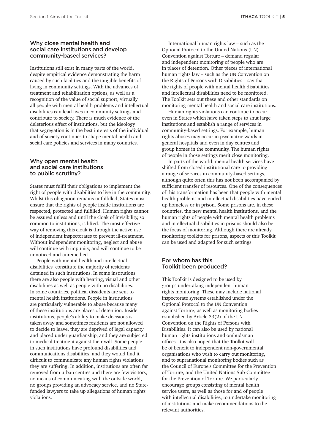#### **Why close mental health and social care institutions and develop community-based services?**

Institutions still exist in many parts of the world, despite empirical evidence demonstrating the harm caused by such facilities and the tangible benefits of living in community settings. With the advances of treatment and rehabilitation options, as well as a recognition of the value of social support, virtually all people with mental health problems and intellectual disabilities can lead lives in community settings and contribute to society. There is much evidence of the deleterious effect of institutions, but the ideology that segregation is in the best interests of the individual and of society continues to shape mental health and social care policies and services in many countries.

#### **Why open mental health and social care institutions to public scrutiny?**

States must fulfil their obligations to implement the right of people with disabilities to live in the community. Whilst this obligation remains unfulfilled, States must ensure that the rights of people inside institutions are respected, protected and fulfilled. Human rights cannot be assured unless and until the cloak of invisibility, so common to institutions, is lifted. The most effective way of removing this cloak is through the active use of independent inspectorates to prevent ill-treatment. Without independent monitoring, neglect and abuse will continue with impunity, and will continue to be unnoticed and unremedied.

People with mental health and intellectual disabilities constitute the majority of residents detained in such institutions. In some institutions there are also people with hearing, visual and other disabilities as well as people with no disabilities. In some countries, political dissidents are sent to mental health institutions. People in institutions are particularly vulnerable to abuse because many of these institutions are places of detention. Inside institutions, people's ability to make decisions is taken away and sometimes residents are not allowed to decide to leave, they are deprived of legal capacity and placed under guardianship, and they are subjected to medical treatment against their will. Some people in such institutions have profound disabilities and communications disabilities, and they would find it difficult to communicate any human rights violations they are suffering. In addition, institutions are often far removed from urban centres and there are few visitors, no means of communicating with the outside world, no groups providing an advocacy service, and no Statefunded lawyers to take up allegations of human rights violations.

International human rights law – such as the Optional Protocol to the United Nations (UN) Convention against Torture – demand regular and independent monitoring of people who are in places of detention. Other pieces of international human rights law – such as the UN Convention on the Rights of Persons with Disabilities – say that the rights of people with mental health disabilities and intellectual disabilities need to be monitored. The Toolkit sets out these and other standards on monitoring mental health and social care institutions.

Human rights violations can continue to occur even in States which have taken steps to shut large institutions and establish a range of services in community-based settings. For example, human rights abuses may occur in psychiatric wards in general hospitals and even in day centres and group homes in the community. The human rights of people in those settings merit close monitoring.

In parts of the world, mental health services have shifted from closed institutional care to providing a range of services in community-based settings, although quite often this has not been accompanied by sufficient transfer of resources. One of the consequences of this transformation has been that people with mental health problems and intellectual disabilities have ended up homeless or in prison. Some prisons are, in these countries, the new mental health institutions, and the human rights of people with mental health problems and intellectual disabilities in prisons should also be the focus of monitoring. Although there are already monitoring toolkits for prisons, aspects of this Toolkit can be used and adapted for such settings.

#### **For whom has this Toolkit been produced?**

This Toolkit is designed to be used by groups undertaking independent human rights monitoring. These may include national inspectorate systems established under the Optional Protocol to the UN Convention against Torture; as well as monitoring bodies established by Article 33(2) of the UN Convention on the Rights of Persons with Disabilities. It can also be used by national human rights institutions and ombudsman offices. It is also hoped that the Toolkit will be of benefit to independent non-governmental organisations who wish to carry out monitoring, and to supranational monitoring bodies such as the Council of Europe's Committee for the Prevention of Torture, and the United Nations Sub-Committee for the Prevention of Torture. We particularly encourage groups consisting of mental health service users, as well as those for and of people with intellectual disabilities, to undertake monitoring of institutions and make recommendations to the relevant authorities.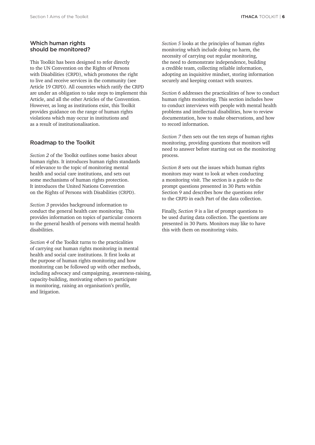#### **Which human rights should be monitored?**

This Toolkit has been designed to refer directly to the UN Convention on the Rights of Persons with Disabilities (CRPD), which promotes the right to live and receive services in the community (see Article 19 CRPD). All countries which ratify the CRPD are under an obligation to take steps to implement this Article, and all the other Articles of the Convention. However, as long as institutions exist, this Toolkit provides guidance on the range of human rights violations which may occur in institutions and as a result of institutionalisation.

### **Roadmap to the Toolkit**

*Section 2* of the Toolkit outlines some basics about human rights. It introduces human rights standards of relevance to the topic of monitoring mental health and social care institutions, and sets out some mechanisms of human rights protection. It introduces the United Nations Convention on the Rights of Persons with Disabilities (CRPD).

*Section 3* provides background information to conduct the general health care monitoring. This provides information on topics of particular concern to the general health of persons with mental health disabilities.

*Section 4* of the Toolkit turns to the practicalities of carrying out human rights monitoring in mental health and social care institutions. It first looks at the purpose of human rights monitoring and how monitoring can be followed up with other methods, including advocacy and campaigning, awareness-raising, capacity-building, motivating others to participate in monitoring, raising an organisation's profile, and litigation.

*Section 5* looks at the principles of human rights monitoring which include doing no harm, the necessity of carrying out regular monitoring, the need to demonstrate independence, building a credible team, collecting reliable information, adopting an inquisitive mindset, storing information securely and keeping contact with sources.

*Section 6* addresses the practicalities of how to conduct human rights monitoring. This section includes how to conduct interviews with people with mental health problems and intellectual disabilities, how to review documentation, how to make observations, and how to record information.

*Section 7* then sets out the ten steps of human rights monitoring, providing questions that monitors will need to answer before starting out on the monitoring process.

*Section 8* sets out the issues which human rights monitors may want to look at when conducting a monitoring visit. The section is a guide to the prompt questions presented in 30 Parts within Section 9 and describes how the questions refer to the CRPD in each Part of the data collection.

Finally, *Section 9* is a list of prompt questions to be used during data collection. The questions are presented in 30 Parts. Monitors may like to have this with them on monitoring visits.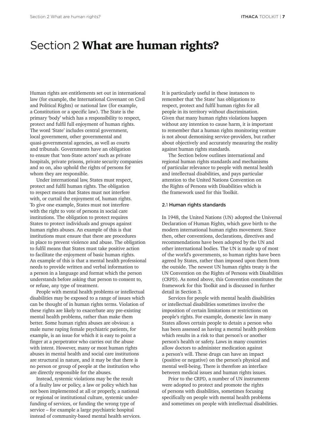## Section 2 **What are human rights?**

Human rights are entitlements set out in international law (for example, the International Covenant on Civil and Political Rights) or national law (for example, a Constitution or a specific law). The State is the primary 'body' which has a responsibility to respect, protect and fulfil full enjoyment of human rights. The word 'State' includes central government, local government, other governmental and quasi-governmental agencies, as well as courts and tribunals. Governments have an obligation to ensure that 'non-State actors' such as private hospitals, private prisons, private security companies and so on, also uphold the rights of persons for whom they are responsible.

Under international law, States must respect, protect and fulfil human rights. The obligation to respect means that States must not interfere with, or curtail the enjoyment of, human rights. To give one example, States must not interfere with the right to vote of persons in social care institutions. The obligation to protect requires States to protect individuals and groups against human rights abuses. An example of this is that institutions must ensure that there are procedures in place to prevent violence and abuse. The obligation to fulfil means that States must take positive action to facilitate the enjoyment of basic human rights. An example of this is that a mental health professional needs to provide written and verbal information to a person in a language and format which the person understands before asking that person to consent to, or refuse, any type of treatment.

People with mental health problems or intellectual disabilities may be exposed to a range of issues which can be thought of in human rights terms. Violation of these rights are likely to exacerbate any pre-existing mental health problems, rather than make them better. Some human rights abuses are obvious: a male nurse raping female psychiatric patients, for example, is an issue for which it is easy to point a finger at a perpetrator who carries out the abuse with intent. However, many or most human rights abuses in mental health and social care institutions are structural in nature, and it may be that there is no person or group of people at the institution who are directly responsible for the abuses.

Instead, systemic violations may be the result of a faulty law or policy, a law or policy which has not been implemented at all or properly, a national or regional or institutional culture, systemic underfunding of services, or funding the wrong type of service – for example a large psychiatric hospital instead of community-based mental health services.

It is particularly useful in these instances to remember that 'the State' has obligations to respect, protect and fulfil human rights for all people in its territory without discrimination. Given that many human rights violations happen without any intention to cause harm, it is important to remember that a human rights monitoring venture is not about demonising service-providers, but rather about objectively and accurately measuring the reality against human rights standards.

The Section below outlines international and regional human rights standards and mechanisms of particular relevance to people with mental health and intellectual disabilities, and pays particular attention to the United Nations Convention on the Rights of Persons with Disabilities which is the framework used for this Toolkit.

#### **2.**1 **Human rights standards**

In 1948, the United Nations (UN) adopted the Universal Declaration of Human Rights, which gave birth to the modern international human rights movement. Since then, other conventions, declarations, directives and recommendations have been adopted by the UN and other international bodies. The UN is made up of most of the world's governments, so human rights have been agreed by States, rather than imposed upon them from the outside. The newest UN human rights treaty is the UN Convention on the Rights of Persons with Disabilities (CRPD). As noted above, this Convention constitutes the framework for this Toolkit and is discussed in further detail in Section 3.

Services for people with mental health disabilities or intellectual disabilities sometimes involve the imposition of certain limitations or restrictions on people's rights. For example, domestic law in many States allows certain people to detain a person who has been assessed as having a mental health problem which results in a risk to that person's or another person's health or safety. Laws in many countries allow doctors to administer medication against a person's will. These drugs can have an impact (positive or negative) on the person's physical and mental well-being. There is therefore an interface between medical issues and human rights issues.

Prior to the CRPD, a number of UN instruments were adopted to protect and promote the rights of persons with disabilities, sometimes focusing specifically on people with mental health problems and sometimes on people with intellectual disabilities.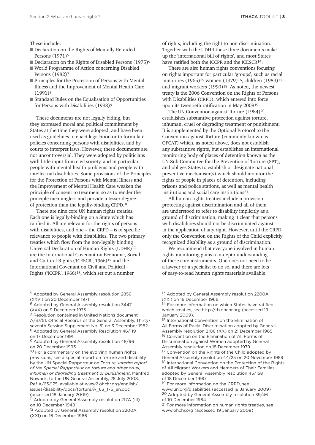These include:

- Declaration on the Rights of Mentally Retarded Persons (1971)5
- Declaration on the Rights of Disabled Persons (1975)<sup>6</sup>
- World Programme of Action concerning Disabled Persons (1982)7
- Principles for the Protection of Persons with Mental Illness and the Improvement of Mental Health Care (1991)8
- Standard Rules on the Equalisation of Opportunities for Persons with Disabilities (1993)9

These documents are not legally biding, but they expressed moral and political commitment by States at the time they were adopted, and have been used as guidelines to enact legislation or to formulate policies concerning persons with disabilities, and by courts to interpret laws. However, these documents are not uncontroversial. They were adopted by politicians with little input from civil society, and in particular, people with mental health problems and people with intellectual disabilities. Some provisions of the Principles for the Protection of Persons with Mental Illness and the Improvement of Mental Health Care weaken the principle of consent to treatment so as to render the principle meaningless and provide a lesser degree of protection than the legally-binding CRPD.10

There are nine core UN human rights treaties. Each one is legally-binding on a State which has ratified it. All are relevant for the rights of persons with disabilities, and one – the CRPD – is of specific relevance to people with disabilities. The two primary treaties which flow from the non-legally binding Universal Declaration of Human Rights (UDHR)11 are the International Covenant on Economic, Social and Cultural Rights ('ICESCR', 1966)12 and the International Covenant on Civil and Political Rights ('ICCPR', 1966)<sup>13</sup>, which set out a number

5 Adopted by General Assembly resolution 2856 (XXVI) on 20 December 1971

6 Adopted by General Assembly resolution 3447 (XXX) on 9 December 1975

7 Resolution contained in United Nations document A/37/51, Official Records of the General Assembly, Thirtyseventh Session Supplement No. 51 on 3 December 1982 8 Adopted by General Assembly Resolution 46/119 on 17 December 1991

9 Adopted by General Assembly resolution 48/96 on 20 December 1993

10 For a commentary on the evolving human rights provisions, see a special report on torture and disability by the UN Special Rapporteur on Torture: *Interim report of the Special Rapporteur on torture and other cruel, inhuman or degrading treatment or punishment*, Manfred Nowack, to the UN General Assembly, 28 July 2008, Ref A/63/175, available at www2.ohchr.org/english/ issues/disability/docs/torture/A\_63\_175\_en.doc (accessed 18 January 2009)

12 Adopted by General Assembly resolution 2200A (XXI) on 16 December 1966

of rights, including the right to non-discrimination. Together with the UDHR these three documents make up the 'international bill of rights', and most States have ratified both the ICCPR and the ICESCR14.

There are also human rights conventions focusing on rights important for particular 'groups', such as racial minorities (1965)15 women (1979)16, children (1989)17 and migrant workers (1990)<sup>18</sup>. As noted, the newest treaty is the 2006 Convention on the Rights of Persons with Disabilities (CRPD), which entered into force upon its twentieth ratification in May 200819.

The UN Convention against Torture (1984)20 establishes substantive protection against torture, inhuman, cruel or degrading treatment or punishment. It is supplemented by the Optional Protocol to the Convention against Torture (commonly known as OPCAT) which, as noted above, does not establish any substantive rights, but establishes an international monitoring body of places of detention known as the UN Sub-Committee for the Prevention of Torture (SPT), and obliges States to establish or designate national preventive mechanism(s) which should monitor the rights of people in places of detention, including prisons and police stations, as well as mental health institutions and social care institutions21.

All human rights treaties include a provision protecting against discrimination and all of them are understood to refer to disability implicitly as a ground of discrimination, making it clear that persons with disabilities should not be discriminated against in the application of any right. However, until the CRPD, only the Convention on the Rights of the Child explicitly recognized disability as a ground of discrimination.

We recommend that everyone involved in human rights monitoring gains a in-depth understanding of these core instruments. One does not need to be a lawyer or a specialist to do so, and there are lots of easy-to-read human rights materials available.

<sup>14</sup> For more information on which States have ratified which treaties, see http://tb.ohchr.org (accessed 19 January 2009).

15 International Convention on the Elimination of All Forms of Racial Discrimination adopted by General Assembly resolution 2106 (XX) on 21 December 1965 16 Convention on the Elimination of All Forms of Discrimination against Women adopted by General Assembly resolution on 18 December 1979 17 Convention on the Rights of the Child adopted by

General Assembly resolution 44/25 on 20 November 1989 18 International Convention on the Protection of the Rights of All Migrant Workers and Members of Their Families adopted by General Assembly resolution 45/158 of 18 December 1990

<sup>19</sup> For more information on the CRPD, see www.un.org/disabilities (accessed 19 January 2009) 20 Adopted by General Assembly resolution 39/46 of 10 December 1984

21 For more information on human rights treaties, see www.ohchr.org (accessed 19 January 2009)

<sup>11</sup> Adopted by General Assembly resolution 217A (III) on 10 December 1948

<sup>13</sup> Adopted by General Assembly resolution 2200A (XXI) on 16 December 1966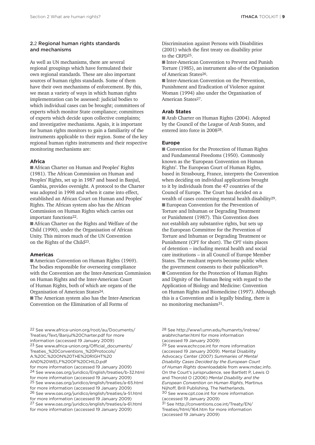#### **2.**2 **Regional human rights standards and mechanisms**

As well as UN mechanisms, there are several regional groupings which have formulated their own regional standards. These are also important sources of human rights standards. Some of them have their own mechanisms of enforcement. By this, we mean a variety of ways in which human rights implementation can be assessed: judicial bodies to which individual cases can be brought; committees of experts which monitor State compliance; committees of experts which decide upon collective complaints; and investigative mechanisms. Again, it is important for human rights monitors to gain a familiarity of the instruments applicable to their region. Some of the key regional human rights instruments and their respective monitoring mechanisms are:

#### **Africa**

■ African Charter on Human and Peoples' Rights (1981). The African Commission on Human and Peoples' Rights, set up in 1987 and based in Banjul, Gambia, provides oversight. A protocol to the Charter was adopted in 1998 and when it came into effect, established an African Court on Human and Peoples' Rights. The African system also has the African Commission on Human Rights which carries out important functions22.

■ African Charter on the Rights and Welfare of the Child (1990), under the Organisation of African Unity. This mirrors much of the UN Convention on the Rights of the Child23.

#### **Americas**

■ American Convention on Human Rights (1969). The bodies responsible for overseeing compliance with the Convention are the Inter-American Commission on Human Rights and the Inter-American Court of Human Rights, both of which are organs of the Organisation of American States24. ■ The American system also has the Inter-American

Convention on the Elimination of all Forms of

22 See www.africa-union.org/root/au/Documents/ Treaties/Text/Banjul%20Charter.pdf for more information (accessed 19 January 2009) 23 See www.africa-union.org/Official\_documents/ Treaties\_%20Conventions\_%20Protocols/ A.%20C.%20ON%20THE%20RIGHT%20 AND%20WELF%20OF%20CHILD.pdf for more information (accessed 19 January 2009) 24 See www.oas.org/juridico/English/treaties/b-32.html for more information (accessed 19 January 2009) 25 See www.oas.org/juridico/english/treaties/a-65.html for more information (accessed 19 January 2009) 26 See www.oas.org/juridico/english/treaties/a-51.html for more information (accessed 19 January 2009) 27 See www.oas.org/juridico/english/treaties/a-61.html for more information (accessed 19 January 2009)

Discrimination against Persons with Disabilities (2001) which the first treaty on disability prior to the CRPD25.

■ Inter-American Convention to Prevent and Punish Torture (1985), an instrument also of the Organisation of American States26.

■ Inter-American Convention on the Prevention, Punishment and Eradication of Violence against Woman (1994) also under the Organisation of American States27.

#### **Arab States**

■ Arab Charter on Human Rights (2004). Adopted by the Council of the League of Arab States, and entered into force in 200828.

#### **Europe**

■ Convention for the Protection of Human Rights and Fundamental Freedoms (1950). Commonly known as the 'European Convention on Human Rights'. The European Court of Human Rights, based in Strasbourg, France, interprets the Convention when deciding on individual applications brought to it by individuals from the 47 countries of the Council of Europe. The Court has decided on a wealth of cases concerning mental health disability29. ■ European Convention for the Prevention of Torture and Inhuman or Degrading Treatment or Punishment (1987). This Convention does not establish any substantive rights, but sets up the European Committee for the Prevention of Torture and Inhuman or Degrading Treatment or Punishment (CPT for short). The CPT visits places of detention – including mental health and social care institutions – in all Council of Europe Member States. The resultant reports become public when the government consents to their publication30. ■ Convention for the Protection of Human Rights and Dignity of the Human Being with regard to the Application of Biology and Medicine: Convention on Human Rights and Biomedicine (1997). Although this is a Convention and is legally binding, there is no monitoring mechanism31.

28 See http://www1.umn.edu/humanrts/instree/ arabhrcharter.html for more information (accessed 19 January 2009)

29 See www.echr.coe.int for more information (accessed 19 January 2009). Mental Disability Advocacy Center (2007) *Summaries of Mental Disability Cases Decided by the European Court of Human Rights* downloadable from www.mdac.info. On the Court's jurisprudence, see Bartlett P, Lewis O and Thorold O (2006) *Mental Disability and the European Convention on Human Rights*, Martinus Nijhoff, Brill Publishing, The Netherlands. 30 See www.cpt.coe.int for more information (accessed 19 January 2009) 31 See http://conventions.coe.int/Treaty/EN/ Treaties/html/164.htm for more information

(accessed 19 January 2009)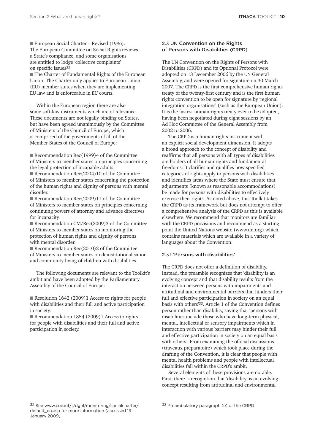■ European Social Charter – Revised (1996). The European Committee on Social Rights reviews a State's compliance, and some organisations are entitled to lodge 'collective complaints' on specific issues32. ■ The Charter of Fundamental Rights of the European

Union. The Charter only applies to European Union (EU) member states when they are implementing EU law and is enforceable in EU courts.

Within the European region there are also some soft-law instruments which are of relevance. These documents are not legally binding on States, but have been agreed unanimously by the Committee of Ministers of the Council of Europe, which is comprised of the governments of all of the Member States of the Council of Europe:

■ Recommendation Rec(1999)4 of the Committee of Ministers to member states on principles concerning the legal protection of incapable adults.

■ Recommendation Rec(2004)10 of the Committee of Ministers to member states concerning the protection of the human rights and dignity of persons with mental disorder.

■ Recommendation Rec(2009)11 of the Committee of Ministers to member states on principles concerning continuing powers of attorney and advance directives for incapacity.

■ Recommendation CM/Rec(2009)3 of the Committee of Ministers to member states on monitoring the protection of human rights and dignity of persons with mental disorder.

■ Recommendation Rec(2010)2 of the Committee of Ministers to member states on deinstitutionalisation and community living of children with disabilities.

The following documents are relevant to the Toolkit's ambit and have been adopted by the Parliamentary Assembly of the Council of Europe:

■ Resolution 1642 (2009)1 Access to rights for people with disabilities and their full and active participation in society.

■ Recommendation 1854 (2009)1 Access to rights for people with disabilities and their full and active participation in society.

#### **2.**3 **UN Convention on the Rights of Persons with Disabilities (CRPD**)

The UN Convention on the Rights of Persons with Disabilities (CRPD) and its Optional Protocol were adopted on 13 December 2006 by the UN General Assembly, and were opened for signature on 30 March 2007. The CRPD is the first comprehensive human rights treaty of the twenty-first century and is the first human rights convention to be open for signature by 'regional integration organisations' (such as the European Union). It is the fastest human rights treaty ever to be adopted, having been negotiated during eight sessions by an Ad Hoc Committee of the General Assembly from 2002 to 2006.

The CRPD is a human rights instrument with an explicit social development dimension. It adopts a broad approach to the concept of disability and reaffirms that all persons with all types of disabilities are holders of all human rights and fundamental freedoms. It clarifies and qualifies how specified categories of rights apply to persons with disabilities and identifies areas where the State must ensure that adjustments (known as reasonable accommodations) be made for persons with disabilities to effectively exercise their rights. As noted above, this Toolkit takes the CRPD as its framework but does not attempt to offer a comprehensive analysis of the CRPD as this is available elsewhere. We recommend that monitors are familiar with the CRPD provisions and recommend as a starting point the United Nations website (www.un.org) which contains materials which are available in a variety of languages about the Convention.

#### **2.**3.1 **'Persons with disabilities'**

The CRPD does not offer a definition of disability. Instead, the preamble recognizes that 'disability is an evolving concept and that disability results from the interaction between persons with impairments and attitudinal and environmental barriers that hinders their full and effective participation in society on an equal basis with others' 33. Article 1 of the Convention defines person rather than disability, saying that 'persons with disabilities include those who have long-term physical, mental, intellectual or sensory impairments which in interaction with various barriers may hinder their full and effective participation in society on an equal basis with others.' From examining the official discussions (traveaux preparatoire) which took place during the drafting of the Convention, it is clear that people with mental health problems and people with intellectual disabilities fall within the CRPD's ambit.

Several elements of these provisions are notable. First, there is recognition that 'disability' is an evolving concept resulting from attitudinal and environmental

32 See www.coe.int/t/dghl/monitoring/socialcharter/ default en.asp for more information (accessed 19 January 2009)

33 Preambulatory paragraph (e) of the CRPD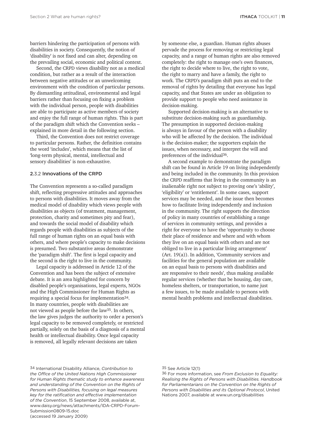barriers hindering the participation of persons with disabilities in society. Consequently, the notion of 'disability' is not fixed and can alter, depending on the prevailing social, economic and political context.

Second, the CRPD views disability not as a medical condition, but rather as a result of the interaction between negative attitudes or an unwelcoming environment with the condition of particular persons. By dismantling attitudinal, environmental and legal barriers rather than focusing on fixing a problem with the individual person, people with disabilities are able to participate as active members of society and enjoy the full range of human rights. This is part of the paradigm shift which the Convention seeks – explained in more detail in the following section.

Third, the Convention does not restrict coverage to particular persons. Rather, the definition contains the word 'includes', which means that the list of 'long-term physical, mental, intellectual and sensory disabilities' is non-exhaustive.

#### **2.**3.2 **Innovations of the CRPD**

The Convention represents a so-called paradigm shift, reflecting progressive attitudes and approaches to persons with disabilities. It moves away from the medical model of disability which views people with disabilities as objects (of treatment, management, protection, charity and sometimes pity and fear), and towards the social model of disability which regards people with disabilities as subjects of the full range of human rights on an equal basis with others, and where people's capacity to make decisions is presumed. Two substantive areas demonstrate the 'paradigm shift'. The first is legal capacity and the second is the right to live in the community.

Legal capacity is addressed in Article 12 of the Convention and has been the subject of extensive debate. It is an area highlighted for concern by disabled people's organisations, legal experts, NGOs and the High Commissioner for Human Rights as requiring a special focus for implementation34. In many countries, people with disabilities are not viewed as people before the law35. In others, the law gives judges the authority to order a person's legal capacity to be removed completely, or restricted partially, solely on the basis of a diagnosis of a mental health or intellectual disability. Once legal capacity is removed, all legally relevant decisions are taken

by someone else, a guardian. Human rights abuses pervade the process for removing or restricting legal capacity, and a range of human rights are also removed completely: the right to manage one's own finances, the right to decide where to live, the right to vote, the right to marry and have a family, the right to work. The CRPD's paradigm shift puts an end to the removal of rights by detailing that everyone has legal capacity, and that States are under an obligation to provide support to people who need assistance in decision-making.

Supported decision-making is an alternative to substitute decision-making such as guardianship. The presumption in supported decision-making is always in favour of the person with a disability who will be affected by the decision. The individual is the decision-maker; the supporters explain the issues, when necessary, and interpret the will and preferences of the individual36.

A second example to demonstrate the paradigm shift can be found in Article 19 on living independently and being included in the community. In this provision the CRPD reaffirms that living in the community is an inalienable right not subject to proving one's 'ability', 'eligibility' or 'entitlement'. In some cases, support services may be needed, and the issue then becomes how to facilitate living independently and inclusion in the community. The right supports the direction of policy in many countries of establishing a range of services in community settings, and provides a right for everyone to have the 'opportunity to choose their place of residence and where and with whom they live on an equal basis with others and are not obliged to live in a particular living arrangement' (Art. 19(a)). In addition, 'Community services and facilities for the general population are available on an equal basis to persons with disabilities and are responsive to their needs', thus making available regular services (whether that be housing, day care, homeless shelters, or transportation, to name just a few issues, to be made available to persons with mental health problems and intellectual disabilities.

#### 35 See Article 12(1)

36 For more information, see *From Exclusion to Equality: Realising the Rights of Persons with Disabilities. Handbook for Parliamentarians on the Convention on the Rights of Persons with Disabilities and its Optional Protocol*, United Nations 2007, available at www.un.org/disabilities

<sup>34</sup> International Disability Alliance, *Contribution to the Office of the United Nations High Commissioner for Human Rights thematic study to enhance awareness and understanding of the Convention on the Rights of Persons with Disabilities, focusing on legal measures key for the ratification and effective implementation of the Convention*, 15 September 2008, available at, www.daisy.org/news/attachments/IDA-CRPD-Forum-Submission0809-15.doc (accessed 19 January 2009)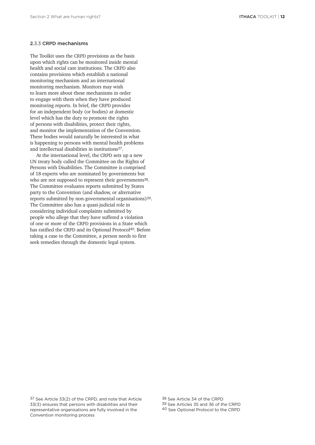#### **2.**3.3 **CRPD mechanisms**

The Toolkit uses the CRPD provisions as the basis upon which rights can be monitored inside mental health and social care institutions. The CRPD also contains provisions which establish a national monitoring mechanism and an international monitoring mechanism. Monitors may wish to learn more about these mechanisms in order to engage with them when they have produced monitoring reports. In brief, the CRPD provides for an independent body (or bodies) at domestic level which has the duty to promote the rights of persons with disabilities, protect their rights, and monitor the implementation of the Convention. These bodies would naturally be interested in what is happening to persons with mental health problems and intellectual disabilities in institutions37.

At the international level, the CRPD sets up a new UN treaty body called the Committee on the Rights of Persons with Disabilities. The Committee is comprised of 18 experts who are nominated by governments but who are not supposed to represent their governments<sup>38</sup>. The Committee evaluates reports submitted by States party to the Convention (and shadow, or alternative reports submitted by non-governmental organisations)<sup>39</sup>. The Committee also has a quasi-judicial role in considering individual complaints submitted by people who allege that they have suffered a violation of one or more of the CRPD provisions in a State which has ratified the CRPD and its Optional Protocol<sup>40</sup>. Before taking a case to the Committee, a person needs to first seek remedies through the domestic legal system.

37 See Article 33(2) of the CRPD, and note that Article 33(3) ensures that persons with disabilities and their representative organisations are fully involved in the Convention monitoring process

38 See Article 34 of the CRPD 39 See Articles 35 and 36 of the CRPD 40 See Optional Protocol to the CRPD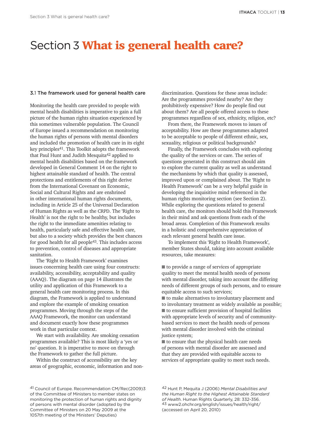## Section 3 **What is general health care?**

#### **3.**1 **The framework used for general health care**

Monitoring the health care provided to people with mental health disabilities is imperative to gain a full picture of the human rights situation experienced by this sometimes vulnerable population. The Council of Europe issued a recommendation on monitoring the human rights of persons with mental disorders and included the promotion of health care in its eight key principles41. This Toolkit adopts the framework that Paul Hunt and Judith Mesquita42 applied to mental health disabilities based on the framework developed in General Comment 14 on the right to highest attainable standard of health. The central protections and entitlements of this right derive from the International Covenant on Economic, Social and Cultural Rights and are enshrined in other international human rights documents, including in Article 25 of the Universal Declaration of Human Rights as well as the CRPD. The 'Right to Health' is not the right to be healthy, but includes the right to the immediate amenities relating to health, particularly safe and effective health care, but also to a society which provides the best chances for good health for all people43. This includes access to prevention, control of diseases and appropriate sanitation.

The 'Right to Health Framework' examines issues concerning health care using four constructs: availability, accessibility, acceptability and quality (AAAQ). The diagram on page 14 illustrates the utility and application of this Framework to a general health care monitoring process. In this diagram, the Framework is applied to understand and explore the example of smoking cessation programmes. Moving through the steps of the AAAQ Framework, the monitor can understand and document exactly how these programmes work in that particular context.

We start with availability. Are smoking cessation programmes available? This is most likely a 'yes or no' question. It is imperative to move on through the Framework to gather the full picture.

Within the construct of accessibility are the key areas of geographic, economic, information and nondiscrimination. Questions for these areas include: Are the programmes provided nearby? Are they prohibitively expensive? How do people find out about them? Are all people offered access to these programmes regardless of sex, ethnicity, religion, etc?

From there, the Framework moves to issues of acceptability. How are these programmes adapted to be acceptable to people of different ethnic, sex, sexuality, religious or political backgrounds?

Finally, the Framework concludes with exploring the quality of the services or care. The series of questions generated in this construct should aim to explore the current quality as well as understand the mechanisms by which that quality is assessed, improved upon or complained about. The 'Right to Health Framework' can be a very helpful guide in developing the inquisitive mind referenced in the human rights monitoring section (see Section 2). While exploring the questions related to general health care, the monitors should hold this Framework in their mind and ask questions from each of the broad areas. Completion of this Framework results in a holistic and comprehensive appreciation of each relevant general health care issue.

To implement this 'Right to Health Framework', member States should, taking into account available resources, take measures:

■ to provide a range of services of appropriate quality to meet the mental health needs of persons with mental disorder, taking into account the differing needs of different groups of such persons, and to ensure equitable access to such services;

■ to make alternatives to involuntary placement and to involuntary treatment as widely available as possible; ■ to ensure sufficient provision of hospital facilities with appropriate levels of security and of communitybased services to meet the health needs of persons with mental disorder involved with the criminal justice system;

■ to ensure that the physical health care needs of persons with mental disorder are assessed and that they are provided with equitable access to services of appropriate quality to meet such needs.

41 Council of Europe. Recommendation CM/Rec(2009)3 of the Committee of Ministers to member states on monitoring the protection of human rights and dignity of persons with mental disorder (adopted by the Committee of Ministers on 20 May 2009 at the 1057th meeting of the Ministers' Deputies)

42 Hunt P, Mequita J (2006) *Mental Disabilities and the Human Right to the Highest Attainable Standard of Health*. Human Rights Quarterly, 28: 332-356. 43 www2.ohchr.org/english/issues/health/right/ (accessed on April 20, 2010)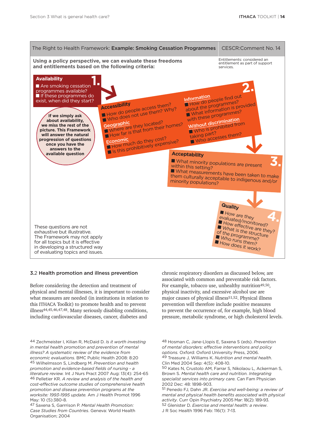

#### **3.**2 **Health promotion and illness prevention**

Before considering the detection and treatment of physical and mental illnesses, it is important to consider what measures are needed (in institutions in relation to this ITHACA Toolkit) to promote health and to prevent illness44,45,46,47,48. Many seriously disabling conditions, including cardiovascular diseases, cancer, diabetes and

44 Zechmeister I, Kilian R, McDaid D. *Is it worth investing in mental health promotion and prevention of mental illness? A systematic review of the evidence from economic evaluations.* BMC Public Health 2008: 8:20 45 Wilhelmsson S, Lindberg M. *Prevention and health promotion and evidence-based fields of nursing - a literature review.* Int J Nurs Pract 2007 Aug: 13(4): 254-65 46 Pelletier KR. *A review and analysis of the health and cost-effective outcome studies of comprehensive health promotion and disease prevention programs at the worksite: 1993-1995 update.* Am J Health Promot 1996 May: 10 (5):380-8.

47 Saxena S, Garrrison P. *Mental Health Promotion: Case Studies from Countries*. Geneva: World Health Organisation; 2004

chronic respiratory disorders as discussed below, are associated with common and preventable risk factors. For example, tobacco use, unhealthy nutrition<sup>49,50</sup>, physical inactivity, and excessive alcohol use are major causes of physical illness<sup>51,52</sup>. Physical illness prevention will therefore include positive measures to prevent the occurrence of, for example, high blood pressure, metabolic syndrome, or high cholesterol levels.

<sup>48</sup> Hosman C, Jane-Llopis E, Saxena S (eds). *Prevention of mental disorders: effective interventions and policy options.* Oxford: Oxford University Press, 2006. 49 Treasure J, Williams K. *Nutrition and mental health*. Clin Med 2004 Sep: 4(5): 408-10.

<sup>50</sup> Kates N, Crustolo AM, Farrar S, Nikolaou L, Ackerman S, Brown S. *Mental health care and nutrition. Integrating specialist services into primary care.* Can Fam Physician 2002 Dec: 48: 1898-903.

<sup>51</sup> Penedo FJ, Dahn JR. *Exercise and well-being: a review of mental and physical health benefits associated with physical activity*. Curr Opin Psychiatry 2005 Mar: 18(2): 189-93. 52 Glenister D. *Exercise and mental health: a review*. J R Soc Health 1996 Feb: 116(1): 7-13.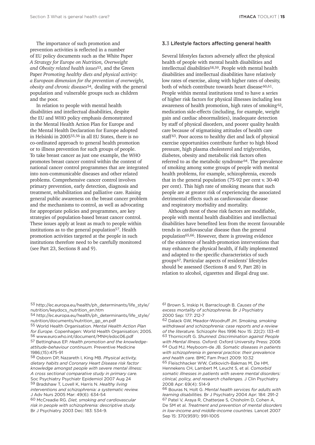The importance of such promotion and prevention activities is reflected in a number of EU policy documents such as the White Paper *A Strategy for Europe on Nutrition, Overweight and Obesity related health issues*53, and the Green Paper *Promoting healthy diets and physical activity: a European dimension for the prevention of overweight, obesity and chronic diseases*54, dealing with the general population and vulnerable groups such as children and the poor.

In relation to people with mental health disabilities and intellectual disabilities, despite the EU and WHO policy emphasis demonstrated in the Mental Health Action Plan for Europe and the Mental Health Declaration for Europe adopted in Helsinki in 200555,56 in all EU States, there is no co-ordinated approach to general health promotion or to illness prevention for such groups of people. To take breast cancer as just one example, the WHO promotes breast cancer control within the context of national cancer control programmes that are integrated into non-communicable diseases and other related problems. Comprehensive cancer control involves primary prevention, early detection, diagnosis and treatment, rehabilitation and palliative care. Raising general public awareness on the breast cancer problem and the mechanisms to control, as well as advocating for appropriate policies and programmes, are key strategies of population-based breast cancer control. These issues apply at least as much to people within institutions as to the general population<sup>57</sup>. Health promotion activities targeted at the people in such institutions therefore need to be carefully monitored (see Part 23, Sections 8 and 9).

#### **3.**3 **Lifestyle factors affecting general health**

Several lifestyles factors adversely affect the physical health of people with mental health disabilities and intellectual disabilities58,59. People with mental health disabilities and intellectual disabilities have relatively low rates of exercise, along with higher rates of obesity, both of which contribute towards heart disease<sup>60,61</sup>. People within mental institutions tend to have a series of higher risk factors for physical illnesses including less awareness of health promotion, high rates of smoking62, medication side-effects (including, for example, weight gain and cardiac abnormalities), inadequate detection by staff of physical disorders, and poorer quality health care because of stigmatising attitudes of health care staff<sup>63</sup>. Poor access to healthy diet and lack of physical exercise opportunities contribute further to high blood pressure, high plasma cholesterol and triglycerides, diabetes, obesity and metabolic risk factors often referred to as the metabolic syndrome<sup>64</sup>. The prevalence of smoking among some groups of people with mental health problems, for example, schizophrenia, exceeds that in the general population (75-92 per cent v. 30-40 per cent). This high rate of smoking means that such people are at greater risk of experiencing the associated detrimental effects such as cardiovascular disease and respiratory morbidity and mortality.

Although most of these risk factors are modifiable, people with mental health disabilities and intellectual disabilities have benefited less from the recent favourable trends in cardiovascular disease than the general population65,66. However, there is growing evidence of the existence of health-promotion interventions that may enhance the physical health, if fully implemented and adapted to the specific characteristics of such groups67. Particular aspects of residents' lifestyles should be assessed (Sections 8 and 9, Part 28) in relation to alcohol, cigarettes and illegal drug use.

53 http://ec.europa.eu/health/ph\_determinants/life\_style/ nutrition/keydocs\_nutrition\_en.htm

- 54 http://ec.europa.eu/health/ph\_determinants/life\_style/ nutrition/documents/nutrition\_gp\_en.pdf
- 55 World Health Organisation. *Mental Health Action Plan for Europe*. Copenhagen: World Health Organisation; 2005.

56 www.euro.who.int/document/MNH/edoc06.pdf 57 Bettinghaus EP. *Health promotion and the knowledgeattitude-behaviour continuum*. Preventive Medicine 1986;(15):475-91

58 Osborn DP, Nazareth I, King MB. *Physical activity, dietary habits and Coronary Heart Disease risk factor knowledge amongst people with severe mental illness: A cross sectional comparative study in primary care.* Soc Psychiatry Psychiatr Epidemiol 2007 Aug 24 59 Bradshaw T, Lovell K, Harris N. *Healthy living interventions and schizophrenia: a systematic review.*

J Adv Nurs 2005 Mar: 49(6): 634-54 60 McCreadie RG. *Diet, smoking and cardiovascular risk in people with schizophrenia: descriptive study.* Br J Psychiatry 2003 Dec: 183: 534-9.

61 Brown S, Inskip H, Barraclough B. *Causes of the excess mortality of schizophrenia*. Br J Psychiatry 2000 Sep: 177: 212-7

62 Dalack GW, Meador-Woodruff JH. *Smoking, smoking withdrawal and schizophrenia: case reports and a review of the literature.* Schizophr Res 1996 Nov 15: 22(2): 133-41 63 Thornicroft G. *Shunned: Discrimination against People with Mental Illness.* Oxford: Oxford University Press: 2006 64 Oud MJ, Meyboom-de JB. *Somatic diseases in patients with schizophrenia in general practice: their prevalence and health care*. BMC Fam Pract 2009: 10:32 65 Fleischhacker WW, Cetkovich-Bakmas M, De HM, Hennekens CH, Lambert M, Leucht S, et al. *Comorbid somatic illnesses in patients with severe mental disorders: clinical, policy, and research challenges.* J Clin Psychiatry 2008 Apr: 69(4): 514-9

66 Bouras N, Holt G. *Mental health services for adults with learning disabilities.* Br J Psychiatry 2004 Apr: 184: 291-2 67 Patel V, Araya R, Chatterjee S, Chisholm D, Cohen A, De SM et al. *Treatment and prevention of mental disorders in low-income and middle-income countries.* Lancet 2007 Sep 15: 370(9591): 991-1005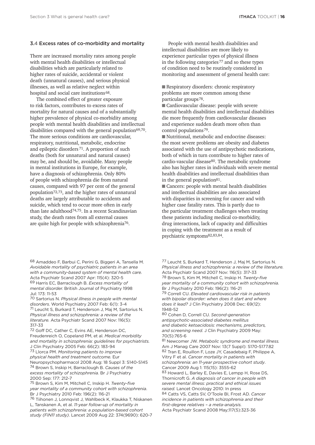#### **3.**4 **Excess rates of co-morbidity and mortality**

There are increased mortality rates among people with mental health disabilities or intellectual disabilities which are particularly related to higher rates of suicide, accidental or violent death (unnatural causes), and serious physical illnesses, as well as relative neglect within hospital and social care institutions<sup>68</sup>.

The combined effect of greater exposure to risk factors, contributes to excess rates of mortality for natural causes and of a substantially higher prevalence of physical co-morbidity among people with mental health disabilities and intellectual disabilities compared with the general population $69,70$ . The more serious conditions are cardiovascular, respiratory, nutritional, metabolic, endocrine and epileptic disorders 71. A proportion of such deaths (both for unnatural and natural causes) may be, and should be, avoidable. Many people in mental institutions in Europe, for example, have a diagnosis of schizophrenia. Only 80% of people with schizophrenia die from natural causes, compared with 97 per cent of the general population72,73, and the higher rates of unnatural deaths are largely attributable to accidents and suicide, which tend to occur more often in early than late adulthood<sup>74,75</sup>. In a recent Scandinavian study, the death rates from all external causes are quite high for people with schizophrenia76.

68 Amaddeo F, Barbui C, Perini G, Biggeri A, Tansella M. *Avoidable mortality of psychiatric patients in an area with a community-based system of mental health care.* Acta Psychiatr Scand 2007 Apr: 115(4): 320-5 69 Harris EC, Barraclough B. *Excess mortality of mental disorder.* British Journal of Psychiatry 1998 Jul: 173: 11-53

70 Sartorius N. *Physical illness in people with mental disorders*. World Psychiatry 2007 Feb: 6(1): 3-4 71 Leucht S, Burkard T, Henderson J, Maj M, Sartorius N. *Physical illness and schizophrenia: a review of the literature.* Acta Psychiatr Scand 2007 Nov: 116(5): 317-33

72 Goff DC, Cather C, Evins AE, Henderson DC, Freudenreich O, Copeland PM, et al. *Medical morbidity and mortality in schizophrenia: guidelines for psychiatrists.* J Clin Psychiatry 2005 Feb: 66(2): 183-94

73 Llorca PM. *Monitoring patients to improve physical health and treatment outcome.* Eur Neuropsychopharmacol 2008 Aug: 18 Suppl 3: S140-S145 74 Brown S, Inskip H, Barraclough B. *Causes of the excess mortality of schizophrenia.* Br J Psychiatry 2000 Sep: 177: 212-7

75 Brown S, Kim M, Mitchell C, Inskip H. *Twenty-five year mortality of a community cohort with schizophrenia*. Br J Psychiatry 2010 Feb: 196(2): 116-21

76 Tiihonen J, Lonnqvist J, Wahlbeck K, Klaukka T, Niskanen L, Tanskanen A, et al. *11-year follow-up of mortality in patients with schizophrenia: a population-based cohort study (FIN11 study)*. Lancet 2009 Aug 22: 374(9690): 620-7

People with mental health disabilities and intellectual disabilities are more likely to experience particular types of physical illness in the following categories<sup>77</sup> and so these types of condition need to be routinely considered in monitoring and assessment of general health care:

■ Respiratory disorders: chronic respiratory problems are more common among these particular groups78.

■ Cardiovascular disease: people with severe mental health disabilities and intellectual disabilities die more frequently from cardiovascular diseases and experience sudden death more often than control populations<sup>79</sup>.

■ Nutritional, metabolic and endocrine diseases: the most severe problems are obesity and diabetes associated with the use of antipsychotic medications, both of which in turn contribute to higher rates of cardio-vascular disease80. The metabolic syndrome also has higher rates in individuals with severe mental health disabilities and intellectual disabilities than in the general population<sup>81</sup>.

■ Cancers: people with mental health disabilities and intellectual disabilities are also associated with disparities in screening for cancer and with higher case fatality rates. This is partly due to the particular treatment challenges when treating these patients including medical co-morbidity, drug interactions, lack of capacity and difficulties in coping with the treatment as a result of psychiatric symptoms82,83,84.

77 Leucht S, Burkard T, Henderson J, Maj M, Sartorius N. *Physical illness and schizophrenia: a review of the literature.* Acta Psychiatr Scand 2007 Nov: 116(5): 317-33 78 Brown S, Kim M, Mitchell C, Inskip H. *Twenty-five year mortality of a community cohort with schizophrenia.* Br J Psychiatry 2010 Feb: 196(2): 116-21 79 Correll CU. *Elevated cardiovascular risk in patients with bipolar disorder: when does it start and where does it lead?* J Clin Psychiatry 2008 Dec: 69(12): 1948-52

80 Cohen D, Correll CU. *Second-generation antipsychotic-associated diabetes mellitus and diabetic ketoacidosis: mechanisms, predictors, and screening need*. J Clin Psychiatry 2009 May: 70(5):765-6

81 Newcomer JW. *Metabolic syndrome and mental illness.* Am J Manag Care 2007 Nov: 13(7 Suppl): S170-S177.82 82 Tran E, Rouillon F, Loze JY, Casadebaig F, Philippe A, Vitry F et al. *Cancer mortality in patients with schizophrenia: an 11-year prospective cohort study*. Cancer 2009 Aug 1: 115(15): 3555-62 83 Howard L, Barley E, Davies E, Lempp H, Rose DS, Thornicroft G. *A diagnosis of cancer in people with severe mental illness: practical and ethical issues raised.* Lancet Oncology 2010: In press 84 Catts VS, Catts SV, O'Toole BI, Frost AD. *Cancer incidence in patients with schizophrenia and their first-degree relatives – a meta-analysis.* Acta Psychiatr Scand 2008 May;117(5):323-36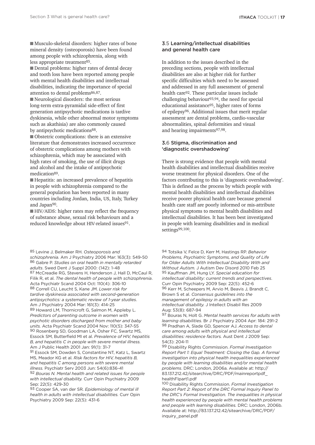■ Musculo-skeletal disorders: higher rates of bone mineral density (osteoporosis) have been found among people with schizophrenia, along with less appropriate treatment85.

■ Dental problems: higher rates of dental decay and tooth loss have been reported among people with mental health disabilities and intellectual disabilities, indicating the importance of special attention to dental problems86,87.

■ Neurological disorders: the most serious long-term extra-pyramidal side-effect of first generation antipsychotic medications is tardive dyskinesia, while other abnormal motor symptoms such as akathisia) are also commonly caused by antipsychotic medications<sup>88</sup>.

■ Obstetric complications: there is an extensive literature that demonstrates increased occurrence of obstetric complications among mothers with schizophrenia, which may be associated with high rates of smoking, the use of illicit drugs and alcohol and the intake of antipsychotic medication89.

■ Hepatitis: an increased prevalence of hepatitis in people with schizophrenia compared to the general population has been reported in many countries including Jordan, India, US, Italy, Turkey and Japan90.

■ HIV/AIDS: higher rates may reflect the frequency of substance abuse, sexual risk behaviours and a reduced knowledge about HIV-related issues<sup>91</sup>.

85 Levine J, Belmaker RH. *Osteoporosis and schizophrenia.* Am J Psychiatry 2006 Mar: 163(3): 549-50 86 Gabre P. *Studies on oral health in mentally retarded adults*. Swed Dent J Suppl 2000: (142): 1-48 87 McCreadie RG, Stevens H, Henderson J, Hall D, McCaul R, Filik R, et al. *The dental health of people with schizophrenia*. Acta Psychiatr Scand 2004 Oct: 110(4): 306-10 88 Correll CU, Leucht S, Kane JM. *Lower risk for tardive dyskinesia associated with second-generation antipsychotics: a systematic review of 1-year studies*. Am J Psychiatry 2004 Mar: 161(3): 414-25 89 Howard LM, Thornicroft G, Salmon M, Appleby L. *Predictors of parenting outcome in women with psychotic disorders discharged from mother and baby units.* Acta Psychiatr Scand 2004 Nov: 110(5): 347-55 90 Rosenberg SD, Goodman LA, Osher FC, Swartz MS, Essock SM, Butterfield MI et al. *Prevalence of HIV, hepatitis B, and hepatitis C in people with severe mental illness.* Am J Public Health 2001 Jan: 91(1): 31-7

91 Essock SM, Dowden S, Constantine NT, Katz L, Swartz MS, Meador KG et al. *Risk factors for HIV, hepatitis B, and hepatitis C among persons with severe mental illness.* Psychiatr Serv 2003 Jun: 54(6):836-41 92 *Bouras N. Mental health and related issues for people with intellectual disability.* Curr Opin Psychiatry 2009 Sep: 22(5): 429-30

93 Cooper SA, van der SR. *Epidemiology of mental ill health in adults with intellectual disabilities.* Curr Opin Psychiatry 2009 Sep: 22(5): 431-6

#### **3**.5 **Learning/intellectual disabilities and general health care**

In addition to the issues described in the preceding sections, people with intellectual disabilities are also at higher risk for further specific difficulties which need to be assessed and addressed in any full assessment of general health care92. These particular issues include challenging behaviour93,94, the need for special educational assistance95, higher rates of forms of epilepsy96. Additional issues that merit regular assessment are dental problems, cardio-vascular abnormalities, spinal deformities and visual and hearing impairments97,98.

#### **3.**6 **Stigma, discrimination and 'diagnostic overshadowing'**

There is strong evidence that people with mental health disabilities and intellectual disabilities receive worse treatment for physical disorders. One of the factors contributing to this is 'diagnostic overshadowing'. This is defined as the process by which people with mental health disabilities and intellectual disabilities receive poorer physical health care because general health care staff are poorly informed or mis-attribute physical symptoms to mental health disabilities and intellectual disabilities. It has been best investigated in people with learning disabilities and in medical settings<sup>99,100</sup>.

94 Totsika V, Felce D, Kerr M, Hastings RP. *Behavior Problems, Psychiatric Symptoms, and Quality of Life for Older Adults With Intellectual Disability With and Without Autism.* J Autism Dev Disord 2010 Feb 25 95 Kauffman JM, Hung LY. *Special education for intellectual disability: current trends and perspectives*. Curr Opin Psychiatry 2009 Sep: 22(5): 452-6 96 Kerr M, Scheepers M, Arvio M, Beavis J, Brandt C, Brown S et al. *Consensus guidelines into the management of epilepsy in adults with an intellectual disability.* J Intellect Disabil Res 2009 Aug: 53(8): 687-94

97 Bouras N, Holt G. *Mental health services for adults with learning disabilities.* Br J Psychiatry 2004 Apr: 184: 291-2 98 Pradhan A, Slade GD, Spencer AJ. *Access to dental care among adults with physical and intellectual disabilities: residence factors.* Aust Dent J 2009 Sep: 54(3): 204-11

99 Disability Rights Commission. *Formal Investigation Report Part 1: Equal Treatment: Closing the Gap. A formal investigation into physical health inequalities experienced by people with learning disabilities and/or mental health problems*. DRC: London, 2006a. Available at: http:// 83.137.212.42/sitearchive/DRC/PDF/mainreportpdf\_ healthFIpart1.pdf

100 Disability Rights Commission. *Formal Investigation Report Part 2: Report of the DRC Formal Inquiry Panel to the DRC's Formal Investigation. The inequalities in physical health experienced by people with mental health problems and people with learning disabilities.* DRC: London, 2006b. Available at: http://83.137.212.42/sitearchive/DRC/PDF/ inquiry\_panel.pdf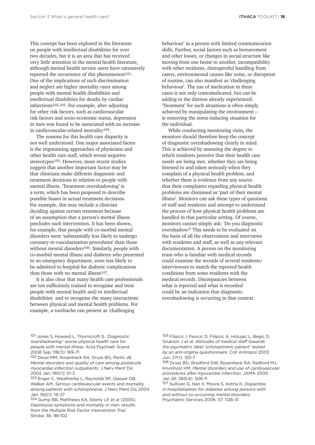This concept has been explored in the literature on people with intellectual disabilities for over two decades, but it is an area that has received very little attention in the mental health literature, although mental health service users have extensively reported the occurrence of this phenomenon<sup>101</sup>. One of the implications of such discrimination and neglect are higher mortality rates among people with mental health disabilities and intellectual disabilities for deaths by cardiac infarctions102,103. For example, after adjusting for other risk factors, such as cardiovascular risk factors and socio-economic status, depression in men was found to be associated with an increase in cardiovascular-related mortality104.

The reasons for this health care disparity is not well understood. One major associated factor is the stigmatising approaches of physicians and other health care staff, which reveal negative stereotypes<sup>105</sup>. However, more recent studies suggest that another important factor may be that clinicians make different diagnostic and treatment decisions in relation to people with mental illness. 'Treatment overshadowing' is a term, which has been proposed to describe possible biases in actual treatment decisions. For example, this may include a clinician deciding against certain treatment because of an assumption that a person's mental illness precludes such intervention. It has been shown, for example, that people with co-morbid mental disorders were 'substantially less likely to undergo coronary re-vascularisation procedures' than those without mental disorders<sup>106</sup>. Similarly, people with co-morbid mental illness and diabetes who presented to an emergency department, were less likely to be admitted to hospital for diabetic complications than those with no mental illness107.

It is also clear that many health care professionals are not sufficiently trained to recognise and treat people with mental health and/or intellectual disabilities and to recognise the many interactions between physical and mental health problems. For example, a toothache can present as 'challenging

behaviour' in a person with limited communication skills. Further, social factors such as bereavement and other losses, or changes in social structure like moving from one home to another, incompatibility with other residents, disrespectful handling from carers, environmental causes like noise, or disruption of routine, can also manifest as 'challenging behaviour'. The use of medication in these cases is not only contraindicated, but can be adding to the distress already experienced. 'Treatment' for such situations is often simply achieved by manipulating the environment – ie removing the stress-inducing situation for the individual.

While conducting monitoring visits, the monitors should therefore keep the concept of diagnostic overshadowing clearly in mind. This is achieved by assessing the degree to which residents perceive that their health care needs are being met, whether they are being listened to and taken seriously when they complain of a physical health problem, and whether there is evidence from any source that their complaints regarding physical health problems are dismissed as 'part of their mental illness'. Monitors can ask these types of questions of staff and residents and attempt to understand the process of how physical health problems are handled in that particular setting. Of course, monitors cannot simply ask: 'Do you diagnostic overshadow?' This needs to be evaluated on the basis of all the observations and interviews with residents and staff, as well as any relevant documentation. A person on the monitoring team who is familiar with medical records could examine the records of several residents/ interviewees to match the reported health conditions from some residents with the medical records. Discrepancies between what is reported and what is recorded could be an indication that diagnostic overshadowing is occurring in that context.

101 Jones S, Howard L, Thornicroft G. *'Diagnostic overshadowing': worse physical health care for people with mental illness*. Acta Psychiatr Scand 2008 Sep: 118(3): 169-71

102 Desai MM, Rosenheck RA, Druss BG, Perlin JB. *Mental disorders and quality of care among postacute myocardial infarction outpatients.* J Nerv Ment Dis 2002 Jan: 190(1): 51-3

103 Enger C, Weatherby L, Reynolds RF, Glasser DB, Walker AM. *Serious cardiovascular events and mortality among patients with schizophrenia*. J Nerv Ment Dis 2004 Jan: 192(1): 19-27

104 Gump BB, Matthews KA, Eberly LE et al (2005). *Depressive symptoms and mortality in men: results from the Multiple Risk Factor Intervention Trial*. Stroke, 36, 98-102

105 Filipcic I, Pavicic D, Filipcic A, Hotujac L, Begic D, Grubisin J et al. *Attitudes of medical staff towards the psychiatric label 'schizophrenic patient' tested by an anti-stigma questionnaire.* Coll Antropol 2003 Jun: 27(1): 301-7

106 Druss BG, Bradford DW, Rosenheck RA, Radford MJ, Krumholz HM. *Mental disorders and use of cardiovascular procedures after myocardial infarction*. JAMA 2000 Jan 26: 283(4): 506-11

107 Sullivan G, Han X, Moore S, Kotrla K. *Disparities in hospitalisation for diabetes among persons with and without co-occurring mental disorders*. Psychiatric Services 2006: 57: 1126-31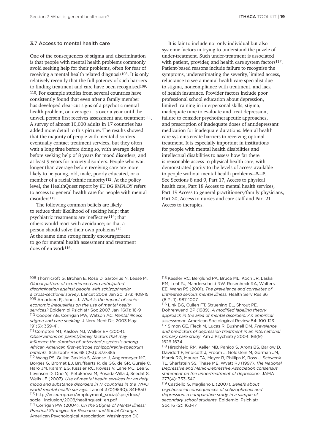#### **3.**7 **Access to mental health care**

One of the consequences of stigma and discrimination is that people with mental health problems commonly avoid seeking help for their problems, often for fear of receiving a mental health related diagnosis<sup>108</sup>. It is only relatively recently that the full potency of such barriers to finding treatment and care have been recognised109, 110. For example studies from several countries have consistently found that even after a family member has developed clear-cut signs of a psychotic mental health problem, on average it is over a year until the unwell person first receives assessment and treatment<sup>111</sup>. A survey of almost 10,000 adults in 17 countries has added more detail to this picture. The results showed that the majority of people with mental disorders eventually contact treatment services, but they often wait a long time before doing so, with average delays before seeking help of 8 years for mood disorders, and at least 9 years for anxiety disorders. People who wait longer than average before receiving care are more likely to be young, old, male, poorly educated, or a member of a racial/ethnic minority<sup>112</sup>. At the policy level, the HealthQuest report by EU DG EMPLOY refers to access to general health care for people with mental disorders<sup>113</sup>.

The following common beliefs are likely to reduce their likelihood of seeking help: that psychiatric treatments are ineffective114; that others would react with avoidance; or that a person should solve their own problems115. At the same time strong family encouragement to go for mental health assessment and treatment does often work116.

108 Thornicroft G, Brohan E, Rose D, Sartorius N, Leese M. *Global pattern of experienced and anticipated discrimination against people with schizophrenia: a cross-sectional survey*. Lancet 2009 Jan 20: 373: 408-15 109 Amaddeo F, Jones J. *What is the impact of socioeconomic inequalities on the use of mental health services?* Epidemiol Psichiatr Soc 2007 Jan: 16(1): 16-9 110 Cooper AE, Corrigan PW, Watson AC. *Mental illness stigma and care seeking.* J Nerv Ment Dis 2003 May: 191(5): 339-41.

111 Compton MT, Kaslow NJ, Walker EF (2004). *Observations on parent/family factors that may influence the duration of untreated psychosis among African American first-episode schizophrenia-spectrum patients*. Schizophr Res 68 (2-3): 373-385 112 Wang PS, Guilar-Gaxiola S, Alonso J, Angermeyer MC, Borges G, Bromet EJ, Bruffaerts R, de GG, de GR, Gureje O, Haro JM. Karam EG, Kessler RC, Kovess V, Lane MC, Lee S, Levinson D, Ono Y, Petukhova M, Posada-Villa J, Seedat S, Wells JE (2007). *Use of mental health services for anxiety, mood and substance disorders in 17 countries in the WHO world mental health surveys*. Lancet 370(9590): 841-850 113 http://ec.europa.eu/employment\_social/spsi/docs/ social\_inclusion/2008/healthquest\_en.pdf 114 Corrigan PW (2004). *On the Stigma of Mental Illness: Practical Strategies for Research and Social Change*. American Psychological Association: Washington DC

It is fair to include not only individual but also systemic factors in trying to understand the puzzle of under-treatment. Such under-treatment is associated with patient, provider, and health care system factors<sup>117</sup>. Patient-based reasons include failure to recognise the symptoms, underestimating the severity, limited access, reluctance to see a mental health care specialist due to stigma, noncompliance with treatment, and lack of health insurance. Provider factors include poor professional school education about depression, limited training in interpersonal skills, stigma, inadequate time to evaluate and treat depression, failure to consider psychotherapeutic approaches, and prescription of inadequate doses of antidepressant medication for inadequate durations. Mental health care systems create barriers to receiving optimal treatment. It is especially important in institutions for people with mental health disabilities and intellectual disabilities to assess how far there is reasonable access to physical health care, with demonstrated parity to the levels of access available to people without mental health problems118,119. See Sections 8 and 9, Part 17, Access to physical health care, Part 18 Access to mental health services, Part 19 Access to general practitioners/family physicians, Part 20, Access to nurses and care staff and Part 21 Access to therapies.

115 Kessler RC, Berglund PA, Bruce ML, Koch JR, Laska EM, Leaf PJ, Manderscheid RW, Rosenheck RA, Walters EE, Wang PS (2001). *The prevalence and correlates of untreated serious mental illness.* Health Serv Res 36 (6 Pt 1): 987-1007

116 Link BG, Cullen FT, Struening EL, Shrout PE, Dohrenwend BP (1989). *A modified labeling theory approach in the area of mental disorders: An empirical assessment.* American Sociological Review 54: 100-123 117 Simon GE, Fleck M, Lucas R, Bushnell DM. *Prevalence and predictors of depression treatment in an international primary care study*. Am J Psychiatry 2004: 161(9): 1626-1634

118 Hirschfeld RM, Keller MB, Panico S, Arons BS, Barlow D, Davidoff F, Endicott J, Froom J, Goldstein M, Gorman JM, Marek RG, Maurer TA, Meyer R, Phillips K, Ross J, Schwenk TL, Sharfstein SS, Thase ME, Wyatt RJ (1997). *The National Depressive and Manic-Depressive Association consensus statement on the undertreatment of depression*. JAMA 277(4): 333-340

119 Castiello G, Magliano L (2007). *Beliefs about psychosocial consequences of schizophrenia and depression: a comparative study in a sample of secondary school students*. Epidemiol Psichiatr Soc 16 (2): 163-17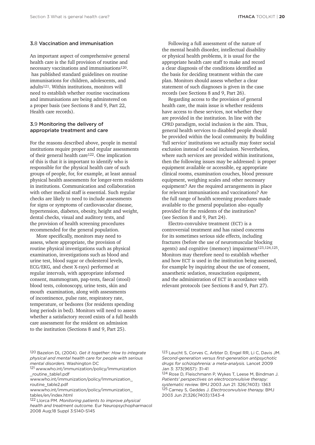#### **3.**8 **Vaccination and immunisation**

An important aspect of comprehensive general health care is the full provision of routine and necessary vaccinations and immunisations120. has published standard guidelines on routine immunisations for children, adolescents, and adults121. Within institutions, monitors will need to establish whether routine vaccinations and immunisations are being adminstered on a proper basis (see Sections 8 and 9, Part 22, Health care records).

#### **3.**9 **Monitoring the delivery of appropriate treatment and care**

For the reasons described above, people in mental institutions require proper and regular assessments of their general health care122. One implication of this is that it is important to identify who is responsible for the physical health care of such groups of people, for, for example, at least annual physical health assessments for longer-term residents in institutions. Communication and collaboration with other medical staff is essential. Such regular checks are likely to need to include assessments for signs or symptoms of cardiovascular disease, hypertension, diabetes, obesity, height and weight, dental checks, visual and auditory tests, and the provision of health screening procedures recommended for the general population.

More specifically, monitors may need to assess, where appropriate, the provision of routine physical investigations such as physical examination, investigations such as blood and urine test, blood sugar or cholesterol levels, ECG/EKG, and chest X-rays) performed at regular intervals, with appropriate informed consent, mammogram, pap-tests, faecal (stool) blood tests, colonoscopy, urine tests, skin and mouth examination, along with assessments of incontinence, pulse rate, respiratory rate, temperature, or bedsores (for residents spending long periods in bed). Monitors will need to assess whether a satisfactory record exists of a full health care assessment for the resident on admission to the institution (Sections 8 and 9, Part 25).

Following a full assessment of the nature of the mental health disorder, intellectual disability or physical health problems, it is usual for the appropriate health care staff to make and record a clear diagnosis of the conditions identified as the basis for deciding treatment within the care plan. Monitors should assess whether a clear statement of such diagnoses is given in the case records (see Sections 8 and 9, Part 26).

Regarding access to the provision of general health care, the main issue is whether residents have access to these services, not whether they are provided in the institution. In line with the CPRD paradigm, social inclusion is the aim. Thus, general health services to disabled people should be provided within the local community. By building 'full service' institutions we actually may foster social exclusion instead of social inclusion. Nevertheless, where such services are provided within institutions, then the following issues may be addressed: is proper equipment available or accessible, eg appropriate clinical rooms, examination couches, blood pressure equipment, weighing scales and other necessary equipment? Are the required arrangements in place for relevant immunisations and vaccinations? Are the full range of health screening procedures made available to the general population also equally provided for the residents of the institution? (see Section 8 and 9, Part 24).

Electro-convulsive treatment (ECT) is a controversial treatment and has raised concerns for its sometimes serious side effects, including fractures (before the use of neuromuscular blocking agents) and cognitive (memory) impairment<sup>123,124,125</sup>. Monitors may therefore need to establish whether and how ECT is used in the institution being assessed, for example by inquiring about the use of consent, anaesthetic sedation, resuscitation equipment, and the administration of ECT in accordance with relevant protocols (see Sections 8 and 9, Part 27).

121 www.who.int/immunization/policy/Immunization \_routine\_table1.pdf

www.who.int/immunization/policy/Immunization\_ routine\_table2.pdf

122 Llorca PM. *Monitoring patients to improve physical health and treatment outcome.* Eur Neuropsychopharmacol 2008 Aug;18 Suppl 3:S140-S145

123 Leucht S, Corves C, Arbter D, Engel RR, Li C, Davis JM. *Second-generation versus first-generation antipsychotic drugs for schizophrenia: a meta-analysis.* Lancet 2009 Jan 3: 373(9657): 31-41

124 Rose D, Fleischmann P, Wykes T, Leese M, Bindman J. *Patients' perspectives on electroconvulsive therapy: systematic review.* BMJ 2003 Jun 21: 326(7403): 1363 125 Carney S, Geddes J. *Electroconvulsive therapy.* BMJ 2003 Jun 21;326(7403):1343-4

<sup>120</sup> Bazelon DL (2004). *Get it together: How to integrate physical and mental health care for people with serious mental disorders.* Washington DC

www.who.int/immunization/policy/immunization\_ tables/en/index.html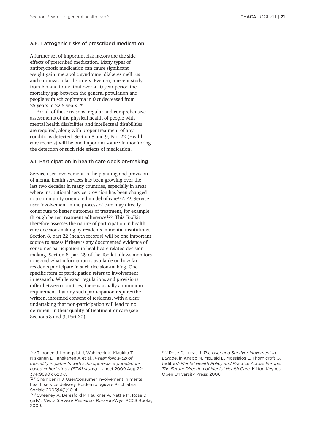#### **3.**10 **Latrogenic risks of prescribed medication**

A further set of important risk factors are the side effects of prescribed medication. Many types of antipsychotic medication can cause significant weight gain, metabolic syndrome, diabetes mellitus and cardiovascular disorders. Even so, a recent study from Finland found that over a 10 year period the mortality gap between the general population and people with schizophrenia in fact decreased from 25 years to 22.5 years126.

For all of these reasons, regular and comprehensive assessments of the physical health of people with mental health disabilities and intellectual disabilities are required, along with proper treatment of any conditions detected. Section 8 and 9, Part 22 (Health care records) will be one important source in monitoring the detection of such side effects of medication.

#### **3.**11 **Participation in health care decision-making**

Service user involvement in the planning and provision of mental health services has been growing over the last two decades in many countries, especially in areas where institutional service provision has been changed to a community-orientated model of care127,128. Service user involvement in the process of care may directly contribute to better outcomes of treatment, for example through better treatment adherence<sup>129</sup>. This Toolkit therefore assesses the nature of participation in health care decision-making by residents in mental institutions. Section 8, part 22 (health records) will be one important source to assess if there is any documented evidence of consumer participation in healthcare related decisionmaking. Section 8, part 29 of the Toolkit allows monitors to record what information is available on how far residents participate in such decision-making. One specific form of participation refers to involvement in research. While exact regulations and provisions differ between countries, there is usually a minimum requirement that any such participation requires the written, informed consent of residents, with a clear undertaking that non-participation will lead to no detriment in their quality of treatment or care (see Sections 8 and 9, Part 30).

126 Tiihonen J, Lonnqvist J, Wahlbeck K, Klaukka T, Niskanen L, Tanskanen A et al. *11-year follow-up of mortality in patients with schizophrenia: a populationbased cohort study (FIN11 study)*. Lancet 2009 Aug 22: 374(9690): 620-7.

127 Chamberlin J. User/consumer involvement in mental health service delivery. Epidemiologica e Psichiatria Sociale 2005;14(1):10-4

128 Sweeney A, Beresford P, Faulkner A, Nettle M, Rose D, (eds). *This Is Survivor Research*. Ross-on-Wye: PCCS Books; 2009.

129 Rose D, Lucas J. *The User and Survivor Movement in Europe*, in Knapp M, McDaid D, Mossialos E, Thornicroft G, (editors) *Mental Health Policy and Practice Across Europe. The Future Direction of Mental Health Care*. Milton Keynes: Open University Press; 2006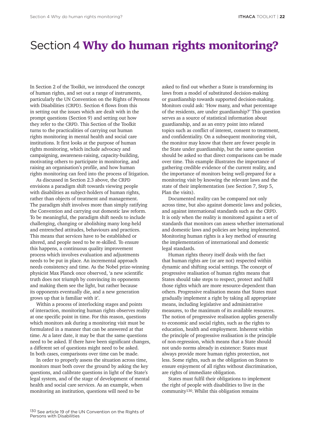# Section4 **Why do human rights monitoring?**

In Section 2 of the Toolkit, we introduced the concept of human rights, and set out a range of instruments, particularly the UN Convention on the Rights of Persons with Disabilities (CRPD). Section 4 flows from this in setting out the issues which are dealt with in the prompt questions (Section 9) and setting out how they refer to the CRPD. This Section of the Toolkit turns to the practicalities of carrying out human rights monitoring in mental health and social care institutions. It first looks at the purpose of human rights monitoring, which include advocacy and campaigning, awareness-raising, capacity-building, motivating others to participate in monitoring, and raising an organisation's profile, and how human rights monitoring can feed into the process of litigation.

As discussed in Section 2.3 above, the CRPD envisions a paradigm shift towards viewing people with disabilities as subject-holders of human rights, rather than objects of treatment and management. The paradigm shift involves more than simply ratifying the Convention and carrying out domestic law reform. To be meaningful, the paradigm shift needs to include challenging, changing or abolishing many long-held and entrenched attitudes, behaviours and practices. This means that services have to be established or altered, and people need to be re-skilled. To ensure this happens, a continuous quality improvement process which involves evaluation and adjustments needs to be put in place. An incremental approach needs consistency and time. As the Nobel prize-winning physicist Max Planck once observed, 'a new scientific truth does not triumph by convincing its opponents and making them see the light, but rather because its opponents eventually die, and a new generation grows up that is familiar with it'.

Within a process of interlocking stages and points of interaction, monitoring human rights observes reality at one specific point in time. For this reason, questions which monitors ask during a monitoring visit must be formulated in a manner that can be answered at that time. At a later date, it may be that the same questions need to be asked. If there have been significant changes, a different set of questions might need to be asked. In both cases, comparisons over time can be made.

In order to properly assess the situation across time, monitors must both cover the ground by asking the key questions, and calibrate questions in light of the State's legal system, and of the stage of development of mental health and social care services. As an example, when monitoring an institution, questions will need to be

asked to find out whether a State is transforming its laws from a model of substituted decision-making or guardianship towards supported decision-making. Monitors could ask: 'How many, and what percentage of the residents, are under guardianship?' This question serves as a source of statistical information about guardianship, and as an entry point into related topics such as conflict of interest, consent to treatment, and confidentiality. On a subsequent monitoring visit, the monitor may know that there are fewer people in the State under guardianship, but the same question should be asked so that direct comparisons can be made over time. This example illustrates the importance of gathering credible evidence of the current reality, and the importance of monitors being well-prepared for a monitoring visit by knowing the relevant laws and the state of their implementation (see Section 7, Step 5, Plan the visits).

Documented reality can be compared not only across time, but also against domestic laws and policies, and against international standards such as the CRPD. It is only when the reality is monitored against a set of standards that monitors can assess whether international and domestic laws and policies are being implemented. Monitoring human rights is a key method of ensuring the implementation of international and domestic legal standards.

Human rights theory itself deals with the fact that human rights are (or are not) respected within dynamic and shifting social settings. The concept of progressive realisation of human rights means that States should take steps to respect, protect and fulfil those rights which are more resource-dependent than others. Progressive realisation means that States must gradually implement a right by taking all appropriate means, including legislative and administrative measures, to the maximum of its available resources. The notion of progressive realisation applies generally to economic and social rights, such as the rights to education, health and employment. Inherent within the principle of progressive realisation is the principle of non-regression, which means that a State should not undo norms already in existence: States must always provide more human rights protection, not less. Some rights, such as the obligation on States to ensure enjoyment of all rights without discrimination, are rights of immediate obligation.

States must fulfil their obligations to implement the right of people with disabilities to live in the community130. Whilst this obligation remains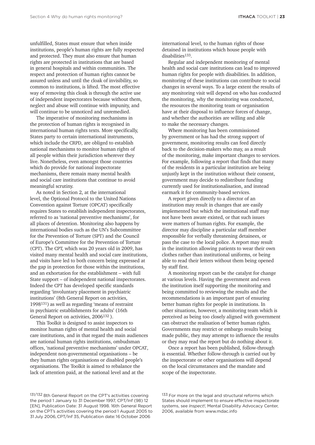unfulfilled, States must ensure that when inside institutions, people's human rights are fully respected and protected. They must also ensure that human rights are protected in institutions that are based in general hospitals and within communities. The respect and protection of human rights cannot be assured unless and until the cloak of invisibility, so common to institutions, is lifted. The most effective way of removing this cloak is through the active use of independent inspectorates because without them, neglect and abuse will continue with impunity, and will continue to be unnoticed and unremedied.

The imperative of monitoring mechanisms in the protection of human rights is recognised in international human rights texts. More specifically, States party to certain international instruments, which include the CRPD, are obliged to establish national mechanisms to monitor human rights of all people within their jurisdiction wherever they live. Nonetheless, even amongst those countries which do provide for national inspectorate mechanisms, there remain many mental health and social care institutions that continue to avoid meaningful scrutiny.

As noted in Section 2, at the international level, the Optional Protocol to the United Nations Convention against Torture (OPCAT) specifically requires States to establish independent inspectorates, referred to as 'national preventive mechanisms', for all places of detention. Monitoring also happens by international bodies such as the UN's Subcommittee for the Prevention of Torture (SPT) and the Council of Europe's Committee for the Prevention of Torture (CPT). The CPT, which was 20 years old in 2009, has visited many mental health and social care institutions, and visits have led to both concern being expressed at the gap in protection for those within the institutions, and an exhortation for the establishment – with full State support – of independent national inspectorates. Indeed the CPT has developed specific standards regarding 'involuntary placement in psychiatric institutions' (8th General Report on activities, 1998131) as well as regarding 'means of restraint in psychiatric establishments for adults' (16th General Report on activities, 2006132 ).

This Toolkit is designed to assist inspectors to monitor human rights of mental health and social care institutions, and in that regard the main audiences are national human rights institutions, ombudsman offices, 'national preventive mechanisms' under OPCAT, independent non-governmental organisations – be they human rights organisations or disabled people's organisations. The Toolkit is aimed to rebalance the lack of attention paid, at the national level and at the

international level, to the human rights of those detained in institutions which house people with disabilities<sup>133</sup>.

Regular and independent monitoring of mental health and social care institutions can lead to improved human rights for people with disabilities. In addition, monitoring of these institutions can contribute to social changes in several ways. To a large extent the results of any monitoring visit will depend on who has conducted the monitoring, why the monitoring was conducted, the resources the monitoring team or organisation have at their disposal to influence forces of change, and whether the authorities are willing and able to make the necessary changes.

Where monitoring has been commissioned by government or has had the strong support of government, monitoring results can feed directly back to the decision-makers who may, as a result of the monitoring, make important changes to services. For example, following a report that finds that many of the residents in a particular institution are being unjustly kept in the institution without their consent, government may decide to redistribute funding currently used for institutionalisation, and instead earmark it for community-based services.

A report given directly to a director of an institution may result in changes that are easily implemented but which the institutional staff may not have been aware existed, or that such issues were matters of human rights. For example, the director may discipline a particular staff member responsible for verbally threatening detainees, or pass the case to the local police. A report may result in the institution allowing patients to wear their own clothes rather than institutional uniforms, or being able to read their letters without them being opened by staff first.

A monitoring report can be the catalyst for change at various levels. Having the government and even the institution itself supporting the monitoring and being committed to reviewing the results and the recommendations is an important part of ensuring better human rights for people in institutions. In other situations, however, a monitoring team which is perceived as being too closely aligned with government can obstruct the realisation of better human rights. Governments may restrict or embargo results being made public, they may attempt to influence the results or they may read the report but do nothing about it.

Once a report has been published, follow-through is essential. Whether follow-through is carried out by the inspectorate or other organisations will depend on the local circumstances and the mandate and scope of the inspectorate.

131/132 8th General Report on the CPT's activities covering the period 1 January to 31 December 1997, CPT/Inf (98) 12 [EN], Publication Date: 31 August 1998. 16th General Report on the CPT's activities covering the period 1 August 2005 to 31 July 2006,CPT/Inf 35, Publication date:16 October 2006

133 For more on the legal and structural reforms which States should implement to ensure effective inspectorate systems, see *Inspect!*, Mental Disability Advocacy Center, 2006, available from www.mdac.info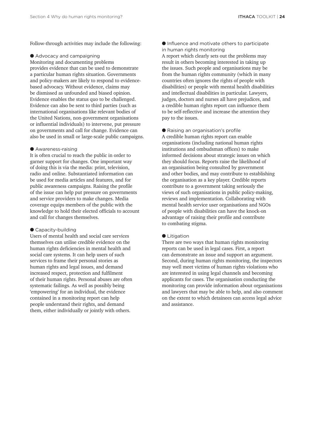Follow-through activities may include the following:

#### ● Advocacy and campaigning

Monitoring and documenting problems provides evidence that can be used to demonstrate a particular human rights situation. Governments and policy-makers are likely to respond to evidencebased advocacy. Without evidence, claims may be dismissed as unfounded and biased opinion. Evidence enables the status quo to be challenged. Evidence can also be sent to third parties (such as international organisations like relevant bodies of the United Nations, non-government organisations or influential individuals) to intervene, put pressure on governments and call for change. Evidence can also be used in small or large-scale public campaigns.

#### ● Awareness-raising

It is often crucial to reach the public in order to garner support for changes. One important way of doing this is via the media: print, television, radio and online. Substantiated information can be used for media articles and features, and for public awareness campaigns. Raising the profile of the issue can help put pressure on governments and service providers to make changes. Media coverage equips members of the public with the knowledge to hold their elected officials to account and call for changes themselves.

#### ● Capacity-building

Users of mental health and social care services themselves can utilise credible evidence on the human rights deficiencies in mental health and social care systems. It can help users of such services to frame their personal stories as human rights and legal issues, and demand increased respect, protection and fulfilment of their human rights. Personal abuses are often systematic failings. As well as possibly being 'empowering' for an individual, the evidence contained in a monitoring report can help people understand their rights, and demand them, either individually or jointly with others.

● Influence and motivate others to participate in human rights monitoring

A report which clearly sets out the problems may result in others becoming interested in taking up the issues. Such people and organisations may be from the human rights community (which in many countries often ignores the rights of people with disabilities) or people with mental health disabilities and intellectual disabilities in particular. Lawyers, judges, doctors and nurses all have prejudices, and a credible human rights report can influence them to be self-reflective and increase the attention they pay to the issues.

● Raising an organisation's profile A credible human rights report can enable organisations (including national human rights institutions and ombudsman offices) to make informed decisions about strategic issues on which they should focus. Reports raise the likelihood of an organisation being consulted by government and other bodies, and may contribute to establishing the organisation as a key player. Credible reports contribute to a government taking seriously the views of such organisations in public policy-making, reviews and implementation. Collaborating with mental health service user organisations and NGOs of people with disabilities can have the knock-on advantage of raising their profile and contribute to combating stigma.

#### ● Litigation

There are two ways that human rights monitoring reports can be used in legal cases. First, a report can demonstrate an issue and support an argument. Second, during human rights monitoring, the inspectors may well meet victims of human rights violations who are interested in using legal channels and becoming applicants for cases. The organisation conducting the monitoring can provide information about organisations and lawyers that may be able to help, and also comment on the extent to which detainees can access legal advice and assistance.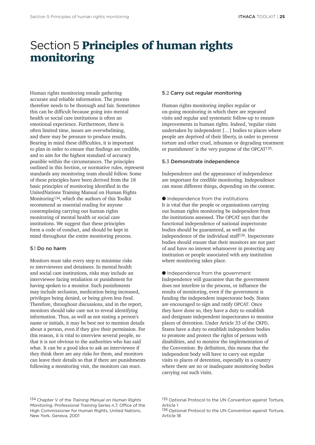## Section 5 **Principles of human rights monitoring**

Human rights monitoring entails gathering accurate and reliable information. The process therefore needs to be thorough and fair. Sometimes this can be difficult because going into mental health or social care institutions is often an emotional experience. Furthermore, there is often limited time, issues are overwhelming, and there may be pressure to produce results. Bearing in mind these difficulties, it is important to plan in order to ensure that findings are credible, and to aim for the highest standard of accuracy possible within the circumstances. The principles outlined in this Section, or normative rules, represent standards any monitoring team should follow. Some of these principles have been derived from the 18 basic principles of monitoring identified in the UnitedNations Training Manual on Human Rights Monitoring134, which the authors of this Toolkit recommend as essential reading for anyone contemplating carrying out human rights monitoring of mental health or social care institutions. We suggest that these principles form a code of conduct, and should be kept in mind throughout the entire monitoring process.

#### **5**.1 **Do no harm**

Monitors must take every step to minimise risks to interviewees and detainees. In mental health and social care institutions, risks may include an interviewee facing retaliation or punishment for having spoken to a monitor. Such punishments may include seclusion, medication being increased, privileges being denied, or being given less food. Therefore, throughout discussions, and in the report, monitors should take care not to reveal identifying information. Thus, as well as not stating a person's name or initials, it may be best not to mention details about a person, even if they give their permission. For this reason, it is vital to interview several people, so that it is not obvious to the authorities who has said what. It can be a good idea to ask an interviewee if they think there are any risks for them, and monitors can leave their details so that if there are punishments following a monitoring visit, the monitors can react.

#### **5**.2 **Carry out regular monitoring**

Human rights monitoring implies regular or on-going monitoring in which there are repeated visits and regular and systematic follow-up to ensure improvements in human rights. Indeed, 'regular visits undertaken by independent […] bodies to places where people are deprived of their liberty, in order to prevent torture and other cruel, inhuman or degrading treatment or punishment' is the very purpose of the OPCAT135.

#### **5.**3 **Demonstrate independence**

Independence and the appearance of independence are important for credible monitoring. Independence can mean different things, depending on the context.

● Independence from the institutions It is vital that the people or organisations carrying out human rights monitoring be independent from the institutions assessed. The OPCAT says that the functional independence of national inspectorate bodies should be guaranteed, as well as the independence of the individual staff136. Inspectorate bodies should ensure that their monitors are not part of and have no interest whatsoever in protecting any institution or people associated with any institution where monitoring takes place.

● Independence from the government Independence will guarantee that the government does not interfere in the process, or influence the results of monitoring, even if the government is funding the independent inspectorate body. States are encouraged to sign and ratify OPCAT. Once they have done so, they have a duty to establish and designate independent inspectorates to monitor places of detention. Under Article 33 of the CRPD, States have a duty to establish independent bodies to promote and protect the rights of persons with disabilities, and to monitor the implementation of the Convention. By definition, this means that the independent body will have to carry out regular visits to places of detention, especially in a country where there are no or inadequate monitoring bodies carrying out such visits.

134 Chapter V of the *Training Manual on Human Rights Monitoring*, Professional Training Series n.7, Office of the High Commissioner for Human Rights, United Nations, New York, Geneva, 2001

135 Optional Protocol to the UN Convention against Torture, Article 1

<sup>136</sup> Optional Protocol to the UN Convention against Torture, Article 18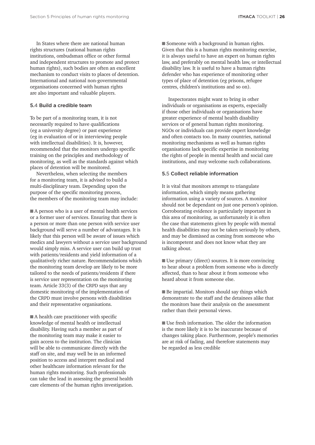In States where there are national human rights structures (national human rights institutions, ombudsman office or other formal and independent structures to promote and protect human rights), such bodies are often an excellent mechanism to conduct visits to places of detention. International and national non-governmental organisations concerned with human rights are also important and valuable players.

#### **5.**4 **Build a credible team**

To be part of a monitoring team, it is not necessarily required to have qualifications (eg a university degree) or past experience (eg in evaluation of or in interviewing people with intellectual disabilities). It is, however, recommended that the monitors undergo specific training on the principles and methodology of monitoring, as well as the standards against which places of detention will be monitored.

Nevertheless, when selecting the members for a monitoring team, it is advised to build a multi-disciplinary team. Depending upon the purpose of the specific monitoring process, the members of the monitoring team may include:

■ A person who is a user of mental health services or a former user of services. Ensuring that there is a person or more than one person with service user background will serve a number of advantages. It is likely that this person will be aware of issues which medics and lawyers without a service user background would simply miss. A service user can build up trust with patients/residents and yield information of a qualitatively richer nature. Recommendations which the monitoring team develop are likely to be more tailored to the needs of patients/residents if there is service user representation on the monitoring team. Article 33(3) of the CRPD says that any domestic monitoring of the implementation of the CRPD must involve persons with disabilities and their representative organisations.

■ A health care practitioner with specific knowledge of mental health or intellectual disability. Having such a member as part of the monitoring team may make it easier to gain access to the institution. The clinician will be able to communicate directly with the staff on site, and may well be in an informed position to access and interpret medical and other healthcare information relevant for the human rights monitoring. Such professionals can take the lead in assessing the general health care elements of the human rights investigation. ■ Someone with a background in human rights. Given that this is a human rights monitoring exercise, it is always useful to have an expert on human rights law, and preferably on mental health law, or intellectual disability law. It is useful to have a human rights defender who has experience of monitoring other types of place of detention (eg prisons, refugee centres, children's institutions and so on).

Inspectorates might want to bring in other individuals or organisations as experts, especially if those other individuals or organisations have greater experience of mental health disability services or of general human rights monitoring. NGOs or individuals can provide expert knowledge and often contacts too. In many countries, national monitoring mechanisms as well as human rights organisations lack specific expertise in monitoring the rights of people in mental health and social care institutions, and may welcome such collaborations.

#### **5.**5 **Collect reliable information**

It is vital that monitors attempt to triangulate information, which simply means gathering information using a variety of sources. A monitor should not be dependant on just one person's opinion. Corroborating evidence is particularly important in this area of monitoring, as unfortunately it is often the case that statements given by people with mental health disabilities may not be taken seriously by others, and may be dismissed as coming from someone who is incompetent and does not know what they are talking about.

■ Use primary (direct) sources. It is more convincing to hear about a problem from someone who is directly affected, than to hear about it from someone who heard about it from someone else.

■ Be impartial. Monitors should say things which demonstrate to the staff and the detainees alike that the monitors base their analysis on the assessment rather than their personal views.

■ Use fresh information. The older the information is the more likely it is to be inaccurate because of changes taking place. Furthermore, people's memories are at risk of fading, and therefore statements may be regarded as less credible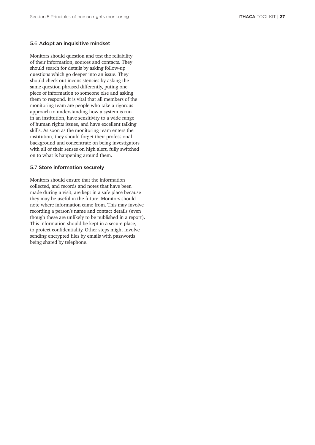#### 5.6 Adopt an inquisitive mindset

Monitors should question and test the reliability of their information, sources and contacts. They should search for details by asking follow-up questions which go deeper into an issue. They should check out inconsistencies by asking the same question phrased differently, puting one piece of information to someone else and asking them to respond. It is vital that all members of the monitoring team are people who take a rigorous approach to understanding how a system is run in an institution, have sensitivity to a wide range of human rights issues, and have excellent talking skills. As soon as the monitoring team enters the institution, they should forget their professional background and concentrate on being investigators with all of their senses on high alert, fully switched on to what is happening around them.

#### 5.7 Store information securely

Monitors should ensure that the information collected, and records and notes that have been made during a visit, are kept in a safe place because they may be useful in the future. Monitors should note where information came from. This may involve recording a person's name and contact details (even though these are unlikely to be published in a report). This information should be kept in a secure place, to protect confidentiality. Other steps might involve sending encrypted files by emails with passwords being shared by telephone.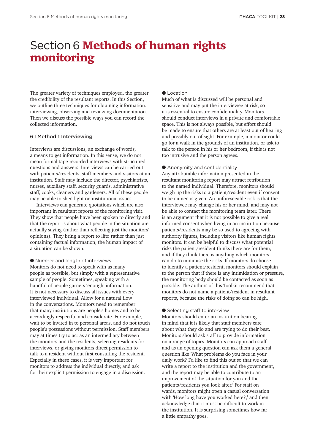# Section 6 **Methods of human rights monitoring**

The greater variety of techniques employed, the greater the credibility of the resultant reports. In this Section, we outline three techniques for obtaining information: interviewing, observing and reviewing documentation. Then we discuss the possible ways you can record the collected information.

#### **6**.1 **Method 1 Interviewing**

Interviews are discussions, an exchange of words, a means to get information. In this sense, we do not mean formal tape-recorded interviews with structured questions and answers. Interviews can be carried out with patients/residents, staff members and visitors at an institution. Staff may include the director, psychiatrists, nurses, auxiliary staff, security guards, administrative staff, cooks, cleaners and gardeners. All of these people may be able to shed light on institutional issues.

Interviews can generate quotations which are also important in resultant reports of the monitoring visit. They show that people have been spoken to directly and that the report is about what people in the situation are actually saying (rather than reflecting just the monitors' opinions). They bring a report to life: rather than just containing factual information, the human impact of a situation can be shown.

● Number and length of interviews Monitors do not need to speak with as many people as possible, but simply with a representative sample of people. Sometimes, speaking with a handful of people garners 'enough' information. It is not necessary to discuss all issues with every interviewed individual. Allow for a natural flow in the conversations. Monitors need to remember that many institutions are people's homes and to be accordingly respectful and considerate. For example, wait to be invited in to personal areas, and do not touch people's possessions without permission. Staff members may at times try to act as an intermediary between the monitors and the residents, selecting residents for interviews, or giving monitors direct permission to talk to a resident without first consulting the resident. Especially in these cases, it is very important for monitors to address the individual directly, and ask for their explicit permission to engage in a discussion.

#### ● Location

Much of what is discussed will be personal and sensitive and may put the interviewee at risk, so it is essential to ensure confidentiality. Monitors should conduct interviews in a private and comfortable space. This is not always possible, but effort should be made to ensure that others are at least out of hearing and possibly out of sight. For example, a monitor could go for a walk in the grounds of an institution, or ask to talk to the person in his or her bedroom, if this is not too intrusive and the person agrees.

#### ● Anonymity and confidentiality

Any attributable information presented in the resultant monitoring report may attract retribution to the named individual. Therefore, monitors should weigh up the risks to a patient/resident even if consent to be named is given. An unforeseeable risk is that the interviewee may change his or her mind, and may not be able to contact the monitoring team later. There is an argument that it is not possible to give a real informed consent when living in an institution because patients/residents may be so used to agreeing with authority figures, including visitors like human rights monitors. It can be helpful to discuss what potential risks the patient/resident thinks there are for them, and if they think there is anything which monitors can do to minimise the risks. If monitors do choose to identify a patient/resident, monitors should explain to the person that if there is any intimidation or pressure, the monitoring body should be contacted as soon as possible. The authors of this Toolkit recommend that monitors do not name a patient/resident in resultant reports, because the risks of doing so can be high.

#### ● Selecting staff to interview

Monitors should enter an institution bearing in mind that it is likely that staff members care about what they do and are trying to do their best. Monitors should ask staff to provide information on a range of topics. Monitors can approach staff and as an opening question can ask them a general question like 'What problems do you face in your daily work? I'd like to find this out so that we can write a report to the institution and the government, and the report may be able to contribute to an improvement of the situation for you and the patients/residents you look after.' For staff on wards, monitors might open a casual conversation with 'How long have you worked here?,' and then acknowledge that it must be difficult to work in the institution. It is surprising sometimes how far a little empathy goes.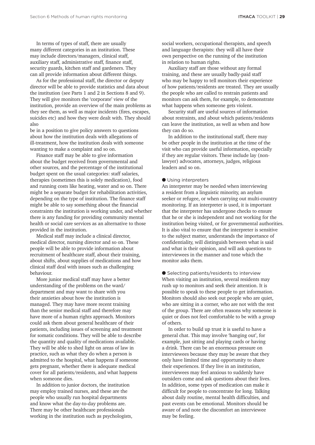In terms of types of staff, there are usually many different categories in an institution. These may include directors/managers, clinical staff, auxiliary staff, administrative staff, finance staff, security guards, kitchen staff and gardeners. They can all provide information about different things.

As for the professional staff, the director or deputy director will be able to provide statistics and data about the institution (see Parts 1 and 2 in Sections 8 and 9). They will give monitors the 'corporate' view of the institution, provide an overview of the main problems as they see them, as well as major incidents (fires, escapes, suicides etc) and how they were dealt with. They should also

be in a position to give policy answers to questions about how the institution deals with allegations of ill-treatment, how the institution deals with someone wanting to make a complaint and so on.

Finance staff may be able to give information about the budget received from governmental and other sources, and the percentage of the institutional budget spent on the usual categories: staff salaries, therapies (sometimes this is solely medication), food and running costs like heating, water and so on. There might be a separate budget for rehabilitation activities, depending on the type of institution. The finance staff might be able to say something about the financial constraints the institution is working under, and whether there is any funding for providing community mental health or social care services as an alternative to those provided in the institution.

Medical staff may include a clinical director, medical director, nursing director and so on. These people will be able to provide information about recruitment of healthcare staff, about their training, about shifts, about supplies of medications and how clinical staff deal with issues such as challenging behaviour.

More junior medical staff may have a better understanding of the problems on the ward/ department and may want to share with you their anxieties about how the institution is managed. They may have more recent training than the senior medical staff and therefore may have more of a human rights approach. Monitors could ask them about general healthcare of their patients, including issues of screening and treatment for somatic conditions. They will be able to describe the quantity and quality of medications available. They will be able to shed light on areas of law in practice, such as what they do when a person is admitted to the hospital, what happens if someone gets pregnant, whether there is adequate medical cover for all patients/residents, and what happens when someone dies.

In addition to junior doctors, the institution may employ trained nurses, and these are the people who usually run hospital departments and know what the day-to-day problems are. There may be other healthcare professionals working in the institution such as psychologists, social workers, occupational therapists, and speech and language therapists: they will all have their own perspective on the running of the institution in relation to human rights.

Auxiliary staff are those without any formal training, and these are usually badly-paid staff who may be happy to tell monitors their experience of how patients/residents are treated. They are usually the people who are called to restrain patients and monitors can ask them, for example, to demonstrate what happens when someone gets violent.

Security staff are useful sources of information about restraints, and about which patients/residents can leave the institution, as well as when and how they can do so.

In addition to the institutional staff, there may be other people in the institution at the time of the visit who can provide useful information, especially if they are regular visitors. These include lay (nonlawyer) advocates, attorneys, judges, religious leaders and so on.

#### ● Using interpreters

An interpreter may be needed when interviewing a resident from a linguistic minority, an asylum seeker or refugee, or when carrying out multi-country monitoring. If an interpreter is used, it is important that the interpreter has undergone checks to ensure that he or she is independent and not working for the institution being visited, or for governmental authorities. It is also vital to ensure that the interpreter is sensitive to the subject matter, understands the importance of confidentiality, will distinguish between what is said and what is their opinion, and will ask questions to interviewees in the manner and tone which the monitor asks them.

● Selecting patients/residents to interview When visiting an institution, several residents may rush up to monitors and seek their attention. It is possible to speak to these people to get information. Monitors should also seek out people who are quiet, who are sitting in a corner, who are not with the rest of the group. There are often reasons why someone is quiet or does not feel comfortable to be with a group of others.

In order to build up trust it is useful to have a general chat. This may involve 'hanging out', for example, just sitting and playing cards or having a drink. There can be an enormous pressure on interviewees because they may be aware that they only have limited time and opportunity to share their experiences. If they live in an institution, interviewees may feel anxious to suddenly have outsiders come and ask questions about their lives. In addition, some types of medication can make it difficult for people to concentrate for long. Talking about daily routine, mental health difficulties, and past events can be emotional. Monitors should be aware of and note the discomfort an interviewee may be feeling.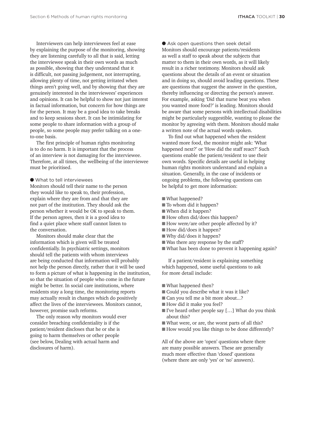Interviewers can help interviewees feel at ease by explaining the purpose of the monitoring, showing they are listening carefully to all that is said, letting the interviewee speak in their own words as much as possible, showing that they understand that it is difficult, not passing judgement, not interrupting, allowing plenty of time, not getting irritated when things aren't going well, and by showing that they are genuinely interested in the interviewees' experiences and opinions. It can be helpful to show not just interest in factual information, but concern for how things are for the person. It may be a good idea to take breaks and to keep sessions short. It can be intimidating for some people to share information with a group of people, so some people may prefer talking on a oneto-one basis.

The first principle of human rights monitoring is to do no harm. It is important that the process of an interview is not damaging for the interviewee. Therefore, at all times, the wellbeing of the interviewee must be prioritised.

● What to tell interviewees

Monitors should tell their name to the person they would like to speak to, their profession, explain where they are from and that they are not part of the institution. They should ask the person whether it would be OK to speak to them. If the person agrees, then it is a good idea to find a quiet place where staff cannot listen to the conversation.

Monitors should make clear that the information which is given will be treated confidentially. In psychiatric settings, monitors should tell the patients with whom interviews are being conducted that information will probably not help the person directly, rather that it will be used to form a picture of what is happening in the institution, so that the situation of people who come in the future might be better. In social care institutions, where residents stay a long time, the monitoring reports may actually result in changes which do positively affect the lives of the interviewees. Monitors cannot, however, promise such reforms.

The only reason why monitors would ever consider breaching confidentiality is if the patient/resident discloses that he or she is going to harm themselves or other people (see below, Dealing with actual harm and disclosures of harm).

● Ask open questions then seek detail Monitors should encourage patients/residents as well a staff to speak about the subjects that matter to them in their own words, as it will likely result in a richer testimony. Monitors should ask questions about the details of an event or situation and in doing so, should avoid leading questions. These are questions that suggest the answer in the question, thereby influencing or directing the person's answer. For example, asking 'Did that nurse beat you when you wanted more food?' is leading. Monitors should be aware that some persons with intellectual disabilities might be particularly suggestible, wanting to please the monitor by agreeing with them. Monitors should make a written note of the actual words spoken.

To find out what happened when the resident wanted more food, the monitor might ask: 'What happened next?' or 'How did the staff react?' Such questions enable the patient/resident to use their own words. Specific details are useful in helping human rights monitors understand and explain a situation. Generally, in the case of incidents or ongoing problems, the following questions can be helpful to get more information:

- What happened?
- To whom did it happen?
- When did it happen?
- How often did/does this happen?
- How were/are other people affected by it?
- How did/does it happen?
- Why did/does it happen?
- Was there any response by the staff?
- What has been done to prevent it happening again?

If a patient/resident is explaining something which happened, some useful questions to ask for more detail include:

■ What happened then?

- Could you describe what it was it like?
- Can you tell me a bit more about...?
- How did it make you feel?
- I've heard other people say [...] What do you think about this?
- What were, or are, the worst parts of all this?
- How would you like things to be done differently?

All of the above are 'open' questions where there are many possible answers. These are generally much more effective than 'closed' questions (where there are only 'yes' or 'no' answers).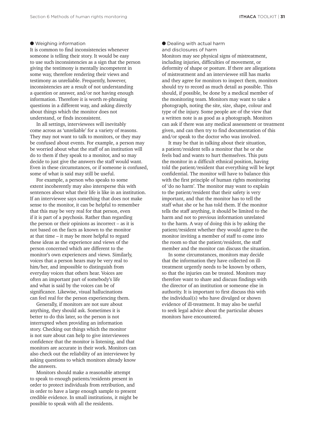#### ● Weighing information

It is common to find inconsistencies whenever someone is telling their story. It would be easy to use such inconsistencies as a sign that the person giving the testimony is mentally incompetent in some way, therefore rendering their views and testimony as unreliable. Frequently, however, inconsistencies are a result of not understanding a question or answer, and/or not having enough information. Therefore it is worth re-phrasing questions in a different way, and asking directly about things which the monitor does not understand, or finds inconsistent.

In all settings, interviewees will inevitably come across as 'unreliable' for a variety of reasons. They may not want to talk to monitors, or they may be confused about events. For example, a person may be worried about what the staff of an institution will do to them if they speak to a monitor, and so may decide to just give the answers the staff would want. Even in these circumstances, or if someone is confused, some of what is said may still be useful.

For example, a person who speaks to some extent incoherently may also intersperse this with sentences about what their life is like in an institution. If an interviewee says something that does not make sense to the monitor, it can be helpful to remember that this may be very real for that person, even if it is part of a psychosis. Rather than regarding the person or their opinions as incorrect – as it is not based on the facts as known to the monitor at that time – it may be more helpful to regard these ideas as the experience and views of the person concerned which are different to the monitor's own experiences and views. Similarly, voices that a person hears may be very real to him/her, and impossible to distinguish from everyday voices that others hear. Voices are often an important part of somebody's life and what is said by the voices can be of significance. Likewise, visual hallucinations can feel real for the person experiencing them.

Generally, if monitors are not sure about anything, they should ask. Sometimes it is better to do this later, so the person is not interrupted when providing an information story. Checking out things which the monitor is not sure about can help to give interviewees confidence that the monitor is listening, and that monitors are accurate in their work. Monitors can also check out the reliability of an interviewee by asking questions to which monitors already know the answers.

Monitors should make a reasonable attempt to speak to enough patients/residents present in order to protect individuals from retribution, and in order to have a large enough sample to present credible evidence. In small institutions, it might be possible to speak with all the residents.

#### ● Dealing with actual harm

and disclosures of harm Monitors may see physical signs of mistreatment, including injuries, difficulties of movement, or deformity of shape or posture. If there are allegations of mistreatment and an interviewee still has marks and they agree for monitors to inspect them, monitors should try to record as much detail as possible. This should, if possible, be done by a medical member of the monitoring team. Monitors may want to take a photograph, noting the site, size, shape, colour and type of the injury. Some people are of the view that a written note is as good as a photograph. Monitors can ask if there was any medical assessment or treatment given, and can then try to find documentation of this and/or speak to the doctor who was involved.

It may be that in talking about their situation, a patient/resident tells a monitor that he or she feels bad and wants to hurt themselves. This puts the monitor in a difficult ethnical position, having told the patient/resident that everything will be kept confidential. The monitor will have to balance this with the first principle of human rights monitoring of 'do no harm'. The monitor may want to explain to the patient/resident that their safety is very important, and that the monitor has to tell the staff what she or he has told them. If the monitor tells the staff anything, it should be limited to the harm and not to previous information unrelated to the harm. A way of doing this is by asking the patient/resident whether they would agree to the monitor inviting a member of staff to come into the room so that the patient/resident, the staff member and the monitor can discuss the situation.

In some circumstances, monitors may decide that the information they have collected on illtreatment urgently needs to be known by others, so that the injuries can be treated. Monitors may therefore want to share and discuss findings with the director of an institution or someone else in authority. It is important to first discuss this with the individual(s) who have divulged or shown evidence of ill-treatment. It may also be useful to seek legal advice about the particular abuses monitors have encountered.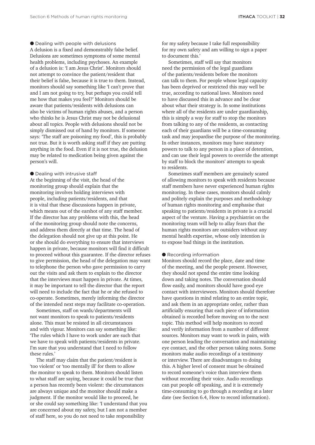#### ● Dealing with people with delusions

A delusion is a fixed and demonstrably false belief. Delusions are sometimes symptoms of some mental health problems, including psychoses. An example of a delusion is: 'I am Jesus Christ'. Monitors should not attempt to convince the patient/resident that their belief is false, because it is true to them. Instead, monitors should say something like 'I can't prove that and I am not going to try, but perhaps you could tell me how that makes you feel?' Monitors should be aware that patients/residents with delusions can also be victims of human rights abuses, and a person who thinks he is Jesus Christ may not be delusional about all topics. People with delusions should not be simply dismissed out of hand by monitors. If someone says: 'The staff are poisoning my food', this is probably not true. But it is worth asking staff if they are putting anything in the food. Even if it is not true, the delusion may be related to medication being given against the person's will.

● Dealing with intrusive staff

At the beginning of the visit, the head of the monitoring group should explain that the monitoring involves holding interviews with people, including patients/residents, and that it is vital that these discussions happen in private, which means out of the earshot of any staff member. If the director has any problems with this, the head of the monitoring group should note the concerns, and address them directly at that time. The head of the delegation should not give up at this point. He or she should do everything to ensure that interviews happen in private, because monitors will find it difficult to proceed without this guarantee. If the director refuses to give permission, the head of the delegation may want to telephone the person who gave permission to carry out the visits and ask them to explain to the director that the interviews must happen in private. At times, it may be important to tell the director that the report will need to include the fact that he or she refused to co-operate. Sometimes, merely informing the director of the intended next steps may facilitate co-operation.

Sometimes, staff on wards/departments will not want monitors to speak to patients/residents alone. This must be resisted in all circumstances and with vigour. Monitors can say something like: 'The rules which I have to work under are such that we have to speak with patients/residents in private. I'm sure that you understand that I need to follow these rules.'

The staff may claim that the patient/resident is 'too violent' or 'too mentally ill' for them to allow the monitor to speak to them. Monitors should listen to what staff are saying, because it could be true that a person has recently been violent: the circumstances are always unique and the monitor should make a judgment. If the monitor would like to proceed, he or she could say something like: 'I understand that you are concerned about my safety, but I am not a member of staff here, so you do not need to take responsibility

for my safety because I take full responsibility for my own safety and am willing to sign a paper to document this.'

Sometimes, staff will say that monitors need the permission of the legal guardians of the patients/residents before the monitors can talk to them. For people whose legal capacity has been deprived or restricted this may well be true, according to national laws. Monitors need to have discussed this in advance and be clear about what their strategy is. In some institutions where all of the residents are under guardianship, this is simply a way for staff to stop the monitors from talking to any of the residents, as contacting each of their guardians will be a time-consuming task and may jeopardise the purpose of the monitoring. In other instances, monitors may have statutory powers to talk to any person in a place of detention, and can use their legal powers to override the attempt by staff to block the monitors' attempts to speak to residents.

Sometimes staff members are genuinely scared of allowing monitors to speak with residents because staff members have never experienced human rights monitoring. In these cases, monitors should calmly and politely explain the purposes and methodology of human rights monitoring and emphasise that speaking to patients/residents in private is a crucial aspect of the venture. Having a psychiatrist on the monitoring team will help to allay fears that the human rights monitors are outsiders without any mental health expertise, whose only intention is to expose bad things in the institution.

#### ● Recording information

Monitors should record the place, date and time of the meeting, and the people present. However, they should not spend the entire time looking down and taking notes. The conversation should flow easily, and monitors should have good eye contact with interviewees. Monitors should therefore have questions in mind relating to an entire topic, and ask them in an appropriate order, rather than artificially ensuring that each piece of information obtained is recorded before moving on to the next topic. This method will help monitors to record and verify information from a number of different sources. Monitors may want to work in pairs, with one person leading the conversation and maintaining eye contact, and the other person taking notes. Some monitors make audio recordings of a testimony or interview. There are disadvantages to doing this. A higher level of consent must be obtained to record someone's voice than interview them without recording their voice. Audio recordings can put people off speaking, and it is extremely time-consuming to go through a recording at a later date (see Section 6.4, How to record information).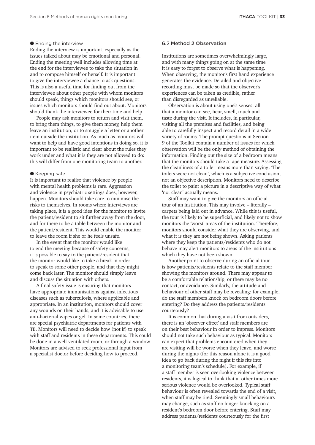#### ● Ending the interview

Ending the interview is important, especially as the issues talked about may be emotional and personal. Ending the meeting well includes allowing time at the end for the interviewee to take the situation in and to compose himself or herself. It is important to give the interviewee a chance to ask questions. This is also a useful time for finding out from the interviewee about other people with whom monitors should speak, things which monitors should see, or issues which monitors should find out about. Monitors should thank the interviewee for their time and help.

People may ask monitors to return and visit them, to bring them things, to give them money, help them leave an institution, or to smuggle a letter or another item outside the institution. As much as monitors will want to help and have good intentions in doing so, it is important to be realistic and clear about the rules they work under and what it is they are not allowed to do: this will differ from one monitoring team to another.

#### ● Keeping safe

It is important to realise that violence by people with mental health problems is rare. Aggression and violence in psychiatric settings does, however, happen. Monitors should take care to minimise the risks to themselves. In rooms where interviews are taking place, it is a good idea for the monitor to invite the patient/resident to sit further away from the door, and for there to be a table between the monitor and the patient/resident. This would enable the monitor to leave the room if she or he feels unsafe.

In the event that the monitor would like to end the meeting because of safety concerns, it is possible to say to the patient/resident that the monitor would like to take a break in order to speak to some other people, and that they might come back later. The monitor should simply leave and discuss the situation with others.

A final safety issue is ensuring that monitors have appropriate immunisations against infectious diseases such as tuberculosis, where applicable and appropriate. In an institution, monitors should cover any wounds on their hands, and it is advisable to use anti-bacterial wipes or gel. In some countries, there are special psychiatric departments for patients with TB. Monitors will need to decide how (not if) to speak with staff and residents in these departments. This could be done in a well-ventilated room, or through a window. Monitors are advised to seek professional input from a specialist doctor before deciding how to proceed.

#### **6.**2 **Method 2 Observation**

Institutions are sometimes overwhelmingly large, and with many things going on at the same time it is easy to forget to observe what is happening. When observing, the monitor's first hand experience generates the evidence. Detailed and objective recording must be made so that the observer's experiences can be taken as credible, rather than disregarded as unreliable.

Observation is about using one's senses: all that a monitor can see, hear, smell, touch and taste during the visit. It includes, in particular, visiting all the premises and facilities, and being able to carefully inspect and record detail in a wide variety of rooms. The prompt questions in Section 9 of the Toolkit contain a number of issues for which observation will be the only method of obtaining the information. Finding out the size of a bedroom means that the monitors should take a tape measure. Assessing the cleanliness of a toilet means more than saying: 'The toilets were not clean', which is a subjective conclusion, not an objective description. Monitors need to describe the toilet to paint a picture in a descriptive way of what 'not clean' actually means.

Staff may want to give the monitors an official tour of an institution. This may involve – literally – carpets being laid out in advance. While this is useful, the tour is likely to be superficial, and likely not to show monitors the 'worst' areas of the institution. Therefore, monitors should consider what they are observing, and what it is they are not being shown. Asking patients where they keep the patients/residents who do not behave may alert monitors to areas of the institutions which they have not been shown.

Another point to observe during an official tour is how patients/residents relate to the staff member showing the monitors around. There may appear to be a comfortable relationship, or there may be no contact, or avoidance. Similarly, the attitude and behaviour of other staff may be revealing: for example, do the staff members knock on bedroom doors before entering? Do they address the patients/residents courteously?

It is common that during a visit from outsiders, there is an 'observer effect' and staff members are on their best behaviour in order to impress. Monitors should not take such behaviour as typical. Monitors can expect that problems encountered when they are visiting will be worse when they leave, and worse during the nights (for this reason alone it is a good idea to go back during the night if this fits into a monitoring team's schedule). For example, if a staff member is seen overlooking violence between residents, it is logical to think that at other times more serious violence would be overlooked. Typical staff behaviour is often revealed towards the end of a visit, when staff may be tired. Seemingly small behaviours may change, such as staff no longer knocking on a resident's bedroom door before entering. Staff may address patients/residents courteously for the first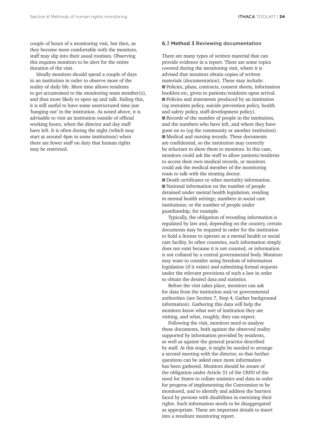couple of hours of a monitoring visit, but then, as they become more comfortable with the monitors, staff may slip into their usual routines. Observing this requires monitors to be alert for the entire duration of the visit.

Ideally monitors should spend a couple of days in an institution in order to observe more of the reality of daily life. More time allows residents to get accustomed to the monitoring team member(s), and thus more likely to open up and talk. Failing this, it is still useful to have some unstructured time just 'hanging out' in the institution. As noted above, it is advisable to visit an institution outside of official working hours, when the director and day staff have left. It is often during the night (which may start at around 4pm in some institutions) when there are fewer staff on duty that human rights may be restricted.

#### **6.**3 **Method 3 Reviewing documentation**

There are many types of written material that can provide evidence in a report. There are some topics covered during the monitoring visit, where it is advised that monitors obtain copies of written materials (documentation). These may include: ■ Policies, plans, contracts, consent sheets, information booklets etc, given to patients/residents upon arrival. ■ Policies and statements produced by an institution (eg restraints policy, suicide prevention policy, health and safety policy, staff development policy). ■ Records of the number of people in the institution, and the numbers who have left, and where they have gone on to (eg the community or another institution). ■ Medical and nursing records. These documents are confidential, so the institution may correctly be reluctant to show them to monitors. In this case, monitors could ask the staff to allow patients/residents to access their own medical records, or monitors could ask the medical member of the monitoring team to talk with the treating doctor. ■ Death certificates or other mortality information. ■ National information on the number of people detained under mental health legislation; residing in mental health settings; numbers in social care institutions; or the number of people under guardianship, for example.

Typically, the obligation of recording information is regulated by law and, depending on the country, certain documents may be required in order for the institution to hold a license to operate as a mental health or social care facility. In other countries, such information simply does not exist because it is not counted, or information is not collated by a central governmental body. Monitors may want to consider using freedom of information legislation (if it exists) and submitting formal requests under the relevant provisions of such a law in order to obtain the desired data and statistics.

Before the visit takes place, monitors can ask for data from the institution and/or governmental authorities (see Section 7, Step 4, Gather background information). Gathering this data will help the monitors know what sort of institution they are visiting, and what, roughly, they can expect.

Following the visit, monitors need to analyse these documents, both against the observed reality supported by information provided by residents, as well as against the general practice described by staff. At this stage, it might be needed to arrange a second meeting with the director, so that further questions can be asked once more information has been gathered. Monitors should be aware of the obligation under Article 31 of the CRPD of the need for States to collate statistics and data in order for progress of implementing the Convention to be monitored, and to identify and address the barriers faced by persons with disabilities in exercising their rights. Such information needs to be disaggregated as appropriate. These are important details to insert into a resultant monitoring report.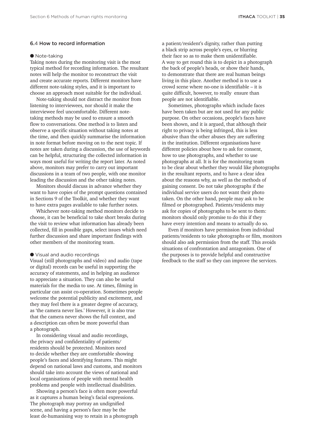#### **6.**4 **How to record information**

#### ● Note-taking

Taking notes during the monitoring visit is the most typical method for recording information. The resultant notes will help the monitor to reconstruct the visit and create accurate reports. Different monitors have different note-taking styles, and it is important to choose an approach most suitable for the individual.

Note-taking should not distract the monitor from listening to interviewees, nor should it make the interviewee feel uncomfortable. Different notetaking methods may be used to ensure a smooth flow to conversations. One method is to listen and observe a specific situation without taking notes at the time, and then quickly summarise the information in note format before moving on to the next topic. If notes are taken during a discussion, the use of keywords can be helpful, structuring the collected information in ways most useful for writing the report later. As noted above, monitors may prefer to carry out important discussions in a team of two people, with one monitor leading the discussion and the other taking notes.

Monitors should discuss in advance whether they want to have copies of the prompt questions contained in Sections 9 of the Toolkit, and whether they want to have extra pages available to take further notes.

Whichever note-taking method monitors decide to choose, it can be beneficial to take short breaks during the visit to review what information has already been collected, fill in possible gaps, select issues which need further discussion and share important findings with other members of the monitoring team.

#### ● Visual and audio recordings

Visual (still photographs and video) and audio (tape or digital) records can be useful in supporting the accuracy of statements, and in helping an audience to appreciate a situation. They can also be useful materials for the media to use. At times, filming in particular can assist co-operation. Sometimes people welcome the potential publicity and excitement, and they may feel there is a greater degree of accuracy, as 'the camera never lies.' However, it is also true that the camera never shows the full context, and a description can often be more powerful than a photograph.

In considering visual and audio recordings, the privacy and confidentiality of patients/ residents should be protected. Monitors need to decide whether they are comfortable showing people's faces and identifying features. This might depend on national laws and customs, and monitors should take into account the views of national and local organisations of people with mental health problems and people with intellectual disabilities.

Showing a person's face is often more powerful as it captures a human being's facial expressions. The photograph may portray an undignified scene, and having a person's face may be the least de-humanising way to retain in a photograph a patient/resident's dignity, rather than putting a black strip across people's eyes, or blurring their face so as to make them unidentifiable. A way to get round this is to depict in a photograph the back of people's heads, or show their hands, to demonstrate that there are real human beings living in this place. Another method is to use a crowd scene where no-one is identifiable – it is quite difficult, however, to really ensure than people are not identifiable.

Sometimes, photographs which include faces have been taken but are not used for any public purpose. On other occasions, people's faces have been shown, and it is argued, that although their right to privacy is being infringed, this is less abusive than the other abuses they are suffering in the institution. Different organisations have different policies about how to ask for consent, how to use photographs, and whether to use photographs at all. It is for the monitoring team to be clear about whether they would like photographs in the resultant reports, and to have a clear idea about the reasons why, as well as the methods of gaining consent. Do not take photographs if the individual service users do not want their photo taken. On the other hand, people may ask to be filmed or photographed. Patients/residents may ask for copies of photographs to be sent to them: monitors should only promise to do this if they have every intention and means to actually do so.

Even if monitors have permission from individual patients/residents to take photographs or film, monitors should also ask permission from the staff. This avoids situations of confrontation and antagonism. One of the purposes is to provide helpful and constructive feedback to the staff so they can improve the services.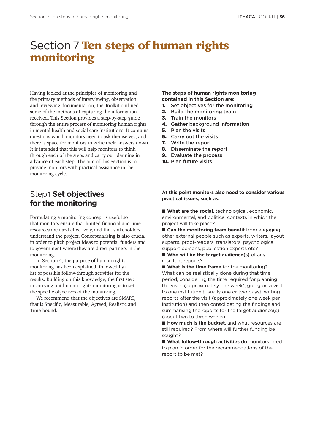# Section 7 **Ten steps of human rights monitoring**

Having looked at the principles of monitoring and the primary methods of interviewing, observation and reviewing documentation, the Toolkit outlined some of the methods of capturing the information received. This Section provides a step-by-step guide through the entire process of monitoring human rights in mental health and social care institutions. It contains questions which monitors need to ask themselves, and there is space for monitors to write their answers down. It is intended that this will help monitors to think through each of the steps and carry out planning in advance of each step. The aim of this Section is to provide monitors with practical assistance in the monitoring cycle.

## Step1 **Set objectives for the monitoring**

Formulating a monitoring concept is useful so that monitors ensure that limited financial and time resources are used effectively, and that stakeholders understand the project. Conceptualising is also crucial in order to pitch project ideas to potential funders and to government where they are direct partners in the monitoring.

In Section 4, the purpose of human rights monitoring has been explained, followed by a list of possible follow-through activities for the results. Building on this knowledge, the first step in carrying out human rights monitoring is to set the specific objectives of the monitoring.

We recommend that the objectives are SMART, that is Specific, Measurable, Agreed, Realistic and Time-bound.

**The steps of human rights monitoring contained in this Section are:**

- **1. Set objectives for the monitoring**
- **2. Build the monitoring team**
- **3. Train the monitors**
- **4. Gather background information**
- **5. Plan the visits**
- **6. Carry out the visits**
- **7. Write the report**
- **8. Disseminate the report**
- **9. Evaluate the process**
- **10. Plan future visits**

**At this point monitors also need to consider various practical issues, such as:**

■ **What are the social**, technological, economic, environmental, and political contexts in which the project will take place?

■ **Can the monitoring team benefit** from engaging other external people such as experts, writers, layout experts, proof-readers, translators, psychological support persons, publication experts etc?

■ **Who will be the target audience(s)** of any resultant reports?

■ **What is the time frame** for the monitoring? What can be realistically done during that time period, considering the time required for planning the visits (approximately one week), going on a visit to one institution (usually one or two days), writing reports after the visit (approximately one week per institution) and then consolidating the findings and summarising the reports for the target audience(s) (about two to three weeks).

■ **How much is the budget**, and what resources are still required? From where will further funding be sought?

■ What **follow-through activities** do monitors need to plan in order for the recommendations of the report to be met?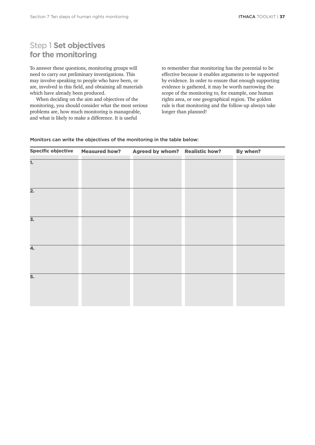## Step 1 **Set objectives for the monitoring**

To answer these questions, monitoring groups will need to carry out preliminary investigations. This may involve speaking to people who have been, or are, involved in this field, and obtaining all materials which have already been produced.

When deciding on the aim and objectives of the monitoring, you should consider what the most serious problems are, how much monitoring is manageable, and what is likely to make a difference. It is useful

to remember that monitoring has the potential to be effective because it enables arguments to be supported by evidence. In order to ensure that enough supporting evidence is gathered, it may be worth narrowing the scope of the monitoring to, for example, one human rights area, or one geographical region. The golden rule is that monitoring and the follow-up always take longer than planned!

#### **Monitors can write the objectives of the monitoring in the table below:**

| <b>Specific objective Measured how?</b> | <b>Agreed by whom?</b> Realistic how? | By when? |
|-----------------------------------------|---------------------------------------|----------|
| ī.                                      |                                       |          |
| $\overline{2}$ .                        |                                       |          |
| $\overline{3}$ .                        |                                       |          |
| 4.                                      |                                       |          |
| 5.                                      |                                       |          |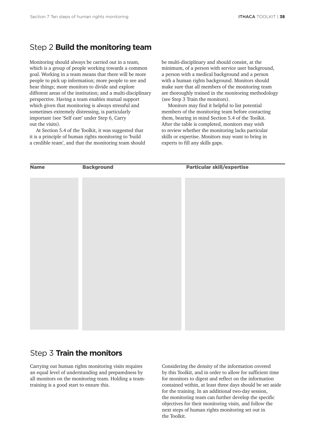### Step 2 **Build the monitoring team**

Monitoring should always be carried out in a team, which is a group of people working towards a common goal. Working in a team means that there will be more people to pick up information; more people to see and hear things; more monitors to divide and explore different areas of the institution; and a multi-disciplinary perspective. Having a team enables mutual support which given that monitoring is always stressful and sometimes extremely distressing, is particularly important (see 'Self care' under Step 6, Carry out the visits).

At Section 5.4 of the Toolkit, it was suggested that it is a principle of human rights monitoring to 'build a credible team', and that the monitoring team should be multi-disciplinary and should consist, at the minimum, of a person with service user background, a person with a medical background and a person with a human rights background. Monitors should make sure that all members of the monitoring team are thoroughly trained in the monitoring methodology (see Step 3 Train the monitors).

Monitors may find it helpful to list potential members of the monitoring team before contacting them, bearing in mind Section 5.4 of the Toolkit. After the table is completed, monitors may wish to review whether the monitoring lacks particular skills or expertise. Monitors may want to bring in experts to fill any skills gaps.

| <b>Name</b> | <b>Background</b> | Particular skill/expertise |
|-------------|-------------------|----------------------------|
|             |                   |                            |
|             |                   |                            |
|             |                   |                            |
|             |                   |                            |
|             |                   |                            |
|             |                   |                            |
|             |                   |                            |
|             |                   |                            |
|             |                   |                            |
|             |                   |                            |
|             |                   |                            |
|             |                   |                            |
|             |                   |                            |
|             |                   |                            |
|             |                   |                            |
|             |                   |                            |

### Step 3 **Train the monitors**

Carrying out human rights monitoring visits requires an equal level of understanding and preparedness by all monitors on the monitoring team. Holding a teamtraining is a good start to ensure this.

Considering the density of the information covered by this Toolkit, and in order to allow for sufficient time for monitors to digest and reflect on the information contained within, at least three days should be set aside for the training. In an additional two-day session, the monitoring team can further develop the specific objectives for their monitoring visits, and follow the next steps of human rights monitoring set out in the Toolkit.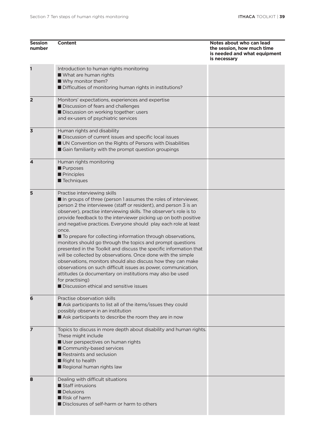| <b>Session</b><br>number | <b>Content</b>                                                                                                                                                                                                                                                                                                                                                                                                                                                                                                                                                                                                                                                                                                                                                                                                                                                                                                              | Notes about who can lead<br>the session, how much time<br>is needed and what equipment<br>is necessary |
|--------------------------|-----------------------------------------------------------------------------------------------------------------------------------------------------------------------------------------------------------------------------------------------------------------------------------------------------------------------------------------------------------------------------------------------------------------------------------------------------------------------------------------------------------------------------------------------------------------------------------------------------------------------------------------------------------------------------------------------------------------------------------------------------------------------------------------------------------------------------------------------------------------------------------------------------------------------------|--------------------------------------------------------------------------------------------------------|
| 1                        | Introduction to human rights monitoring<br>What are human rights<br>■ Why monitor them?<br>Difficulties of monitoring human rights in institutions?                                                                                                                                                                                                                                                                                                                                                                                                                                                                                                                                                                                                                                                                                                                                                                         |                                                                                                        |
| $\overline{2}$           | Monitors' expectations, experiences and expertise<br>Discussion of fears and challenges<br>Discussion on working together: users<br>and ex-users of psychiatric services                                                                                                                                                                                                                                                                                                                                                                                                                                                                                                                                                                                                                                                                                                                                                    |                                                                                                        |
| 3                        | Human rights and disability<br>Discussion of current issues and specific local issues<br>UN Convention on the Rights of Persons with Disabilities<br>Gain familiarity with the prompt question groupings                                                                                                                                                                                                                                                                                                                                                                                                                                                                                                                                                                                                                                                                                                                    |                                                                                                        |
| 4                        | Human rights monitoring<br>Purposes<br>Principles<br>$\blacksquare$ Techniques                                                                                                                                                                                                                                                                                                                                                                                                                                                                                                                                                                                                                                                                                                                                                                                                                                              |                                                                                                        |
| 5                        | Practise interviewing skills<br>In groups of three (person 1 assumes the roles of interviewer,<br>person 2 the interviewee (staff or resident), and person 3 is an<br>observer), practise interviewing skills. The observer's role is to<br>provide feedback to the interviewer picking up on both positive<br>and negative practices. Everyone should play each role at least<br>once.<br>■ To prepare for collecting information through observations,<br>monitors should go through the topics and prompt questions<br>presented in the Toolkit and discuss the specific information that<br>will be collected by observations. Once done with the simple<br>observations, monitors should also discuss how they can make<br>observations on such difficult issues as power, communication,<br>attitudes (a documentary on institutions may also be used<br>for practising)<br>■ Discussion ethical and sensitive issues |                                                                                                        |
| 6                        | Practise observation skills<br>Ask participants to list all of the items/issues they could<br>possibly observe in an institution<br>Ask participants to describe the room they are in now                                                                                                                                                                                                                                                                                                                                                                                                                                                                                                                                                                                                                                                                                                                                   |                                                                                                        |
| 7                        | Topics to discuss in more depth about disability and human rights.<br>These might include<br>User perspectives on human rights<br>Community-based services<br>Restraints and seclusion<br>Right to health<br>Regional human rights law                                                                                                                                                                                                                                                                                                                                                                                                                                                                                                                                                                                                                                                                                      |                                                                                                        |
| 8                        | Dealing with difficult situations<br>Staff intrusions<br>Delusions<br>$\blacksquare$ Risk of harm<br>Disclosures of self-harm or harm to others                                                                                                                                                                                                                                                                                                                                                                                                                                                                                                                                                                                                                                                                                                                                                                             |                                                                                                        |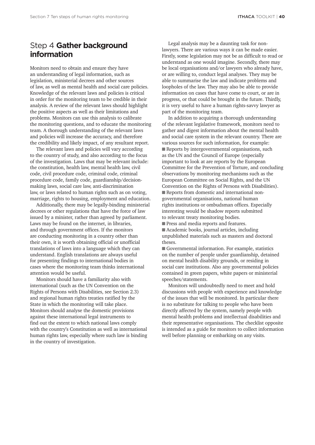### Step 4 **Gather background information**

Monitors need to obtain and ensure they have an understanding of legal information, such as legislation, ministerial decrees and other sources of law, as well as mental health and social care policies. Knowledge of the relevant laws and policies is critical in order for the monitoring team to be credible in their analysis. A review of the relevant laws should highlight the positive aspects as well as their limitations and problems. Monitors can use this analysis to calibrate the monitoring questions, and to educate the monitoring team. A thorough understanding of the relevant laws and policies will increase the accuracy, and therefore the credibility and likely impact, of any resultant report.

The relevant laws and policies will vary according to the country of study, and also according to the focus of the investigation. Laws that may be relevant include: the constitution, health law, mental health law, civil code, civil procedure code, criminal code, criminal procedure code, family code, guardianship/decisionmaking laws, social care law, anti-discrimination law, or laws related to human rights such as on voting, marriage, rights to housing, employment and education.

Additionally, there may be legally-binding ministerial decrees or other regulations that have the force of law issued by a minister, rather than agreed by parliament. Laws may be found on the internet, in libraries, and through government offices. If the monitors are conducting monitoring in a country other than their own, it is worth obtaining official or unofficial translations of laws into a language which they can understand. English translations are always useful for presenting findings to international bodies in cases where the monitoring team thinks international attention would be useful.

Monitors should have a familiarity also with international (such as the UN Convention on the Rights of Persons with Disabilities, see Section 2.3) and regional human rights treaties ratified by the State in which the monitoring will take place. Monitors should analyse the domestic provisions against these international legal instruments to find out the extent to which national laws comply with the country's Constitution as well as international human rights law, especially where such law is binding in the country of investigation.

Legal analysis may be a daunting task for nonlawyers. There are various ways it can be made easier. Firstly, some legislation may not be as difficult to read or understand as one would imagine. Secondly, there may be local organisations and/or lawyers who already have, or are willing to, conduct legal analyses. They may be able to summarise the law and indicate problems and loopholes of the law. They may also be able to provide information on cases that have come to court, or are in progress, or that could be brought in the future. Thirdly, it is very useful to have a human rights-savvy lawyer as part of the monitoring team.

In addition to acquiring a thorough understanding of the relevant legislative framework, monitors need to gather and digest information about the mental health and social care system in the relevant country. There are various sources for such information, for example: ■ Reports by intergovernmental organisations, such as the UN and the Council of Europe (especially important to look at are reports by the European Committee for the Prevention of Torture, and concluding observations by monitoring mechanisms such as the European Committee on Social Rights, and the UN Convention on the Rights of Persons with Disabilities). ■ Reports from domestic and international nongovernmental organisations, national human rights institutions or ombudsman offices. Especially interesting would be shadow reports submitted to relevant treaty monitoring bodies. ■ Press and media reports and features.

■ Academic books, journal articles, including unpublished materials such as masters and doctoral theses.

■ Governmental information. For example, statistics on the number of people under guardianship, detained on mental health disability grounds, or residing in social care institutions. Also any governmental policies contained in green papers, white papers or ministerial speeches/statements.

Monitors will undoubtedly need to meet and hold discussions with people with experience and knowledge of the issues that will be monitored. In particular there is no substitute for talking to people who have been directly affected by the system, namely people with mental health problems and intellectual disabilities and their representative organisations. The checklist opposite is intended as a guide for monitors to collect information well before planning or embarking on any visits.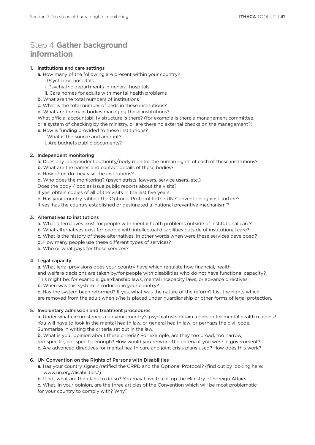## Step 4 **Gather background information**

#### **1. Institutions and care settings**

- **a.** How many of the following are present within your country?
	- i. Psychiatric hospitals
	- ii. Psychiatric departments in general hospitals
	- iii. Care homes for adults with mental health problems
- **b.** What are the total numbers of institutions?
- **c.** What is the total number of beds in these institutions?
- **d.** What are the main bodies managing these institutions?
- What official accountability structure is there? (for example is there a management committee, or a system of checking by the ministry, or are there no external checks on the management?)
- **e.** How is funding provided to these institutions?
	- i. What is the source and amount?
	- ii. Are budgets public documents?

#### **2. Independent monitoring**

**a.** Does any independent authority/body monitor the human rights of each of these institutions? **b.** What are the names and contact details of these bodies?

- **c.** How often do they visit the institutions?
- **d.** Who does the monitoring? (psychiatrists, lawyers, service users, etc.)
- Does the body / bodies issue public reports about the visits?

If yes, obtain copies of all of the visits in the last five years.

- **e.** Has your country ratified the Optional Protocol to the UN Convention against Torture?
- If yes, has the country established or designated a 'national preventive mechanism'?

#### **3. Alternatives to institutions**

- **a.** What alternatives exist for people with mental heath problems outside of institutional care?
- **b.** What alternatives exist for people with intellectual disabilities outside of institutional care?
- **c.** What is the history of these alternatives, in other words when were these services developed?
- **d.** How many people use these different types of services?
- **e.** Who or what pays for these services?

#### **4. Legal capacity**

**a.** What legal provisions does your country have which regulate how financial, health and welfare decisions are taken by/for people with disabilities who do not have functional capacity? This might be, for example, guardianship laws, mental incapacity laws, or advance directives. **b.** When was this system introduced in your country?

**c.** Has the system been reformed? If yes, what was the nature of the reform? List the rights which are removed from the adult when s/he is placed under guardianship or other forms of legal protection.

#### **5. Involuntary admission and treatment procedures**

**a.** Under what circumstances can your country's psychiatrists detain a person for mental health reasons? You will have to look in the mental health law, or general health law, or perhaps the civil code. Summarise in writing the criteria set out in the law.

**b.** What is your opinion about these criteria? For example, are they too broad, too narrow, too specific, not specific enough? How would you re-word the criteria if you were in government? **c.** Are advanced directives for mental health care and joint crisis plans used? How does this work?

#### **6. UN Convention on the Rights of Persons with Disabilities**

**a.** Has your country signed/ratified the CRPD and the Optional Protocol? (find out by looking here: www.un.org/disabilities/)

**b.** If not what are the plans to do so? You may have to call up the Ministry of Foreign Affairs.

**c.** What, in your opinion, are the three articles of the Convention which will be most problematic for your country to comply with? Why?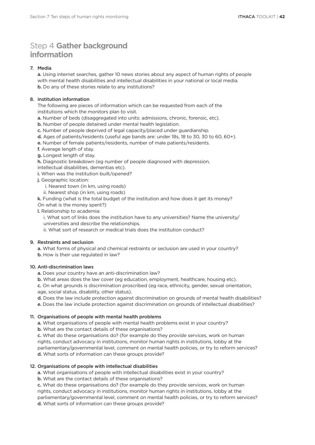## Step 4 **Gather background information**

#### **7. Media**

**a.** Using internet searches, gather 10 news stories about any aspect of human rights of people with mental health disabilities and intellectual disabilities in your national or local media. **b.** Do any of these stories relate to any institutions?

#### **8. Institution information**

The following are pieces of information which can be requested from each of the institutions which the monitors plan to visit.

**a.** Number of beds (disaggregated into units: admissions, chronic, forensic, etc).

**b.** Number of people detained under mental health legislation.

**c.** Number of people deprived of legal capacity/placed under guardianship.

**d.** Ages of patients/residents (useful age bands are: under 18s, 18 to 30, 30 to 60, 60+).

**e.** Number of female patients/residents, number of male patients/residents.

**f.** Average length of stay.

**g.** Longest length of stay.

**h.** Diagnostic breakdown (eg number of people diagnosed with depression,

intellectual disabilities, dementias etc).

**i.** When was the institution built/opened?

**j.** Geographic location:

i. Nearest town (in km, using roads)

ii. Nearest shop (in km, using roads)

**k.** Funding (what is the total budget of the institution and how does it get its money? On what is the money spent?)

**l.** Relationship to academia:

i. What sort of links does the institution have to any universities? Name the university/ universities and describe the relationships.

ii. What sort of research or medical trials does the institution conduct?

#### **9. Restraints and seclusion**

**a.** What forms of physical and chemical restraints or seclusion are used in your country? **b.** How is their use regulated in law?

#### **10. Anti-discrimination laws**

**a.** Does your country have an anti-discrimination law?

**b.** What areas does the law cover (eg education, employment, healthcare, housing etc).

**c.** On what grounds is discrimination proscribed (eg race, ethnicity, gender, sexual orientation, age, social status, disability, other status).

**d.** Does the law include protection against discrimination on grounds of mental health disabilities?

**e.** Does the law include protection against discrimination on grounds of intellectual disabilities?

#### **11. Organisations of people with mental health problems**

**a.** What organisations of people with mental health problems exist in your country?

**b.** What are the contact details of these organisations?

**c.** What do these organisations do? (for example do they provide services, work on human rights, conduct advocacy in institutions, monitor human rights in institutions, lobby at the parliamentary/governmental level, comment on mental health policies, or try to reform services? **d.** What sorts of information can these groups provide?

#### **12. Organisations of people with intellectual disabilities**

**a.** What organisations of people with intellectual disabilities exist in your country?

**b.** What are the contact details of these organisations?

**c.** What do these organisations do? (for example do they provide services, work on human rights, conduct advocacy in institutions, monitor human rights in institutions, lobby at the parliamentary/governmental level, comment on mental health policies, or try to reform services? **d.** What sorts of information can these groups provide?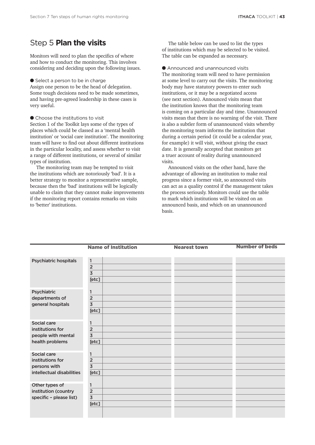### Step 5 **Plan the visits**

Monitors will need to plan the specifics of where and how to conduct the monitoring. This involves considering and deciding upon the following issues.

● Select a person to be in charge

Assign one person to be the head of delegation. Some tough decisions need to be made sometimes, and having pre-agreed leadership in these cases is very useful.

● Choose the institutions to visit

Section 1 of the Toolkit lays some of the types of places which could be classed as a 'mental health institution' or 'social care institution'. The monitoring team will have to find out about different institutions in the particular locality, and assess whether to visit a range of different institutions, or several of similar types of institution.

The monitoring team may be tempted to visit the institutions which are notoriously 'bad'. It is a better strategy to monitor a representative sample, because then the 'bad' institutions will be logically unable to claim that they cannot make improvements if the monitoring report contains remarks on visits to 'better' institutions.

The table below can be used to list the types of institutions which may be selected to be visited. The table can be expanded as necessary.

● Announced and unannounced visits The monitoring team will need to have permission at some level to carry out the visits. The monitoring body may have statutory powers to enter such institutions, or it may be a negotiated access (see next section). Announced visits mean that the institution knows that the monitoring team is coming on a particular day and time. Unannounced visits mean that there is no warning of the visit. There is also a subtler form of unannounced visits whereby the monitoring team informs the institution that during a certain period (it could be a calendar year, for example) it will visit, without giving the exact date. It is generally accepted that monitors get a truer account of reality during unannounced visits.

Announced visits on the other hand, have the advantage of allowing an institution to make real progress since a former visit, so announced visits can act as a quality control if the management takes the process seriously. Monitors could use the table to mark which institutions will be visited on an announced basis, and which on an unannounced basis.

|                                                                              | <b>Name of Institution</b>                                       | <b>Nearest town</b> | <b>Number of beds</b> |
|------------------------------------------------------------------------------|------------------------------------------------------------------|---------------------|-----------------------|
| <b>Psychiatric hospitals</b>                                                 | 1<br>$\overline{\mathbf{c}}$<br>$\overline{\mathbf{3}}$<br>[etc] |                     |                       |
| Psychiatric<br>departments of<br>general hospitals                           | 1<br>$\overline{\mathbf{c}}$<br>$\overline{\mathbf{3}}$<br>[etc] |                     |                       |
| Social care<br>institutions for<br>people with mental<br>health problems     | 1<br>$\overline{2}$<br>$\overline{3}$<br>[etc]                   |                     |                       |
| Social care<br>institutions for<br>persons with<br>intellectual disabilities | 1<br>$\overline{2}$<br>3<br>[etc]                                |                     |                       |
| Other types of<br>institution (country<br>specific - please list)            | 1<br>$\overline{\mathbf{c}}$<br>$\overline{\mathbf{3}}$<br>[etc] |                     |                       |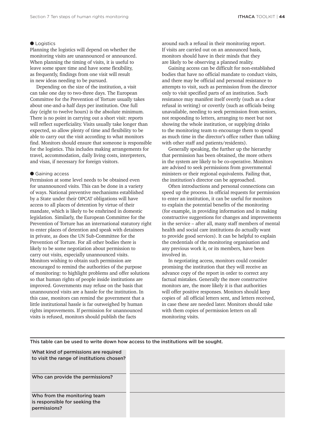#### ● Logistics

Planning the logistics will depend on whether the monitoring visits are unannounced or announced. When planning the timing of visits, it is useful to leave some spare time and have some flexibility, as frequently, findings from one visit will result in new ideas needing to be pursued.

Depending on the size of the institution, a visit can take one day to two-three days. The European Committee for the Prevention of Torture usually takes about one-and-a-half days per institution. One full day (eight to twelve hours) is the absolute minimum. There is no point in carrying out a short visit: reports will reflect superficiality. Visits usually take longer than expected, so allow plenty of time and flexibility to be able to carry out the visit according to what monitors find. Monitors should ensure that someone is responsible for the logistics. This includes making arrangements for travel, accommodation, daily living costs, interpreters, and visas, if necessary for foreign visitors.

#### ● Gaining access

Permission at some level needs to be obtained even for unannounced visits. This can be done in a variety of ways. National preventive mechanisms established by a State under their OPCAT obligations will have access to all places of detention by virtue of their mandate, which is likely to be enshrined in domestic legislation. Similarly, the European Committee for the Prevention of Torture has an international statutory right to enter places of detention and speak with detainees in private, as does the UN Sub-Committee for the Prevention of Torture. For all other bodies there is likely to be some negotiation about permission to carry out visits, especially unannounced visits. Monitors wishing to obtain such permission are encouraged to remind the authorities of the purpose of monitoring: to highlight problems and offer solutions so that human rights of people inside institutions are improved. Governments may refuse on the basis that unannounced visits are a hassle for the institution. In this case, monitors can remind the government that a little institutional hassle is far outweighed by human rights improvements. If permission for unannounced visits is refused, monitors should publish the facts

around such a refusal in their monitoring report. If visits are carried out on an announced basis, monitors should have in their minds that they are likely to be observing a planned reality.

Gaining access can be difficult for non-established bodies that have no official mandate to conduct visits, and there may be official and personal resistance to attempts to visit, such as permission from the director only to visit specified parts of an institution. Such resistance may manifest itself overtly (such as a clear refusal in writing) or covertly (such as officials being unavailable, needing to seek permission from seniors, not responding to letters, arranging to meet but not showing the whole institution, or supplying drinks to the monitoring team to encourage them to spend as much time in the director's office rather than talking with other staff and patients/residents).

Generally speaking, the further up the hierarchy that permission has been obtained, the more others in the system are likely to be co-operative. Monitors are advised to seek permissions from governmental ministers or their regional equivalents. Failing that, the institution's director can be approached.

Often introductions and personal connections can speed up the process. In official requests for permission to enter an institution, it can be useful for monitors to explain the potential benefits of the monitoring (for example, in providing information and in making constructive suggestions for changes and improvements in the service – after all, many staff members of mental health and social care institutions do actually want to provide good services). It can be helpful to explain the credentials of the monitoring organisation and any previous work it, or its members, have been involved in.

In negotiating access, monitors could consider promising the institution that they will receive an advance copy of the report in order to correct any factual mistakes. Generally the more constructive monitors are, the more likely it is that authorities will offer positive responses. Monitors should keep copies of all official letters sent, and letters received, in case these are needed later. Monitors should take with them copies of permission letters on all monitoring visits.

**This table can be used to write down how access to the institutions will be sought.**

| What kind of permissions are required      |  |
|--------------------------------------------|--|
| to visit the range of institutions chosen? |  |
|                                            |  |
|                                            |  |
|                                            |  |
| Who can provide the permissions?           |  |
|                                            |  |
|                                            |  |
|                                            |  |
| Who from the monitoring team               |  |
|                                            |  |
| is responsible for seeking the             |  |
| permissions?                               |  |
|                                            |  |
|                                            |  |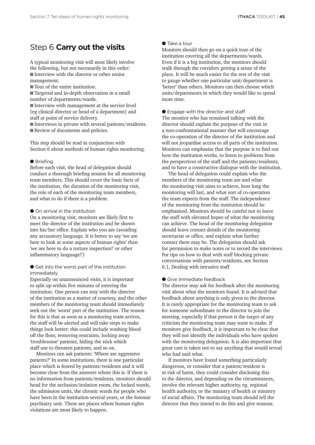### Step 6 **Carry out the visits**

A typical monitoring visit will most likely involve the following, but not necessarily in this order: ■ Interview with the director or other senior management.

■ Tour of the entire institution.

■ Targeted and in-depth observation in a small number of departments/wards.

■ Interview with management at the service level (eg clinical director or head of a department) and staff at point of service delivery.

■ Interviews in private with several patients/residents. ■ Review of documents and policies.

This step should be read in conjunction with Section 6 about methods of human rights monitoring.

#### ● Briefing

Before each visit, the head of delegation should conduct a thorough briefing session for all monitoring team members. This should cover the basic facts of the institution, the duration of the monitoring visit, the role of each of the monitoring team members, and what to do if there is a problem.

#### ● On arrival in the institution

On a monitoring visit, monitors are likely first to meet the director of the institution and be shown into his/her office. Explain who you are (avoiding any accusatory language. It is better to say 'we are here to look at some aspects of human rights' than 'we are here to do a torture inspection!' or other inflammatory language!')

#### ● Get into the worst part of the institution immediately

Especially on unannounced visits, it is important to split up within five minutes of entering the institution. One person can stay with the director of the institution as a matter of courtesy, and the other members of the monitoring team should immediately seek out the 'worst' part of the institution. The reason for this is that as soon as a monitoring team arrives, the staff will be alerted and will take steps to make things look better: this could include washing blood off the floor, removing restraints, locking away 'troublesome' patients, hiding the stick which staff use to threaten patients, and so on.

Monitors can ask patients: 'Where are aggressive patients?' In some institutions, there is one particular place which is feared by patients/residents and it will become clear from the answers where this is. If there is no information from patients/residents, monitors should head for the seclusion/isolation room, the locked wards, the admission units, the chronic wards for people who have been in the institution several years, or the forensic psychiatry unit. These are places where human rights violations are most likely to happen.

#### ● Take a tour

Monitors should then go on a quick tour of the institution covering all the departments/wards. Even if it is a big institution, the monitors should walk through the corridors getting a sense of the place. It will be much easier for the rest of the visit to gauge whether one particular unit/department is 'better' than others. Monitors can then choose which units/departments in which they would like to spend more time.

● Engage with the director and staff

The monitor who has remained talking with the director should explain the purpose of the visit in a non-confrontational manner that will encourage the co-operation of the director of the institution and will not jeopardise access to all parts of the institution. Monitors can emphasise that the purpose is to find out how the institution works, to listen to problems from the perspectives of the staff and the patients/residents, and to have a constructive dialogue with the institution.

The head of delegation could explain who the members of the monitoring team are and what the monitoring visit aims to achieve, how long the monitoring will last, and what sort of co-operation the team expects from the staff. The independence of the monitoring from the institution should be emphasised. Monitors should be careful not to leave the staff with elevated hopes of what the monitoring can achieve. The head of the monitoring delegation should leave contact details of the monitoring secretariat or office, and explain what further contact there may be. The delegation should ask for permission to make notes or to record the interviews. For tips on how to deal with staff blocking private conversations with patients/residents, see Section 6.1, Dealing with intrusive staff.

#### ● Give immediate feedback

The director may ask for feedback after the monitoring visit about what the monitors found. It is advised that feedback about anything is only given to the director. It is rarely appropriate for the monitoring team to ask for someone subordinate to the director to join the meeting, especially if that person is the target of any criticism the monitoring team may want to make. If monitors give feedback, it is important to be clear that they will not identify the individuals who have spoken with the monitoring delegation. It is also important that great care is taken not to say anything that would reveal who had said what.

If monitors have found something particularly dangerous, or consider that a patient/resident is at risk of harm, they could consider disclosing this to the director, and depending on the circumstances, involve the relevant higher authority, eg. regional health authority, or the ministry of health or ministry of social affairs. The monitoring team should tell the director that they intend to do this and give reasons.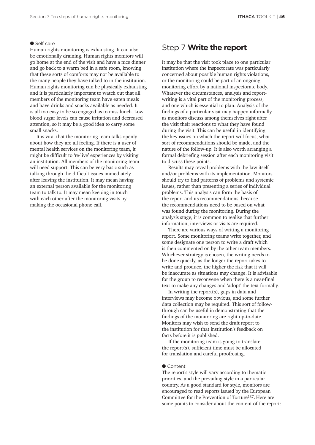Human rights monitoring is exhausting. It can also be emotionally draining. Human rights monitors will go home at the end of the visit and have a nice dinner and go back to a warm bed in a safe room, knowing that these sorts of comforts may not be available to the many people they have talked to in the institution. Human rights monitoring can be physically exhausting and it is particularly important to watch out that all members of the monitoring team have eaten meals and have drinks and snacks available as needed. It is all too easy to be so engaged as to miss lunch. Low blood sugar levels can cause irritation and decreased attention, so it may be a good idea to carry some small snacks.

It is vital that the monitoring team talks openly about how they are all feeling. If there is a user of mental health services on the monitoring team, it might be difficult to 're-live' experiences by visiting an institution. All members of the monitoring team will need support. This can be very basic such as talking through the difficult issues immediately after leaving the institution. It may mean having an external person available for the monitoring team to talk to. It may mean keeping in touch with each other after the monitoring visits by making the occasional phone call.

## ● Self care<br> **Human rights monitoring is exhausting.** It can also Step 7 **Write the report**

It may be that the visit took place to one particular institution where the inspectorate was particularly concerned about possible human rights violations, or the monitoring could be part of an ongoing monitoring effort by a national inspectorate body. Whatever the circumstances, analysis and reportwriting is a vital part of the monitoring process, and one which is essential to plan. Analysis of the findings of a particular visit may happen informally as monitors discuss among themselves right after the visit their reactions to what they have found during the visit. This can be useful in identifying the key issues on which the report will focus, what sort of recommendations should be made, and the nature of the follow-up. It is also worth arranging a formal debriefing session after each monitoring visit to discuss these points.

Results may reveal problems with the law itself and/or problems with its implementation. Monitors should try to find patterns of problems and systemic issues, rather than presenting a series of individual problems. This analysis can form the basis of the report and its recommendations, because the recommendations need to be based on what was found during the monitoring. During the analysis stage, it is common to realise that further information, interviews or visits are required.

There are various ways of writing a monitoring report. Some monitoring teams write together, and some designate one person to write a draft which is then commented on by the other team members. Whichever strategy is chosen, the writing needs to be done quickly, as the longer the report takes to write and produce, the higher the risk that it will be inaccurate as situations may change. It is advisable for the group to reconvene when there is a near-final text to make any changes and 'adopt' the text formally.

In writing the report $(s)$ , gaps in data and interviews may become obvious, and some further data collection may be required. This sort of followthrough can be useful in demonstrating that the findings of the monitoring are right up-to-date. Monitors may wish to send the draft report to the institution for that institution's feedback on facts before it is published.

If the monitoring team is going to translate the report(s), sufficient time must be allocated for translation and careful proofreaing.

#### ● Content

The report's style will vary according to thematic priorities, and the prevailing style in a particular country. As a good standard for style, monitors are encouraged to read reports issued by the European Committee for the Prevention of Torture137. Here are some points to consider about the content of the report: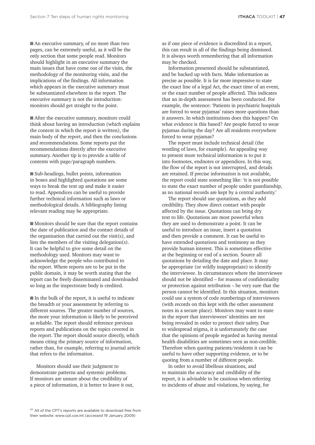■ An executive summary, of no more than two pages, can be extremely useful, as it will be the only section that some people read. Monitors should highlight in an executive summary the main issues that have come out of the visits, the methodology of the monitoring visits, and the implications of the findings. All information which appears in the executive summary must be substantiated elsewhere in the report. The executive summary is not the introduction: monitors should get straight to the point.

■ After the executive summary, monitors could think about having an introduction (which explains the context in which the report is written), the main body of the report, and then the conclusions and recommendations. Some reports put the recommendations directly after the executive summary. Another tip is to provide a table of contents with page/paragraph numbers.

■ Sub-headings, bullet points, information in boxes and highlighted quotations are some ways to break the text up and make it easier to read. Appendices can be useful to provide further technical information such as laws or methodological details. A bibliography listing relevant reading may be appropriate.

■ Monitors should be sure that the report contains the date of publication and the contact details of the organisation that carried out the visit(s), and lists the members of the visiting delegation(s). It can be helpful to give some detail on the methodology used. Monitors may want to acknowledge the people who contributed to the report. Where reports are to be put in the public domain, it may be worth stating that the report can be freely disseminated and downloaded so long as the inspectorate body is credited.

■ In the bulk of the report, it is useful to indicate the breadth or your assessment by referring to different sources. The greater number of sources, the more your information is likely to be perceived as reliable. The report should reference previous reports and publications on the topics covered in the report. The report should source directly, which means citing the primary source of information, rather than, for example, referring to journal article that refers to the information.

Monitors should use their judgment to demonstrate patterns and systemic problems. If monitors are unsure about the credibility of a piece of information, it is better to leave it out, as if one piece of evidence is discredited in a report, this can result in all of the findings being dismissed. It is always worth remembering that all information may be checked.

Information presented should be substantiated, and be backed up with facts. Make information as precise as possible. It is far more impressive to state the exact line of a legal Act, the exact time of an event, or the exact number of people affected. This indicates that an in-depth assessment has been conducted. For example, the sentence: 'Patients in psychiatric hospitals are forced to wear pyjamas' raises more questions than it answers. In which institutions does this happen? On what evidence is this based? Are people forced to wear pyjamas during the day? Are all residents everywhere forced to wear pyjamas?

The report must include technical detail (the wording of laws, for example). An appealing way to present more technical information is to put it into footnotes, endnotes or appendices. In this way, the flow of the report is not interrupted, and details are retained. If precise information is not available, the report could state something like: 'it is not possible to state the exact number of people under guardianship, as no national records are kept by a central authority.'

The report should use quotations, as they add credibility. They show direct contact with people affected by the issue. Quotations can bring dry text to life. Quotations are most powerful when they are used to demonstrate a point. It can be useful to introduce an issue, insert a quotation and then provide a comment. It can be useful to have extended quotations and testimony as they provide human interest. This is sometimes effective at the beginning or end of a section. Source all quotations by detailing the date and place. It may be appropriate (or wildly inappropriate) to identify the interviewee. In circumstances where the interviewee should not be identified – for reasons of confidentiality or protection against retribution – be very sure that the person cannot be identified. In this situation, monitors could use a system of code numberings of interviewees (with records on this kept with the other assessment notes in a secure place). Monitors may want to state in the report that interviewees' identities are not being revealed in order to protect their safety. Due to widespread stigma, it is unfortunately the case that the opinions of people regarded as having mental health disabilities are sometimes seen as non-credible. Therefore when quoting patients/residents it can be useful to have other supporting evidence, or to be quoting from a number of different people.

In order to avoid libellous situations, and to maintain the accuracy and credibility of the report, it is advisable to be cautious when referring to incidents of abuse and violations, by saying, for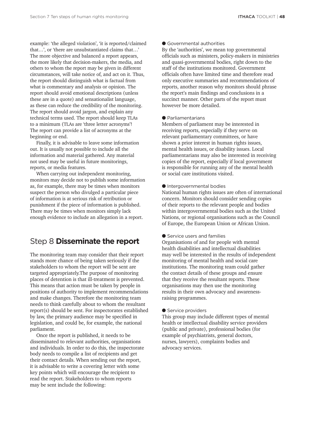example: 'the alleged violation', 'it is reported/claimed that…', or 'there are unsubstantiated claims that…' The more objective and balanced a report appears, the more likely that decision-makers, the media, and others to whom the report may be given in different circumstances, will take notice of, and act on it. Thus, the report should distinguish what is factual from what is commentary and analysis or opinion. The report should avoid emotional descriptions (unless these are in a quote) and sensationalist language, as these can reduce the credibility of the monitoring. The report should avoid jargon, and explain any technical terms used. The report should keep TLAs to a minimum (TLAs are 'three letter acronyms'! The report can provide a list of acronyms at the beginning or end.

Finally, it is advisable to leave some information out. It is usually not possible to include all the information and material gathered. Any material not used may be useful in future monitorings, reports, or media features.

When carrying out independent monitoring, monitors may decide not to publish some information as, for example, there may be times when monitors suspect the person who divulged a particular piece of information is at serious risk of retribution or punishment if the piece of information is published. There may be times when monitors simply lack enough evidence to include an allegation in a report.

### Step 8 **Disseminate the report**

The monitoring team may consider that their report stands more chance of being taken seriously if the stakeholders to whom the report will be sent are targeted appropriately.The purpose of monitoring places of detention is that ill-treatment is prevented. This means that action must be taken by people in positions of authority to implement recommendations and make changes. Therefore the monitoring team needs to think carefully about to whom the resultant report(s) should be sent. For inspectorates established by law, the primary audience may be specified in legislation, and could be, for example, the national parliament.

Once the report is published, it needs to be disseminated to relevant authorities, organisations and individuals. In order to do this, the inspectorate body needs to compile a list of recipients and get their contact details. When sending out the report, it is advisable to write a covering letter with some key points which will encourage the recipient to read the report. Stakeholders to whom reports may be sent include the following:

#### ● Governmental authorities

By the 'authorities', we mean top governmental officials such as ministers, policy-makers in ministries and quasi-governmental bodies, right down to the staff of the institutions monitored. Government officials often have limited time and therefore read only executive summaries and recommendations of reports, another reason why monitors should phrase the report's main findings and conclusions in a succinct manner. Other parts of the report must however be more detailed.

#### ● Parliamentarians

Members of parliament may be interested in receiving reports, especially if they serve on relevant parliamentary committees, or have shown a prior interest in human rights issues, mental health issues, or disability issues. Local parliamentarians may also be interested in receiving copies of the report, especially if local government is responsible for running any of the mental health or social care institutions visited.

#### ● Intergovernmental bodies

National human rights issues are often of international concern. Monitors should consider sending copies of their reports to the relevant people and bodies within intergovernmental bodies such as the United Nations, or regional organisations such as the Council of Europe, the European Union or African Union.

#### ● Service users and families

Organisations of and for people with mental health disabilities and intellectual disabilities may well be interested in the results of independent monitoring of mental health and social care institutions. The monitoring team could gather the contact details of these groups and ensure that they receive the resultant reports. These organisations may then use the monitoring results in their own advocacy and awarenessraising programmes.

#### ● Service providers

This group may include different types of mental health or intellectual disability service providers (public and private), professional bodies (for example of psychiatrists, general doctors, nurses, lawyers), complaints bodies and advocacy services.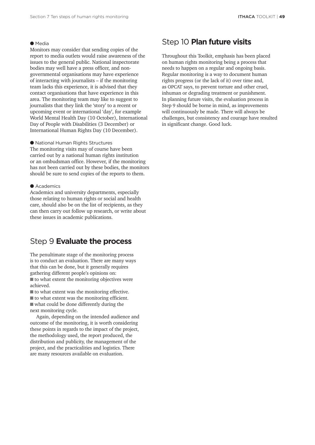#### ● Media

Monitors may consider that sending copies of the report to media outlets would raise awareness of the issues to the general public. National inspectorate bodies may well have a press officer, and nongovernmental organisations may have experience of interacting with journalists – if the monitoring team lacks this experience, it is advised that they contact organisations that have experience in this area. The monitoring team may like to suggest to journalists that they link the 'story' to a recent or upcoming event or international 'day', for example World Mental Health Day (10 October), International Day of People with Disabilities (3 December) or International Human Rights Day (10 December).

#### ● National Human Rights Structures

The monitoring visits may of course have been carried out by a national human rights institution or an ombudsman office. However, if the monitoring has not been carried out by these bodies, the monitors should be sure to send copies of the reports to them.

#### ● Academics

Academics and university departments, especially those relating to human rights or social and health care, should also be on the list of recipients, as they can then carry out follow up research, or write about these issues in academic publications.

### Step 9 **Evaluate the process**

The penultimate stage of the monitoring process is to conduct an evaluation. There are many ways that this can be done, but it generally requires gathering different people's opinions on: ■ to what extent the monitoring objectives were achieved.

■ to what extent was the monitoring effective. ■ to what extent was the monitoring efficient. ■ what could be done differently during the next monitoring cycle.

Again, depending on the intended audience and outcome of the monitoring, it is worth considering these points in regards to the impact of the project, the methodology used, the report produced, the distribution and publicity, the management of the project, and the practicalities and logistics. There are many resources available on evaluation.

### Step 10 **Plan future visits**

Throughout this Toolkit, emphasis has been placed on human rights monitoring being a process that needs to happen on a regular and ongoing basis. Regular monitoring is a way to document human rights progress (or the lack of it) over time and, as OPCAT says, to prevent torture and other cruel, inhuman or degrading treatment or punishment. In planning future visits, the evaluation process in Step 9 should be borne in mind, as improvements will continuously be made. There will always be challenges, but consistency and courage have resulted in significant change. Good luck.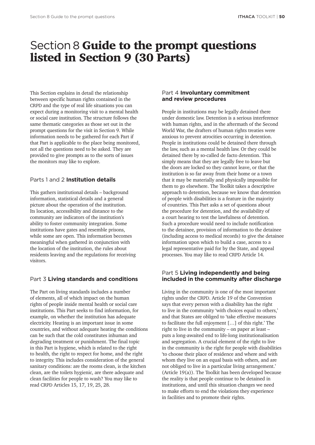## Section 8 **Guide to the prompt questions listed in Section 9 (30 Parts)**

This Section explains in detail the relationship between specific human rights contained in the CRPD and the type of real life situations you can expect during a monitoring visit to a mental health or social care institution. The structure follows the same thematic categories as those set out in the prompt questions for the visit in Section 9. While information needs to be gathered for each Part if that Part is applicable to the place being monitored, not all the questions need to be asked. They are provided to give prompts as to the sorts of issues the monitors may like to explore.

#### Parts 1 and 2 **Institution details**

This gathers institutional details – background information, statistical details and a general picture about the operation of the institution. Its location, accessibility and distance to the community are indicators of the institution's ability to foster community integration. Some institutions have gates and resemble prisons, while some are open. This information becomes meaningful when gathered in conjunction with the location of the institution, the rules about residents leaving and the regulations for receiving visitors.

#### Part 3 **Living standards and conditions**

The Part on living standards includes a number of elements, all of which impact on the human rights of people inside mental health or social care institutions. This Part seeks to find information, for example, on whether the institution has adequate electricity. Heating is an important issue in some countries, and without adequate heating the conditions can be such that the cold constitutes inhuman and degrading treatment or punishment. The final topic in this Part is hygiene, which is related to the right to health, the right to respect for home, and the right to integrity. This includes consideration of the general sanitary conditions: are the rooms clean, is the kitchen clean, are the toilets hygienic, are there adequate and clean facilities for people to wash? You may like to read CRPD Articles 15, 17, 19, 25, 28.

#### Part 4 **Involuntary commitment and review procedures**

People in institutions may be legally detained there under domestic law. Detention is a serious interference with human rights, and in the aftermath of the Second World War, the drafters of human rights treaties were anxious to prevent atrocities occurring in detention. People in institutions could be detained there through the law, such as a mental health law. Or they could be detained there by so-called de facto detention. This simply means that they are legally free to leave but the doors are locked so they cannot leave, or that the institution is so far away from their home or a town that it may be materially and physically impossible for them to go elsewhere. The Toolkit takes a descriptive approach to detention, because we know that detention of people with disabilities is a feature in the majority of countries. This Part asks a set of questions about the procedure for detention, and the availability of a court hearing to test the lawfulness of detention. Such a procedure would need to include notification to the detainee, provision of information to the detainee (including access to medical records) to give the detainee information upon which to build a case, access to a legal representative paid for by the State, and appeal processes. You may like to read CRPD Article 14.

#### Part 5 **Living independently and being included in the community after discharge**

Living in the community is one of the most important rights under the CRPD. Article 19 of the Convention says that every person with a disability has the right to live in the community 'with choices equal to others,' and that States are obliged to 'take effective measures to facilitate the full enjoyment […] of this right.' The right to live in the community – on paper at least – puts a long-awaited end to life-long institutionalisation and segregation. A crucial element of the right to live in the community is the right for people with disabilities 'to choose their place of residence and where and with whom they live on an equal basis with others, and are not obliged to live in a particular living arrangement.' (Article 19(a)). The Toolkit has been developed because the reality is that people continue to be detained in institutions, and until this situation changes we need to make efforts to end the violations they experience in facilities and to promote their rights.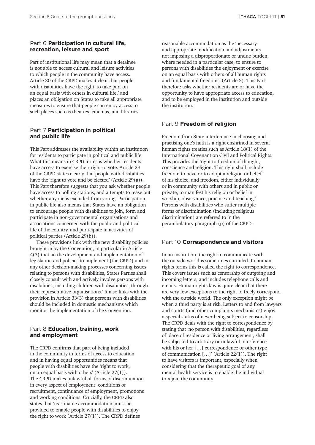#### Part 6 **Participation in cultural life, recreation, leisure and sport**

Part of institutional life may mean that a detainee is not able to access cultural and leisure activities to which people in the community have access. Article 30 of the CRPD makes it clear that people with disabilities have the right 'to take part on an equal basis with others in cultural life,' and places an obligation on States to take all appropriate measures to ensure that people can enjoy access to such places such as theatres, cinemas, and libraries.

#### Part 7 **Participation in political and public life**

This Part addresses the availability within an institution for residents to participate in political and public life. What this means in CRPD terms is whether residents have access to exercise their right to vote. Article 29 of the CRPD states clearly that people with disabilities have the 'right to vote and be elected' (Article 29(a)). This Part therefore suggests that you ask whether people have access to polling stations, and attempts to tease out whether anyone is excluded from voting. Participation in public life also means that States have an obligation to encourage people with disabilities to join, form and participate in non-governmental organisations and associations concerned with the public and political life of the country, and participate in activities of political parties (Article 29(b)).

These provisions link with the new disability policies brought in by the Convention, in particular in Article 4(3) that 'in the development and implementation of legislation and policies to implement [the CRPD] and in any other decision-making processes concerning issues relating to persons with disabilities, States Parties shall closely consult with and actively involve persons with disabilities, including children with disabilities, through their representative organisations.' It also links with the provision in Article 33(3) that persons with disabilities should be included in domestic mechanisms which monitor the implementation of the Convention.

#### Part 8 **Education, training, work and employment**

The CRPD confirms that part of being included in the community in terms of access to education and in having equal opportunities means that people with disabilities have the 'right to work, on an equal basis with others' (Article 27(1)). The CRPD makes unlawful all forms of discrimination in every aspect of employment: conditions of recruitment, continuance of employment, promotions and working conditions. Crucially, the CRPD also states that 'reasonable accommodation' must be provided to enable people with disabilities to enjoy the right to work (Article 27(1)). The CRPD defines

reasonable accommodation as the 'necessary and appropriate modification and adjustments not imposing a disproportionate or undue burden, where needed in a particular case, to ensure to persons with disabilities the enjoyment or exercise on an equal basis with others of all human rights and fundamental freedoms' (Article 2). This Part therefore asks whether residents are or have the opportunity to have appropriate access to education, and to be employed in the institution and outside the institution.

#### Part 9 **Freedom of religion**

Freedom from State interference in choosing and practising one's faith is a right enshrined in several human rights treaties such as Article 18(1) of the International Covenant on Civil and Political Rights. This provides the 'right to freedom of thought, conscience and religion. This right shall include freedom to have or to adopt a religion or belief of his choice, and freedom, either individually or in community with others and in public or private, to manifest his religion or belief in worship, observance, practice and teaching.' Persons with disabilities who suffer multiple forms of discrimination (including religious discrimination) are referred to in the perambulatory paragraph (p) of the CRPD.

#### Part 10 **Correspondence and visitors**

In an institution, the right to communicate with the outside world is sometimes curtailed. In human rights terms this is called the right to correspondence. This covers issues such as censorship of outgoing and incoming letters, and includes telephone calls and emails. Human rights law is quite clear that there are very few exceptions to the right to freely correspond with the outside world. The only exception might be when a third party is at risk. Letters to and from lawyers and courts (and other complaints mechanisms) enjoy a special status of never being subject to censorship. The CRPD deals with the right to correspondence by stating that 'no person with disabilities, regardless of place of residence or living arrangement, shall be subjected to arbitrary or unlawful interference with his or her […] correspondence or other type of communication […]' (Article 22(1)). The right to have visitors is important, especially when considering that the therapeutic goal of any mental health service is to enable the individual to rejoin the community.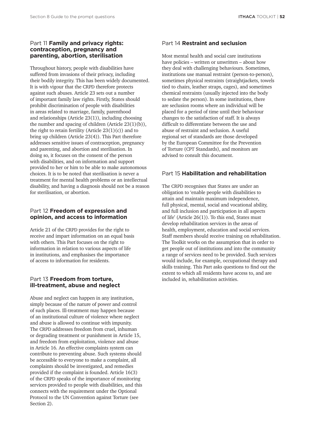#### Part 11 **Family and privacy rights: contraception, pregnancy and parenting, abortion, sterilisation**

Throughout history, people with disabilities have suffered from invasions of their privacy, including their bodily integrity. This has been widely documented. It is with vigour that the CRPD therefore protects against such abuses. Article 23 sets out a number of important family law rights. Firstly, States should prohibit discrimination of people with disabilities in areas related to marriage, family, parenthood and relationships (Article 23(1)), including choosing the number and spacing of children (Article 23(1)(b)), the right to retain fertility (Article  $23(1)(c)$ ) and to bring up children (Article 23(4)). This Part therefore addresses sensitive issues of contraception, pregnancy and parenting, and abortion and sterilisation. In doing so, it focuses on the consent of the person with disabilities, and on information and support provided to her or him to be able to make autonomous choices. It is to be noted that sterilisation is never a treatment for mental health problems or an intellectual disability, and having a diagnosis should not be a reason for sterilisation, or abortion.

#### Part 12 **Freedom of expression and opinion, and access to information**

Article 21 of the CRPD provides for the right to receive and impart information on an equal basis with others. This Part focuses on the right to information in relation to various aspects of life in institutions, and emphasises the importance of access to information for residents.

#### Part 13 **Freedom from torture, ill-treatment, abuse and neglect**

Abuse and neglect can happen in any institution, simply because of the nature of power and control of such places. Ill-treatment may happen because of an institutional culture of violence where neglect and abuse is allowed to continue with impunity. The CRPD addresses freedom from cruel, inhuman or degrading treatment or punishment in Article 15, and freedom from exploitation, violence and abuse in Article 16. An effective complaints system can contribute to preventing abuse. Such systems should be accessible to everyone to make a complaint, all complaints should be investigated, and remedies provided if the complaint is founded. Article 16(3) of the CRPD speaks of the importance of monitoring services provided to people with disabilities, and this connects with the requirement under the Optional Protocol to the UN Convention against Torture (see Section 2).

### Part 14 **Restraint and seclusion**

Most mental health and social care institutions have policies – written or unwritten – about how they deal with challenging behaviours. Sometimes, institutions use manual restraint (person-to-person), sometimes physical restraints (straightjackets, towels tied to chairs, leather straps, cages), and sometimes chemical restraints (usually injected into the body to sedate the person). In some institutions, there are seclusion rooms where an individual will be placed for a period of time until their behaviour changes to the satisfaction of staff. It is always difficult to differentiate between the use and abuse of restraint and seclusion. A useful regional set of standards are those developed by the European Committee for the Prevention of Torture (CPT Standards), and monitors are advised to consult this document.

### Part 15 **Habilitation and rehabilitation**

The CRPD recognises that States are under an obligation to 'enable people with disabilities to attain and maintain maximum independence, full physical, mental, social and vocational ability, and full inclusion and participation in all aspects of life' (Article 26(1)). To this end, States must develop rehabilitation services in the areas of health, employment, education and social services. Staff members should receive training on rehabilitation. The Toolkit works on the assumption that in order to get people out of institutions and into the community a range of services need to be provided. Such services would include, for example, occupational therapy and skills training. This Part asks questions to find out the extent to which all residents have access to, and are included in, rehabilitation activities.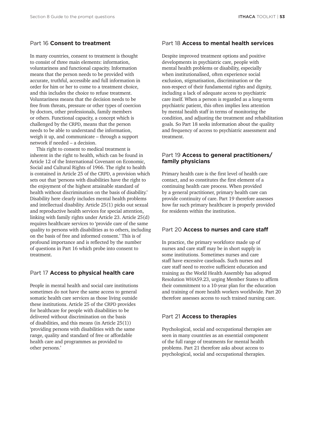#### Part 16 **Consent to treatment**

In many countries, consent to treatment is thought to consist of three main elements: information, voluntariness and functional capacity. Information means that the person needs to be provided with accurate, truthful, accessible and full information in order for him or her to come to a treatment choice, and this includes the choice to refuse treatment. Voluntariness means that the decision needs to be free from threats, pressure or other types of coercion by doctors, other professionals, family members or others. Functional capacity, a concept which is challenged by the CRPD, means that the person needs to be able to understand the information, weigh it up, and communicate – through a support network if needed – a decision.

This right to consent to medical treatment is inherent in the right to health, which can be found in Article 12 of the International Covenant on Economic, Social and Cultural Rights of 1966. The right to health is contained in Article 25 of the CRPD, a provision which sets out that 'persons with disabilities have the right to the enjoyment of the highest attainable standard of health without discrimination on the basis of disability.' Disability here clearly includes mental health problems and intellectual disability. Article 25(1) picks out sexual and reproductive health services for special attention, linking with family rights under Article 23. Article 25(d) requires healthcare services to 'provide care of the same quality to persons with disabilities as to others, including on the basis of free and informed consent.' This is of profound importance and is reflected by the number of questions in Part 16 which probe into consent to treatment.

#### Part 17 **Access to physical health care**

People in mental health and social care institutions sometimes do not have the same access to general somatic health care services as those living outside these institutions. Article 25 of the CRPD provides for healthcare for people with disabilities to be delivered without discrimination on the basis of disabilities, and this means (in Article 25(1)) 'providing persons with disabilities with the same range, quality and standard of free or affordable health care and programmes as provided to other persons.'

#### Part 18 **Access to mental health services**

Despite improved treatment options and positive developments in psychiatric care, people with mental health problems or disability, especially when institutionalised, often experience social exclusion, stigmatisation, discrimination or the non-respect of their fundamental rights and dignity, including a lack of adequate access to psychiatric care itself. When a person is regarded as a long-term psychiatric patient, this often implies less attention by mental health staff in terms of monitoring the condition, and adjusting the treatment and rehabilitation goals. So Part 18 seeks information about the quality and frequency of access to psychiatric assessment and treatment.

#### Part 19 **Access to general practitioners/ family physicians**

Primary health care is the first level of health care contact, and so constitutes the first element of a continuing health care process. When provided by a general practitioner, primary health care can provide continuity of care. Part 19 therefore assesses how far such primary healthcare is properly provided for residents within the institution.

#### Part 20 **Access to nurses and care staff**

In practice, the primary workforce made up of nurses and care staff may be in short supply in some institutions. Sometimes nurses and care staff have excessive caseloads. Such nurses and care staff need to receive sufficient education and training as the World Health Assembly has adopted Resolution WHA59.23, urging Member States to affirm their commitment to a 10-year plan for the education and training of more health workers worldwide. Part 20 therefore assesses access to such trained nursing care.

#### Part 21 **Access to therapies**

Psychological, social and occupational therapies are seen in many countries as an essential component of the full range of treatments for mental health problems. Part 21 therefore asks about access to psychological, social and occupational therapies.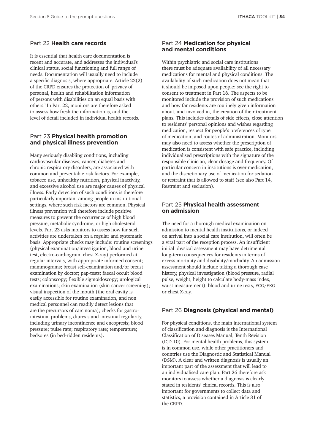#### Part 22 **Health care records**

It is essential that health care documentation is recent and accurate, and addresses the individual's clinical status, social functioning and full range of needs. Documentation will usually need to include a specific diagnosis, where appropriate. Article 22(2) of the CRPD ensures the protection of 'privacy of personal, health and rehabilitation information of persons with disabilities on an equal basis with others.' In Part 22, monitors are therefore asked to assess how fresh the information is, and the level of detail included in individual health records.

#### Part 23 **Physical health promotion and physical illness prevention**

Many seriously disabling conditions, including cardiovascular diseases, cancer, diabetes and chronic respiratory disorders, are associated with common and preventable risk factors. For example, tobacco use, unhealthy nutrition, physical inactivity, and excessive alcohol use are major causes of physical illness. Early detection of such conditions is therefore particularly important among people in institutional settings, where such risk factors are common. Physical illness prevention will therefore include positive measures to prevent the occurrence of high blood pressure, metabolic syndrome, or high cholesterol levels. Part 23 asks monitors to assess how far such activities are undertaken on a regular and systematic basis. Appropriate checks may include: routine screenings (physical examination/investigation, blood and urine test, electro-cardiogram, chest X-ray) performed at regular intervals, with appropriate informed consent; mammograms; breast self-examination and/or breast examination by doctor; pap-tests; faecal occult blood tests; colonscopy; flexible sigmoidoscopy; urological examinations; skin examination (skin-cancer screening); visual inspection of the mouth (the oral cavity is easily accessible for routine examination, and non medical personnel can readily detect lesions that are the precursors of carcinoma); checks for gastrointestinal problems, diuresis and intestinal regularity, including urinary incontinence and encopresis; blood pressure; pulse rate; respiratory rate; temperature; bedsores (in bed-ridden residents).

#### Part 24 **Medication for physical and mental conditions**

Within psychiatric and social care institutions there must be adequate availability of all necessary medications for mental and physical conditions. The availability of such medication does not mean that it should be imposed upon people: see the right to consent to treatment in Part 16. The aspects to be monitored include the provision of such medications and how far residents are routinely given information about, and involved in, the creation of their treatment plans. This includes details of side effects, close attention to residents' personal opinions and wishes regarding medication, respect for people's preferences of type of medication, and routes of administration. Monitors may also need to assess whether the prescription of medication is consistent with safe practice, including individualised prescriptions with the signature of the responsible clinician, clear dosage and frequency. Of particular concern in institutions is over-medication, and the discretionary use of medication for sedation or restraint that is allowed to staff (see also Part 14, Restraint and seclusion).

#### Part 25 **Physical health assessment on admission**

The need for a thorough medical examination on admission to mental health institutions, or indeed on arrival into a social care institution, will often be a vital part of the reception process. An insufficient initial physical assessment may have detrimental long-term consequences for residents in terms of excess mortality and disability/morbidity. An admission assessment should include taking a thorough case history, physical investigation (blood pressure, radial pulse, weight, height to calculate body-mass index, waist measurement), blood and urine tests, ECG/EKG or chest X-ray.

#### Part 26 **Diagnosis (physical and mental)**

For physical conditions, the main international system of classification and diagnosis is the International Classification of Diseases Manual, Tenth Revision (ICD-10). For mental health problems, this system is in common use, while other practitioners and countries use the Diagnostic and Statistical Manual (DSM). A clear and written diagnosis is usually an important part of the assessment that will lead to an individualised care plan. Part 26 therefore ask monitors to assess whether a diagnosis is clearly stated in residents' clinical records. This is also important for governments to collect data and statistics, a provision contained in Article 31 of the CRPD.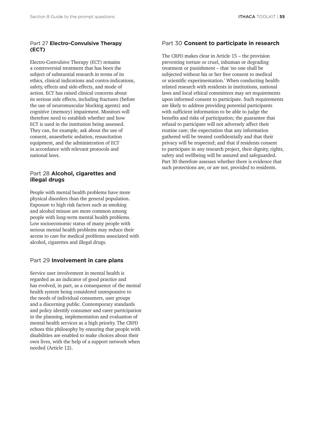#### Part 27 **Electro-Convulsive Therapy (ECT)**

Electro-Convulsive Therapy (ECT) remains a controversial treatment that has been the subject of substantial research in terms of its ethics, clinical indications and contra-indications, safety, effects and side-effects, and mode of action. ECT has raised clinical concerns about its serious side effects, including fractures (before the use of neuromuscular blocking agents) and cognitive (memory) impairment. Monitors will therefore need to establish whether and how ECT is used in the institution being assessed. They can, for example, ask about the use of consent, anaesthetic sedation, resuscitation equipment, and the administration of ECT in accordance with relevant protocols and national laws.

#### Part 28 **Alcohol, cigarettes and illegal drugs**

People with mental health problems have more physical disorders than the general population. Exposure to high risk factors such as smoking and alcohol misuse are more common among people with long-term mental health problems. Low socioeconomic status of many people with serious mental health problems may reduce their access to care for medical problems associated with alcohol, cigarettes and illegal drugs.

#### Part 29 **Involvement in care plans**

Service user involvement in mental health is regarded as an indicator of good practice and has evolved, in part, as a consequence of the mental health system being considered unresponsive to the needs of individual consumers, user groups and a discerning public. Contemporary standards and policy identify consumer and carer participation in the planning, implementation and evaluation of mental health services as a high priority. The CRPD echoes this philosophy by ensuring that people with disabilities are enabled to make choices about their own lives, with the help of a support network when needed (Article 12).

### Part 30 **Consent to participate in research**

The CRPD makes clear in Article 15 – the provision preventing torture or cruel, inhuman or degrading treatment or punishment – that 'no one shall be subjected without his or her free consent to medical or scientific experimentation.' When conducting healthrelated research with residents in institutions, national laws and local ethical committees may set requirements upon informed consent to participate. Such requirements are likely to address providing potential participants with sufficient information to be able to judge the benefits and risks of participation; the guarantee that refusal to participate will not adversely affect their routine care; the expectation that any information gathered will be treated confidentially and that their privacy will be respected; and that if residents consent to participate in any research project, their dignity, rights, safety and wellbeing will be assured and safeguarded. Part 30 therefore assesses whether there is evidence that such protections are, or are not, provided to residents.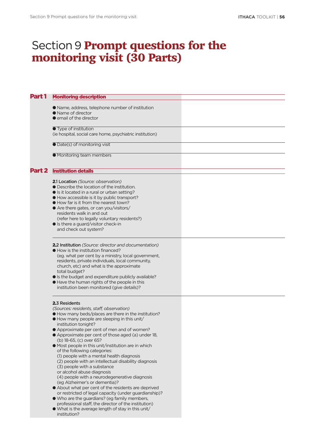# Section 9 **Prompt questions for the monitoring visit (30 Parts)**

| Part 1 | <b>Monitoring description</b>                                                                                                                                                                                                                            |  |
|--------|----------------------------------------------------------------------------------------------------------------------------------------------------------------------------------------------------------------------------------------------------------|--|
|        |                                                                                                                                                                                                                                                          |  |
|        | • Name, address, telephone number of institution                                                                                                                                                                                                         |  |
|        | • Name of director                                                                                                                                                                                                                                       |  |
|        | ● email of the director                                                                                                                                                                                                                                  |  |
|        |                                                                                                                                                                                                                                                          |  |
|        | ● Type of institution                                                                                                                                                                                                                                    |  |
|        | (ie hospital, social care home, psychiatric institution)                                                                                                                                                                                                 |  |
|        |                                                                                                                                                                                                                                                          |  |
|        | · Date(s) of monitoring visit                                                                                                                                                                                                                            |  |
|        |                                                                                                                                                                                                                                                          |  |
|        | • Monitoring team members                                                                                                                                                                                                                                |  |
|        |                                                                                                                                                                                                                                                          |  |
| Part 2 | <b>Institution details</b>                                                                                                                                                                                                                               |  |
|        |                                                                                                                                                                                                                                                          |  |
|        | <b>2.1 Location</b> (Source: observation)                                                                                                                                                                                                                |  |
|        | • Describe the location of the institution.                                                                                                                                                                                                              |  |
|        | • Is it located in a rural or urban setting?                                                                                                                                                                                                             |  |
|        | • How accessible is it by public transport?                                                                                                                                                                                                              |  |
|        | ● How far is it from the nearest town?                                                                                                                                                                                                                   |  |
|        | $\bullet$ Are there gates, or can you/visitors/                                                                                                                                                                                                          |  |
|        | residents walk in and out                                                                                                                                                                                                                                |  |
|        | (refer here to legally voluntary residents?)                                                                                                                                                                                                             |  |
|        | $\bullet$ Is there a guard/visitor check-in                                                                                                                                                                                                              |  |
|        | and check out system?                                                                                                                                                                                                                                    |  |
|        | <b>2.2 Institution</b> (Source: director and documentation)<br>● How is the institution financed?<br>(eg. what per cent by a ministry, local government,<br>residents, private individuals, local community,<br>church, etc) and what is the approximate |  |
|        | total budget?                                                                                                                                                                                                                                            |  |
|        | • Is the budget and expenditure publicly available?                                                                                                                                                                                                      |  |
|        | ● Have the human rights of the people in this                                                                                                                                                                                                            |  |
|        | institution been monitored (give details)?                                                                                                                                                                                                               |  |
|        |                                                                                                                                                                                                                                                          |  |
|        | <b>2.3 Residents</b>                                                                                                                                                                                                                                     |  |
|        | (Sources: residents, staff, observation)                                                                                                                                                                                                                 |  |
|        | • How many beds/places are there in the institution?                                                                                                                                                                                                     |  |
|        | $\bullet$ How many people are sleeping in this unit/                                                                                                                                                                                                     |  |
|        | institution tonight?                                                                                                                                                                                                                                     |  |
|        | • Approximate per cent of men and of women?                                                                                                                                                                                                              |  |
|        | • Approximate per cent of those aged (a) under 18,                                                                                                                                                                                                       |  |
|        | (b) 18-65, (c) over 65?                                                                                                                                                                                                                                  |  |
|        | • Most people in this unit/institution are in which                                                                                                                                                                                                      |  |
|        | of the following categories:                                                                                                                                                                                                                             |  |
|        | (1) people with a mental health diagnosis                                                                                                                                                                                                                |  |
|        | (2) people with an intellectual disability diagnosis                                                                                                                                                                                                     |  |
|        | (3) people with a substance                                                                                                                                                                                                                              |  |
|        | or alcohol abuse diagnosis                                                                                                                                                                                                                               |  |
|        | (4) people with a neurodegenerative diagnosis                                                                                                                                                                                                            |  |
|        | (eg Alzheimer's or dementia)?                                                                                                                                                                                                                            |  |
|        | • About what per cent of the residents are deprived                                                                                                                                                                                                      |  |
|        | or restricted of legal capacity (under guardianship)?                                                                                                                                                                                                    |  |
|        | ● Who are the guardians? (eg family members,                                                                                                                                                                                                             |  |
|        | professional staff, the director of the institution)                                                                                                                                                                                                     |  |
|        | $\bullet$ What is the average length of stay in this unit/                                                                                                                                                                                               |  |
|        | institution?                                                                                                                                                                                                                                             |  |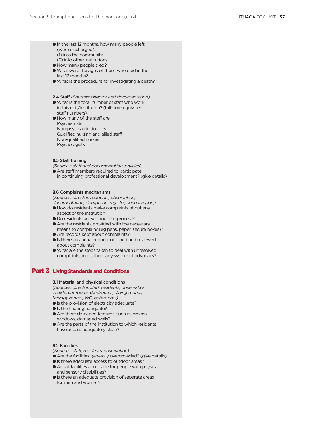- In the last 12 months, how many people left (were discharged): (1) into the community (2) into other institutions
- How many people died?
- What were the ages of those who died in the last 12 months?
- What is the procedure for investigating a death?
- **2.4 Staff** *(Sources: director and documentation)*
- What is the total number of staff who work in this unit/institution? (full-time equivalent staff numbers)
- How many of the staff are: Psychiatrists Non-psychiatric doctors Qualified nursing and allied staff Non-qualified nurses Psychologists

#### **2.5 Staff training**

*(Sources: staff and documentation, policies)*

- Are staff members required to participate
- in continuing professional development? (give details)

#### **2.6 Complaints mechanisms**

*(Sources: director, residents, observation,*

- *documentation, domplaints register, annual report)* ● How do residents make complaints about any
- aspect of the institution?
- Do residents know about the process?
- Are the residents provided with the necessary means to complain? (eg pens, paper, secure boxes)?
- Are records kept about complaints?
- Is there an annual report published and reviewed about complaints?
- What are the steps taken to deal with unresolved complaints and is there any system of advocacy?

### **Part 3 Living Standards and Conditions**

#### **3.1 Material and physical conditions**

*(Sources: director, staff, residents, observation in different rooms (bedrooms, dining rooms, therapy rooms, WC, bathrooms)*

- $\bullet$  Is the provision of electricity adequate?
- Is the heating adequate?
- Are there damaged features, such as broken windows, damaged walls?
- Are the parts of the institution to which residents have access adequately clean?

#### **3.2 Facilities**

- *(Sources: staff, residents,observation)*
- Are the facilities generally overcrowded? (give details)
- $\bullet$  Is there adequate access to outdoor areas?
- Are all facilities accessible for people with physical and sensory disabilities?
- Is there an adequate provision of separate areas for men and women?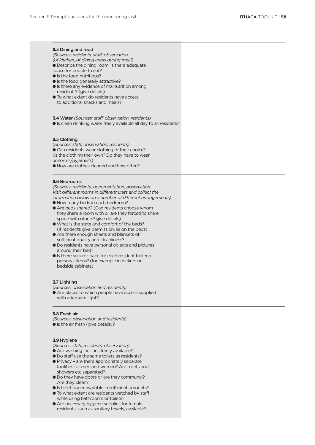| 3.3 Dining and food<br>(Sources: residents, staff, observation<br>(of kitchen, of dining areas during meal)<br>• Describe the dining room: is there adequate<br>space for people to eat?<br>• Is the food nutritious?<br>• Is the food generally attractive?<br>If is there any evidence of malnutrition among<br>residents? (give details)<br>• To what extent do residents have access<br>to additional snacks and meals?                                                                                                                                                                                                                                                                                                                                      |  |
|------------------------------------------------------------------------------------------------------------------------------------------------------------------------------------------------------------------------------------------------------------------------------------------------------------------------------------------------------------------------------------------------------------------------------------------------------------------------------------------------------------------------------------------------------------------------------------------------------------------------------------------------------------------------------------------------------------------------------------------------------------------|--|
| <b>3.4 Water</b> (Sources: staff, observation, residents)<br>• Is clean drinking water freely available all day to all residents?                                                                                                                                                                                                                                                                                                                                                                                                                                                                                                                                                                                                                                |  |
| <b>3.5 Clothing</b><br>(Sources: staff, observation, residents)<br>• Can residents wear clothing of their choice?<br>(is the clothing their own? Do they have to wear<br>uniforms/pyjamas?)<br>• How are clothes cleaned and how often?                                                                                                                                                                                                                                                                                                                                                                                                                                                                                                                          |  |
| 3.6 Bedrooms<br>(Sources: residents, documentation, observation.<br>Visit different rooms in different units and collect the<br>information below on a number of different arrangements)<br>• How many beds in each bedroom?<br>• Are beds shared? (Can residents choose whom<br>they share a room with or are they forced to share<br>space with others? give details)<br>• What is the state and comfort of the beds?<br>(if residents give permission, lie on the beds)<br>• Are there enough sheets and blankets of<br>sufficient quality and cleanliness?<br>• Do residents have personal objects and pictures<br>around their bed?<br>• Is there secure space for each resident to keep<br>personal items? (for example in lockers or<br>bedside cabinets) |  |
| 3.7 Lighting<br>(Sources: observation and residents)<br>• Are places to which people have access supplied<br>with adequate light?                                                                                                                                                                                                                                                                                                                                                                                                                                                                                                                                                                                                                                |  |
| 3.8 Fresh air<br>(Sources: observation and residents)<br>• Is the air fresh (give details)?                                                                                                                                                                                                                                                                                                                                                                                                                                                                                                                                                                                                                                                                      |  |
| 3.9 Hygiene<br>(Sources: staff, residents, observation)<br>• Are washing facilities freely available?<br>● Do staff use the same toilets as residents?<br>• Privacy - are there appropriately separate<br>facilities for men and women? Are toilets and<br>showers etc separated?<br>• Do they have doors or are they communal?<br>Are they clean?<br>• Is toilet paper available in sufficient amounts?<br>● To what extent are residents watched by staff<br>while using bathrooms or toilets?                                                                                                                                                                                                                                                                 |  |

● Are necessary hygiene supplies for female residents, such as sanitary towels, available?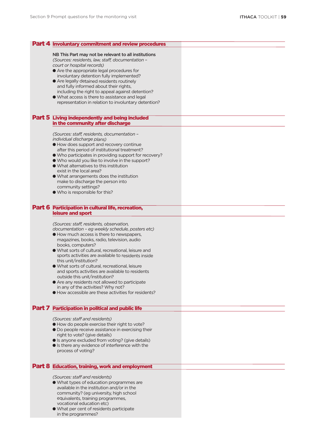|        | <b>Part 4 Involuntary commitment and review procedures</b>                                                                                                                                                                                                                                                                                                                                                                                                                                                                                                                                                                                                                                                               |  |
|--------|--------------------------------------------------------------------------------------------------------------------------------------------------------------------------------------------------------------------------------------------------------------------------------------------------------------------------------------------------------------------------------------------------------------------------------------------------------------------------------------------------------------------------------------------------------------------------------------------------------------------------------------------------------------------------------------------------------------------------|--|
|        | NB This Part may not be relevant to all institutions<br>(Sources: residents, law, staff, documentation -<br>court or hospital records)<br>• Are the appropriate legal procedures for<br>involuntary detention fully implemented?<br>• Are legally detained residents routinely<br>and fully informed about their rights,<br>including the right to appeal against detention?<br>• What access is there to assistance and legal<br>representation in relation to involuntary detention?                                                                                                                                                                                                                                   |  |
|        | <b>Part 5 Living independently and being included</b><br>in the community after discharge                                                                                                                                                                                                                                                                                                                                                                                                                                                                                                                                                                                                                                |  |
|        | (Sources: staff, residents, documentation -<br><i>individual discharge plans</i> )<br>● How does support and recovery continue<br>after this period of institutional treatment?<br>• Who participates in providing support for recovery?<br>• Who would you like to involve in the support?<br>• What alternatives to this institution<br>exist in the local area?<br>· What arrangements does the institution<br>make to discharge the person into<br>community settings?<br>● Who is responsible for this?                                                                                                                                                                                                             |  |
|        | Part 6 Participation in cultural life, recreation,<br>leisure and sport<br>(Sources: staff, residents, observation,<br>documentation - eg weekly schedule, posters etc)<br>• How much access is there to newspapers,<br>magazines, books, radio, television, audio<br>books, computers?<br>● What sorts of cultural, recreational, leisure and<br>sports activities are available to residents inside<br>this unit/institution?<br>· What sorts of cultural, recreational, leisure<br>and sports activities are available to residents<br>outside this unit/institution?<br>• Are any residents not allowed to participate<br>in any of the activities? Why not?<br>● How accessible are these activities for residents? |  |
| Part 7 | <b>Participation in political and public life</b>                                                                                                                                                                                                                                                                                                                                                                                                                                                                                                                                                                                                                                                                        |  |
|        | (Sources: staff and residents)<br>● How do people exercise their right to vote?<br>• Do people receive assistance in exercising their<br>right to vote? (give details)<br>Is anyone excluded from voting? (give details)<br>If is there any evidence of interference with the<br>process of voting?                                                                                                                                                                                                                                                                                                                                                                                                                      |  |
|        | <b>Part 8 Education, training, work and employment</b>                                                                                                                                                                                                                                                                                                                                                                                                                                                                                                                                                                                                                                                                   |  |
|        | (Sources: staff and residents)<br>• What types of education programmes are<br>available in the institution and/or in the<br>community? (eg university, high school<br>equivalents, training programmes,<br>vocational education etc)<br>● What per cent of residents participate<br>in the programmes?                                                                                                                                                                                                                                                                                                                                                                                                                   |  |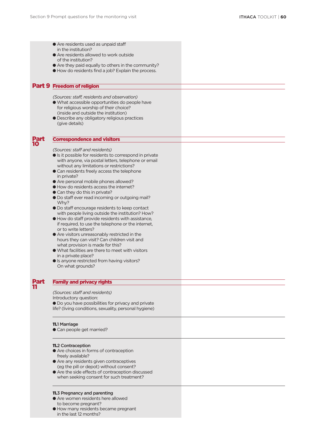|            | • Are residents used as unpaid staff<br>in the institution?<br>• Are residents allowed to work outside<br>of the institution?<br>• Are they paid equally to others in the community?<br>● How do residents find a job? Explain the process.                                                                                                                                                                                                                                                                                                                                                                                                                                                                                                                                                                                                                                                                                                                             |  |
|------------|-------------------------------------------------------------------------------------------------------------------------------------------------------------------------------------------------------------------------------------------------------------------------------------------------------------------------------------------------------------------------------------------------------------------------------------------------------------------------------------------------------------------------------------------------------------------------------------------------------------------------------------------------------------------------------------------------------------------------------------------------------------------------------------------------------------------------------------------------------------------------------------------------------------------------------------------------------------------------|--|
|            | <b>Part 9 Freedom of religion</b>                                                                                                                                                                                                                                                                                                                                                                                                                                                                                                                                                                                                                                                                                                                                                                                                                                                                                                                                       |  |
|            | (Sources: staff, residents and observation)<br>• What accessible opportunities do people have<br>for religious worship of their choice?<br>(inside and outside the institution)<br><b>O</b> Describe any obligatory religious practices<br>(give details)                                                                                                                                                                                                                                                                                                                                                                                                                                                                                                                                                                                                                                                                                                               |  |
| Part       | <b>Correspondence and visitors</b>                                                                                                                                                                                                                                                                                                                                                                                                                                                                                                                                                                                                                                                                                                                                                                                                                                                                                                                                      |  |
| 10         | (Sources: staff and residents)<br>If it possible for residents to correspond in private<br>with anyone, via postal letters, telephone or email<br>without any limitations or restrictions?<br>• Can residents freely access the telephone<br>in private?<br>• Are personal mobile phones allowed?<br>● How do residents access the internet?<br>● Can they do this in private?<br>• Do staff ever read incoming or outgoing mail?<br>Why?<br>• Do staff encourage residents to keep contact<br>with people living outside the institution? How?<br>● How do staff provide residents with assistance,<br>if required, to use the telephone or the internet,<br>or to write letters?<br>• Are visitors unreasonably restricted in the<br>hours they can visit? Can children visit and<br>what provision is made for this?<br>• What facilities are there to meet with visitors<br>in a private place?<br>• Is anyone restricted from having visitors?<br>On what grounds? |  |
| Part<br>11 | <b>Family and privacy rights</b>                                                                                                                                                                                                                                                                                                                                                                                                                                                                                                                                                                                                                                                                                                                                                                                                                                                                                                                                        |  |
|            | (Sources: staff and residents)<br>Introductory question:<br>• Do you have possibilities for privacy and private<br>life? (living conditions, sexuality, personal hygiene)                                                                                                                                                                                                                                                                                                                                                                                                                                                                                                                                                                                                                                                                                                                                                                                               |  |
|            | 11.1 Marriage<br>• Can people get married?                                                                                                                                                                                                                                                                                                                                                                                                                                                                                                                                                                                                                                                                                                                                                                                                                                                                                                                              |  |
|            | <b>11.2 Contraception</b><br>● Are choices in forms of contraception<br>freely available?<br>• Are any residents given contraceptives<br>(eg the pill or depot) without consent?<br>• Are the side effects of contraception discussed<br>when seeking consent for such treatment?                                                                                                                                                                                                                                                                                                                                                                                                                                                                                                                                                                                                                                                                                       |  |
|            | 11.3 Pregnancy and parenting<br>• Are women residents here allowed<br>to become pregnant?<br><b>•</b> How many residents became pregnant<br>in the last 12 months?                                                                                                                                                                                                                                                                                                                                                                                                                                                                                                                                                                                                                                                                                                                                                                                                      |  |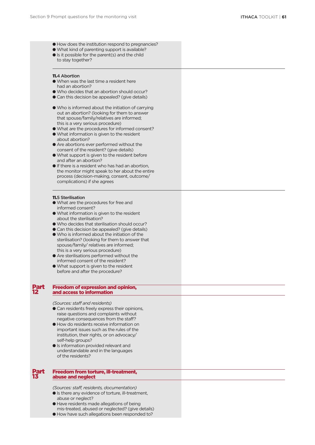- How does the institution respond to pregnancies?
- What kind of parenting support is available?
- $\bullet$  Is it possible for the parent(s) and the child to stay together?

#### **11.4 Abortion**

- When was the last time a resident here had an abortion?
- Who decides that an abortion should occur?
- Can this decision be appealed? (give details)
- Who is informed about the initiation of carrying out an abortion? (looking for them to answer that spouse/family/relatives are informed; this is a very serious procedure)
- What are the procedures for informed consent?
- What information is given to the resident about abortion?
- Are abortions ever performed without the consent of the resident? (give details)
- What support is given to the resident before and after an abortion?
- If there is a resident who has had an abortion, the monitor might speak to her about the entire process (decision-making, consent, outcome/ complications) if she agrees

#### **11.5 Sterilisation**

- What are the procedures for free and informed consent?
- What information is given to the resident about the sterilisation?
- Who decides that sterilisation should occur?
- Can this decision be appealed? (give details) ● Who is informed about the initiation of the sterilisation? (looking for them to answer that spouse/family/ relatives are informed; this is a very serious procedure)
- Are sterilisations performed without the informed consent of the resident?
- What support is given to the resident before and after the procedure?

#### **Part 12 Freedom of expression and opinion, and access to information**

*(Sources: staff and residents)*

- Can residents freely express their opinions, raise questions and complaints without negative consequences from the staff?
- How do residents receive information on important issues such as the rules of the institution, their rights, or on advocacy/ self-help groups?
- Is information provided relevant and understandable and in the languages of the residents?

#### **Part Freedom from torture, ill-treatment, abuse and neglect**

**13**

*(Sources: staff, residents, documentation)*

- Is there any evidence of torture, ill-treatment, abuse or neglect?
- Have residents made allegations of being mis-treated, abused or neglected? (give details)
- How have such allegations been responded to?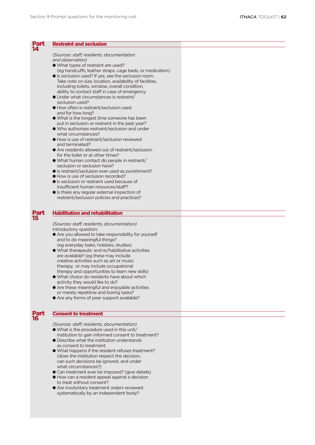| <b>Part</b><br>14 | <b>Restraint and seclusion</b>                                  |  |
|-------------------|-----------------------------------------------------------------|--|
|                   | (Sources: staff, residents, documentation                       |  |
|                   | and observation)                                                |  |
|                   | ● What types of restraint are used?                             |  |
|                   | (eg handcuffs, leather straps, cage beds, or medication)        |  |
|                   | If yes, see the seclusion used? If yes, see the seclusion room. |  |
|                   | Take note on size, location, availability of facilities,        |  |
|                   | including toilets, window, overall condition,                   |  |
|                   | ability to contact staff in case of emergency                   |  |
|                   | ● Under what circumstances is restraint/                        |  |
|                   | seclusion used?                                                 |  |
|                   | ● How often is restraint/seclusion used                         |  |
|                   | and for how long?                                               |  |
|                   | • What is the longest time someone has been                     |  |
|                   | put in seclusion or restraint in the past year?                 |  |
|                   | • Who authorises restraint/seclusion and under                  |  |
|                   | what circumstances?                                             |  |
|                   | ● How is use of restraint/seclusion reviewed                    |  |
|                   | and terminated?                                                 |  |
|                   | ● Are residents allowed out of restraint/seclusion              |  |
|                   | for the toilet or at other times?                               |  |
|                   | • What human contact do people in restraint/                    |  |
|                   | seclusion or seclusion have?                                    |  |
|                   | • Is restraint/seclusion ever used as punishment?               |  |
|                   | • How is use of seclusion recorded?                             |  |
|                   | ● Is seclusion or restraint used because of                     |  |
|                   | insufficient human resources/staff?                             |  |
|                   | • Is there any regular external inspection of                   |  |
|                   | restraint/seclusion policies and practices?                     |  |
|                   |                                                                 |  |
|                   |                                                                 |  |
| Part              | <b>Habilitation and rehabilitation</b>                          |  |
| 15                |                                                                 |  |
|                   | (Sources: staff, residents, documentation)                      |  |
|                   | Introductory question:                                          |  |
|                   | • Are you allowed to take responsibility for yourself           |  |
|                   | and to do meaningful things?                                    |  |
|                   | (eg everyday tasks, hobbies, studies)                           |  |
|                   | • What therapeutic and re/habilitative activities               |  |
|                   | are available? (eg these may include                            |  |
|                   | creative activities such as art or music                        |  |
|                   | therapy, or may include occupational                            |  |
|                   | therapy and opportunities to learn new skills)                  |  |
|                   | ● What choice do residents have about which                     |  |
|                   | activity they would like to do?                                 |  |
|                   | • Are these meaningful and enjoyable activities                 |  |
|                   | or merely repetitive and boring tasks?                          |  |
|                   | • Are any forms of peer support available?                      |  |
|                   |                                                                 |  |
|                   |                                                                 |  |
| <b>Part</b>       | <b>Consent to treatment</b>                                     |  |
| 16                |                                                                 |  |
|                   | (Sources: staff, residents, documentation)                      |  |
|                   | $\bullet$ What is the procedure used in this unit/              |  |
|                   | institution to gain informed consent to treatment?              |  |
|                   | • Describe what the institution understands                     |  |
|                   | as consent to treatment                                         |  |
|                   | • What happens if the resident refuses treatment?               |  |
|                   | (does the institution respect the decision,                     |  |
|                   | can such decisions be ignored, and under                        |  |
|                   | what circumstances?)                                            |  |
|                   | Can treatment ever be imposed? (give details)                   |  |
|                   | ● How can a resident appeal against a decision                  |  |
|                   | to treat without consent?                                       |  |
|                   | • Are involuntary treatment orders reviewed                     |  |

systematically by an independent body?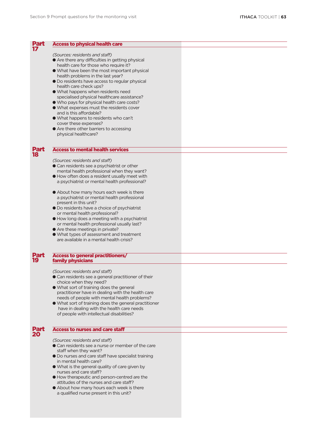| Part<br>17  | <b>Access to physical health care</b>                                          |  |
|-------------|--------------------------------------------------------------------------------|--|
|             |                                                                                |  |
|             | (Sources: residents and staff)                                                 |  |
|             | ● Are there any difficulties in getting physical                               |  |
|             | health care for those who require it?                                          |  |
|             | • What have been the most important physical                                   |  |
|             | health problems in the last year?                                              |  |
|             | • Do residents have access to regular physical<br>health care check ups?       |  |
|             | • What happens when residents need                                             |  |
|             | specialised physical healthcare assistance?                                    |  |
|             | • Who pays for physical health care costs?                                     |  |
|             | • What expenses must the residents cover                                       |  |
|             | and is this affordable?                                                        |  |
|             | • What happens to residents who can't                                          |  |
|             | cover these expenses?                                                          |  |
|             | • Are there other barriers to accessing                                        |  |
|             | physical healthcare?                                                           |  |
|             |                                                                                |  |
| <b>Part</b> | <b>Access to mental health services</b>                                        |  |
| 18          |                                                                                |  |
|             | (Sources: residents and staff)                                                 |  |
|             | • Can residents see a psychiatrist or other                                    |  |
|             | mental health professional when they want?                                     |  |
|             | ● How often does a resident usually meet with                                  |  |
|             | a psychiatrist or mental health professional?                                  |  |
|             |                                                                                |  |
|             | • About how many hours each week is there                                      |  |
|             | a psychiatrist or mental health professional                                   |  |
|             | present in this unit?                                                          |  |
|             | • Do residents have a choice of psychiatrist<br>or mental health professional? |  |
|             | • How long does a meeting with a psychiatrist                                  |  |
|             | or mental health professional usually last?                                    |  |
|             | • Are these meetings in private?                                               |  |
|             | • What types of assessment and treatment                                       |  |
|             | are available in a mental health crisis?                                       |  |
|             |                                                                                |  |
| Part        | <b>Access to general practitioners/</b>                                        |  |
| 19          | family physicians                                                              |  |
|             |                                                                                |  |
|             | (Sources: residents and staff)                                                 |  |
|             | • Can residents see a general practitioner of their                            |  |
|             | choice when they need?                                                         |  |
|             | • What sort of training does the general                                       |  |
|             | practitioner have in dealing with the health care                              |  |
|             | needs of people with mental health problems?                                   |  |
|             | • What sort of training does the general practitioner                          |  |
|             | have in dealing with the health care needs                                     |  |
|             | of people with intellectual disabilities?                                      |  |
|             |                                                                                |  |
| Part        | <b>Access to nurses and care staff</b>                                         |  |
| 20          |                                                                                |  |
|             | (Sources: residents and staff)                                                 |  |
|             | • Can residents see a nurse or member of the care                              |  |
|             | staff when they want?<br>• Do nurses and care staff have specialist training   |  |
|             | in mental health care?                                                         |  |
|             | ● What is the general quality of care given by                                 |  |
|             | nurses and care staff?                                                         |  |
|             | ● How therapeutic and person-centred are the                                   |  |
|             | attitudes of the nurses and care staff?                                        |  |
|             | • About how many hours each week is there                                      |  |
|             | a qualified nurse present in this unit?                                        |  |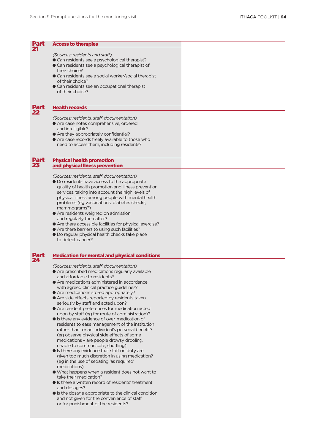| Part              | <b>Access to therapies</b>                                                                          |  |
|-------------------|-----------------------------------------------------------------------------------------------------|--|
| 21                |                                                                                                     |  |
|                   | (Sources: residents and staff)                                                                      |  |
|                   | • Can residents see a psychological therapist?                                                      |  |
|                   | • Can residents see a psychological therapist of                                                    |  |
|                   | their choice?                                                                                       |  |
|                   | • Can residents see a social worker/social therapist                                                |  |
|                   | of their choice?                                                                                    |  |
|                   | ● Can residents see an occupational therapist                                                       |  |
|                   | of their choice?                                                                                    |  |
|                   |                                                                                                     |  |
|                   |                                                                                                     |  |
| Part              | <b>Health records</b>                                                                               |  |
| 22                |                                                                                                     |  |
|                   | (Sources: residents, staff, documentation)                                                          |  |
|                   | • Are case notes comprehensive, ordered                                                             |  |
|                   | and intelligible?                                                                                   |  |
|                   | • Are they appropriately confidential?                                                              |  |
|                   | • Are case records freely available to those who                                                    |  |
|                   | need to access them, including residents?                                                           |  |
|                   |                                                                                                     |  |
|                   |                                                                                                     |  |
| <b>Part</b><br>23 | <b>Physical health promotion</b><br>and physical liness prevention                                  |  |
|                   |                                                                                                     |  |
|                   | (Sources: residents, staff, documentation)                                                          |  |
|                   | • Do residents have access to the appropriate                                                       |  |
|                   | quality of health promotion and illness prevention                                                  |  |
|                   | services, taking into account the high levels of                                                    |  |
|                   | physical illness among people with mental health                                                    |  |
|                   | problems (eg vaccinations, diabetes checks,                                                         |  |
|                   | mammograms?)                                                                                        |  |
|                   | ● Are residents weighed on admission                                                                |  |
|                   | and regularly thereafter?                                                                           |  |
|                   | • Are there accessible facilities for physical exercise?                                            |  |
|                   | • Are there barriers to using such facilities?                                                      |  |
|                   | • Do regular physical health checks take place                                                      |  |
|                   | to detect cancer?                                                                                   |  |
|                   |                                                                                                     |  |
| <b>Part</b>       | <b>Medication for mental and physical conditions</b>                                                |  |
| 24                |                                                                                                     |  |
|                   | (Sources: residents, staff, documentation)                                                          |  |
|                   | • Are prescribed medications regularly available                                                    |  |
|                   | and affordable to residents?                                                                        |  |
|                   | • Are medications administered in accordance                                                        |  |
|                   | with agreed clinical practice guidelines?                                                           |  |
|                   | • Are medications stored appropriately?                                                             |  |
|                   | • Are side effects reported by residents taken                                                      |  |
|                   | seriously by staff and acted upon?                                                                  |  |
|                   | • Are resident preferences for medication acted                                                     |  |
|                   | upon by staff (eg for route of administration)?                                                     |  |
|                   | • Is there any evidence of over-medication of                                                       |  |
|                   | residents to ease management of the institution                                                     |  |
|                   | rather than for an individual's personal benefit?                                                   |  |
|                   | (eg observe physical side effects of some                                                           |  |
|                   | medications - are people drowsy drooling,                                                           |  |
|                   | unable to communicate, shuffling)                                                                   |  |
|                   | • Is there any evidence that staff on duty are                                                      |  |
|                   | given too much discretion in using medication?                                                      |  |
|                   | (eg in the use of sedating 'as required'                                                            |  |
|                   | medications)                                                                                        |  |
|                   | • What happens when a resident does not want to                                                     |  |
|                   | take their medication?                                                                              |  |
|                   | • Is there a written record of residents' treatment                                                 |  |
|                   | and dosages?                                                                                        |  |
|                   | • Is the dosage appropriate to the clinical condition<br>and not given for the convenience of staff |  |
|                   | or for punishment of the residents?                                                                 |  |
|                   |                                                                                                     |  |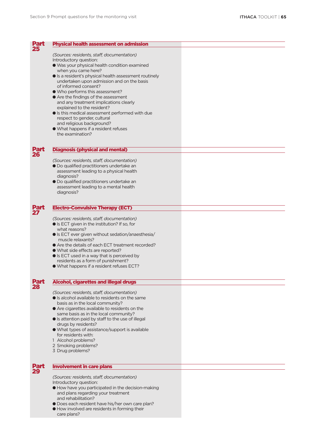| Part        | <b>Physical health assessment on admission</b>                                       |  |
|-------------|--------------------------------------------------------------------------------------|--|
| 25          |                                                                                      |  |
|             | (Sources: residents, staff, documentation)                                           |  |
|             | Introductory question:                                                               |  |
|             | ● Was your physical health condition examined                                        |  |
|             | when you came here?                                                                  |  |
|             | • Is a resident's physical health assessment routinely                               |  |
|             | undertaken upon admission and on the basis                                           |  |
|             | of informed consent?<br>• Who performs this assessment?                              |  |
|             | • Are the findings of the assessment                                                 |  |
|             | and any treatment implications clearly                                               |  |
|             | explained to the resident?                                                           |  |
|             | • Is this medical assessment performed with due                                      |  |
|             | respect to gender, cultural                                                          |  |
|             | and religious background?                                                            |  |
|             | • What happens if a resident refuses<br>the examination?                             |  |
|             |                                                                                      |  |
|             |                                                                                      |  |
| Part        | <b>Diagnosis (physical and mental)</b>                                               |  |
| 26          |                                                                                      |  |
|             | (Sources: residents, staff, documentation)                                           |  |
|             | • Do qualified practitioners undertake an<br>assessment leading to a physical health |  |
|             | diagnosis?                                                                           |  |
|             | • Do qualified practitioners undertake an                                            |  |
|             | assessment leading to a mental health                                                |  |
|             | diagnosis?                                                                           |  |
|             |                                                                                      |  |
| <b>Part</b> | <b>Electro-Convulsive Therapy (ECT)</b>                                              |  |
|             |                                                                                      |  |
|             | (Sources: residents, staff, documentation)                                           |  |
|             | • Is ECT given in the institution? If so, for                                        |  |
|             | what reasons?                                                                        |  |
|             | • Is ECT ever given without sedation/anaesthesia/<br>muscle relaxants?               |  |
|             | • Are the details of each ECT treatment recorded?                                    |  |
|             | • What side effects are reported?                                                    |  |
|             | • Is ECT used in a way that is perceived by                                          |  |
|             | residents as a form of punishment?                                                   |  |
|             | • What happens if a resident refuses ECT?                                            |  |
|             |                                                                                      |  |
| Part        | <b>Alcohol, cigarettes and illegal drugs</b>                                         |  |
| 28          |                                                                                      |  |
|             | (Sources: residents, staff, documentation)                                           |  |
|             | $\bullet$ Is alcohol available to residents on the same                              |  |
|             | basis as in the local community?<br>• Are cigarettes available to residents on the   |  |
|             | same basis as in the local community?                                                |  |
|             | If is attention paid by staff to the use of illegal                                  |  |
|             | drugs by residents?                                                                  |  |
|             | ● What types of assistance/support is available                                      |  |
|             | for residents with:<br>1 Alcohol problems?                                           |  |
|             | 2 Smoking problems?                                                                  |  |
|             | 3 Drug problems?                                                                     |  |
|             |                                                                                      |  |
|             |                                                                                      |  |
| Part<br>29  | <b>Involvement in care plans</b>                                                     |  |
|             | (Sources: residents, staff, documentation)                                           |  |
|             | Introductory question:                                                               |  |
|             | ● How have you participated in the decision-making                                   |  |
|             | and plans regarding your treatment                                                   |  |
|             | and rehabilitation?<br>● Does each resident have his/her own care plan?              |  |
|             | ● How involved are residents in forming their                                        |  |
|             | care plans?                                                                          |  |